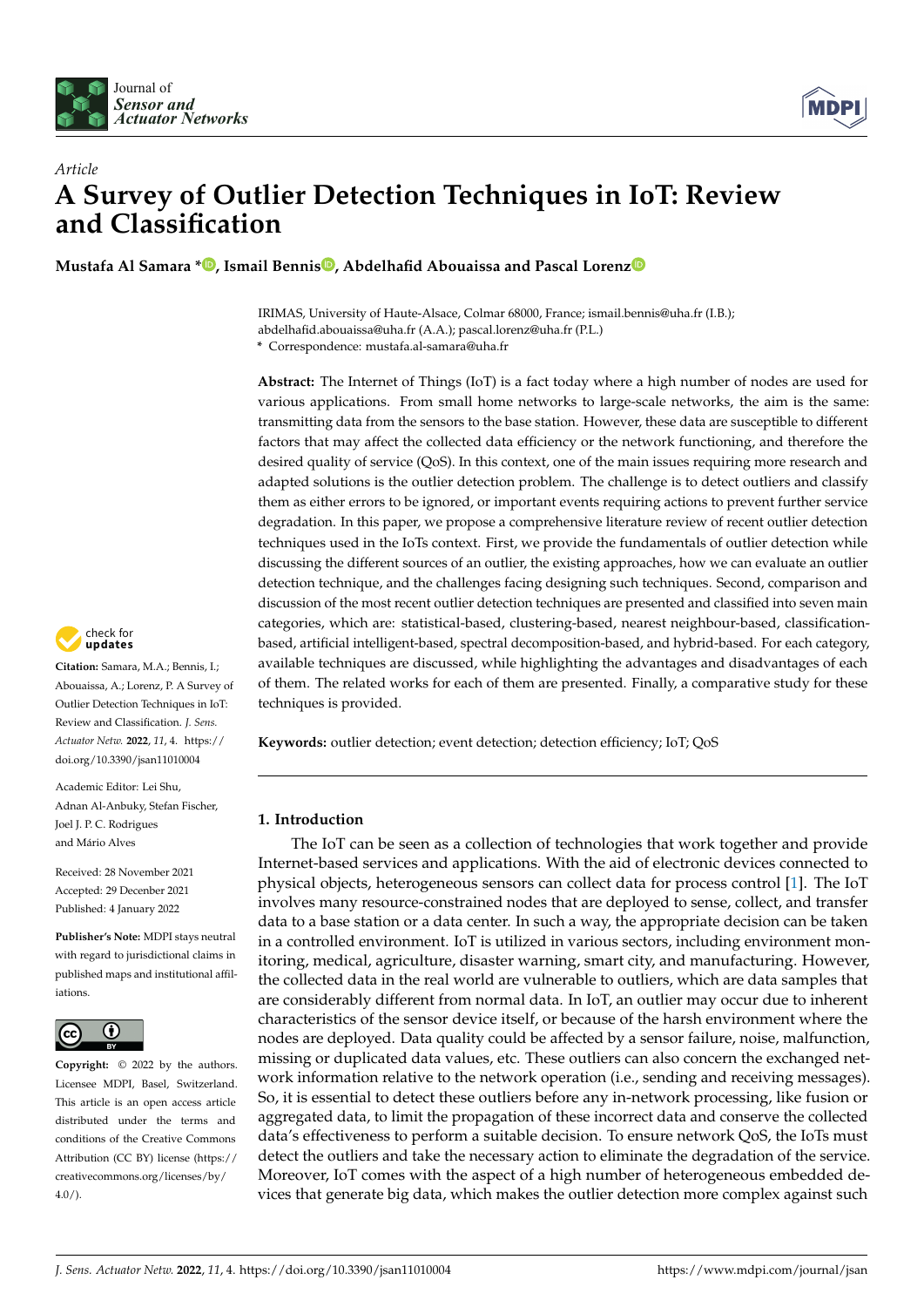



# *Article* **A Survey of Outlier Detection Techniques in IoT: Review and Classification**

**Mustafa Al Samara [\\*](https://orcid.org/0000-0001-6933-7558) , Ismail Bennis [,](https://orcid.org/0000-0001-7470-1094) Abdelhafid Abouaissa and Pascal Loren[z](https://orcid.org/0000-0003-3346-7216)**

IRIMAS, University of Haute-Alsace, Colmar 68000, France; ismail.bennis@uha.fr (I.B.); abdelhafid.abouaissa@uha.fr (A.A.); pascal.lorenz@uha.fr (P.L.)

**\*** Correspondence: mustafa.al-samara@uha.fr

**Abstract:** The Internet of Things (IoT) is a fact today where a high number of nodes are used for various applications. From small home networks to large-scale networks, the aim is the same: transmitting data from the sensors to the base station. However, these data are susceptible to different factors that may affect the collected data efficiency or the network functioning, and therefore the desired quality of service (QoS). In this context, one of the main issues requiring more research and adapted solutions is the outlier detection problem. The challenge is to detect outliers and classify them as either errors to be ignored, or important events requiring actions to prevent further service degradation. In this paper, we propose a comprehensive literature review of recent outlier detection techniques used in the IoTs context. First, we provide the fundamentals of outlier detection while discussing the different sources of an outlier, the existing approaches, how we can evaluate an outlier detection technique, and the challenges facing designing such techniques. Second, comparison and discussion of the most recent outlier detection techniques are presented and classified into seven main categories, which are: statistical-based, clustering-based, nearest neighbour-based, classificationbased, artificial intelligent-based, spectral decomposition-based, and hybrid-based. For each category, available techniques are discussed, while highlighting the advantages and disadvantages of each of them. The related works for each of them are presented. Finally, a comparative study for these techniques is provided.

**Keywords:** outlier detection; event detection; detection efficiency; IoT; QoS

# **1. Introduction**

The IoT can be seen as a collection of technologies that work together and provide Internet-based services and applications. With the aid of electronic devices connected to physical objects, heterogeneous sensors can collect data for process control [\[1\]](#page-26-0). The IoT involves many resource-constrained nodes that are deployed to sense, collect, and transfer data to a base station or a data center. In such a way, the appropriate decision can be taken in a controlled environment. IoT is utilized in various sectors, including environment monitoring, medical, agriculture, disaster warning, smart city, and manufacturing. However, the collected data in the real world are vulnerable to outliers, which are data samples that are considerably different from normal data. In IoT, an outlier may occur due to inherent characteristics of the sensor device itself, or because of the harsh environment where the nodes are deployed. Data quality could be affected by a sensor failure, noise, malfunction, missing or duplicated data values, etc. These outliers can also concern the exchanged network information relative to the network operation (i.e., sending and receiving messages). So, it is essential to detect these outliers before any in-network processing, like fusion or aggregated data, to limit the propagation of these incorrect data and conserve the collected data's effectiveness to perform a suitable decision. To ensure network QoS, the IoTs must detect the outliers and take the necessary action to eliminate the degradation of the service. Moreover, IoT comes with the aspect of a high number of heterogeneous embedded devices that generate big data, which makes the outlier detection more complex against such



**Citation:** Samara, M.A.; Bennis, I.; Abouaissa, A.; Lorenz, P. A Survey of Outlier Detection Techniques in IoT: Review and Classification. *J. Sens. Actuator Netw.* **2022**, *11*, 4. [https://](https://doi.org/10.3390/jsan11010004) [doi.org/10.3390/jsan11010004](https://doi.org/10.3390/jsan11010004)

Academic Editor: Lei Shu, Adnan Al-Anbuky, Stefan Fischer, Joel J. P. C. Rodrigues and Mário Alves

Received: 28 November 2021 Accepted: 29 Decenber 2021 Published: 4 January 2022

**Publisher's Note:** MDPI stays neutral with regard to jurisdictional claims in published maps and institutional affiliations.



**Copyright:** © 2022 by the authors. Licensee MDPI, Basel, Switzerland. This article is an open access article distributed under the terms and conditions of the Creative Commons Attribution (CC BY) license [\(https://](https://creativecommons.org/licenses/by/4.0/) [creativecommons.org/licenses/by/](https://creativecommons.org/licenses/by/4.0/)  $4.0/$ ).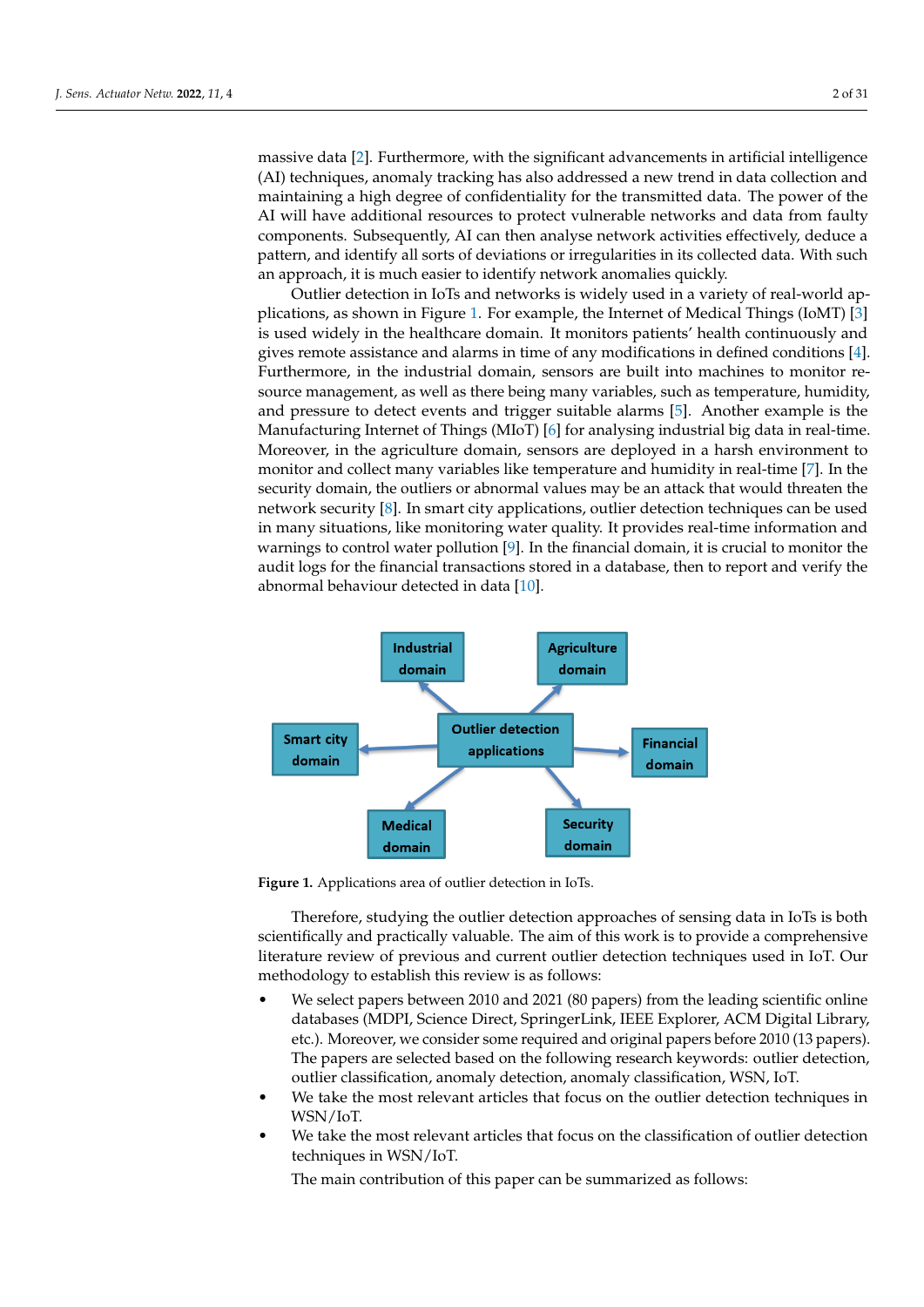massive data [\[2\]](#page-26-1). Furthermore, with the significant advancements in artificial intelligence (AI) techniques, anomaly tracking has also addressed a new trend in data collection and maintaining a high degree of confidentiality for the transmitted data. The power of the AI will have additional resources to protect vulnerable networks and data from faulty components. Subsequently, AI can then analyse network activities effectively, deduce a pattern, and identify all sorts of deviations or irregularities in its collected data. With such an approach, it is much easier to identify network anomalies quickly.

Outlier detection in IoTs and networks is widely used in a variety of real-world applications, as shown in Figure [1.](#page-1-0) For example, the Internet of Medical Things (IoMT) [\[3\]](#page-26-2) is used widely in the healthcare domain. It monitors patients' health continuously and gives remote assistance and alarms in time of any modifications in defined conditions [\[4\]](#page-26-3). Furthermore, in the industrial domain, sensors are built into machines to monitor resource management, as well as there being many variables, such as temperature, humidity, and pressure to detect events and trigger suitable alarms [\[5\]](#page-26-4). Another example is the Manufacturing Internet of Things (MIoT) [\[6\]](#page-26-5) for analysing industrial big data in real-time. Moreover, in the agriculture domain, sensors are deployed in a harsh environment to monitor and collect many variables like temperature and humidity in real-time [\[7\]](#page-26-6). In the security domain, the outliers or abnormal values may be an attack that would threaten the network security [\[8\]](#page-26-7). In smart city applications, outlier detection techniques can be used in many situations, like monitoring water quality. It provides real-time information and warnings to control water pollution [\[9\]](#page-26-8). In the financial domain, it is crucial to monitor the audit logs for the financial transactions stored in a database, then to report and verify the abnormal behaviour detected in data [\[10\]](#page-26-9).

<span id="page-1-0"></span>

**Figure 1.** Applications area of outlier detection in IoTs.

Therefore, studying the outlier detection approaches of sensing data in IoTs is both scientifically and practically valuable. The aim of this work is to provide a comprehensive literature review of previous and current outlier detection techniques used in IoT. Our methodology to establish this review is as follows:

- We select papers between 2010 and 2021 (80 papers) from the leading scientific online databases (MDPI, Science Direct, SpringerLink, IEEE Explorer, ACM Digital Library, etc.). Moreover, we consider some required and original papers before 2010 (13 papers). The papers are selected based on the following research keywords: outlier detection, outlier classification, anomaly detection, anomaly classification, WSN, IoT.
- We take the most relevant articles that focus on the outlier detection techniques in WSN/IoT.
- We take the most relevant articles that focus on the classification of outlier detection techniques in WSN/IoT.

The main contribution of this paper can be summarized as follows: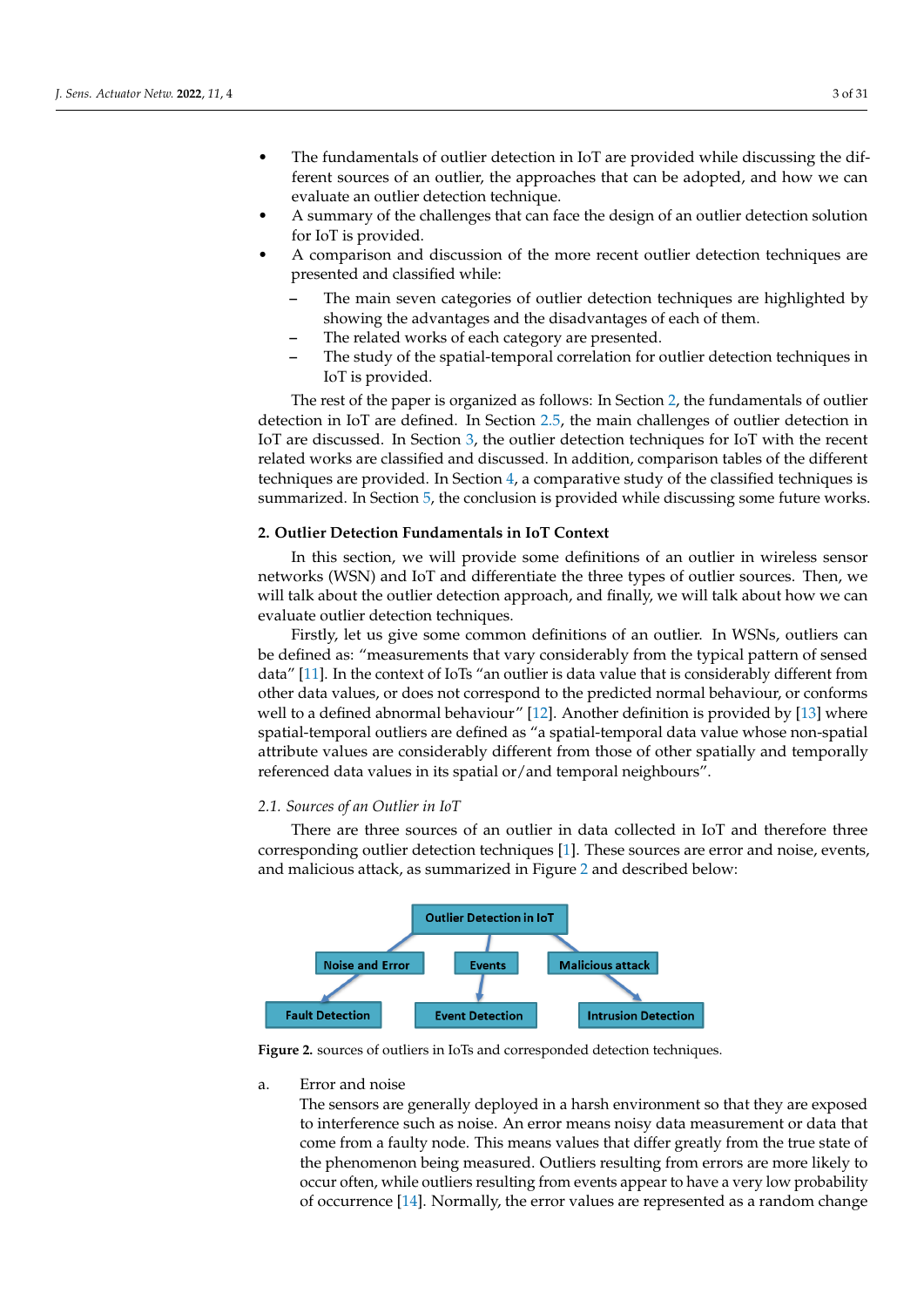- The fundamentals of outlier detection in IoT are provided while discussing the different sources of an outlier, the approaches that can be adopted, and how we can evaluate an outlier detection technique.
- A summary of the challenges that can face the design of an outlier detection solution for IoT is provided.
- A comparison and discussion of the more recent outlier detection techniques are presented and classified while:
	- **–** The main seven categories of outlier detection techniques are highlighted by showing the advantages and the disadvantages of each of them.
	- **–** The related works of each category are presented.
	- **–** The study of the spatial-temporal correlation for outlier detection techniques in IoT is provided.

The rest of the paper is organized as follows: In Section [2,](#page-2-0) the fundamentals of outlier detection in IoT are defined. In Section [2.5,](#page-6-0) the main challenges of outlier detection in IoT are discussed. In Section [3,](#page-7-0) the outlier detection techniques for IoT with the recent related works are classified and discussed. In addition, comparison tables of the different techniques are provided. In Section [4,](#page-17-0) a comparative study of the classified techniques is summarized. In Section [5,](#page-26-10) the conclusion is provided while discussing some future works.

## <span id="page-2-0"></span>**2. Outlier Detection Fundamentals in IoT Context**

In this section, we will provide some definitions of an outlier in wireless sensor networks (WSN) and IoT and differentiate the three types of outlier sources. Then, we will talk about the outlier detection approach, and finally, we will talk about how we can evaluate outlier detection techniques.

Firstly, let us give some common definitions of an outlier. In WSNs, outliers can be defined as: "measurements that vary considerably from the typical pattern of sensed data" [\[11\]](#page-26-11). In the context of IoTs "an outlier is data value that is considerably different from other data values, or does not correspond to the predicted normal behaviour, or conforms well to a defined abnormal behaviour" [\[12\]](#page-26-12). Another definition is provided by [\[13\]](#page-26-13) where spatial-temporal outliers are defined as "a spatial-temporal data value whose non-spatial attribute values are considerably different from those of other spatially and temporally referenced data values in its spatial or/and temporal neighbours".

## <span id="page-2-2"></span>*2.1. Sources of an Outlier in IoT*

There are three sources of an outlier in data collected in IoT and therefore three corresponding outlier detection techniques [\[1\]](#page-26-0). These sources are error and noise, events, and malicious attack, as summarized in Figure [2](#page-2-1) and described below:

<span id="page-2-1"></span>

**Figure 2.** sources of outliers in IoTs and corresponded detection techniques.

#### a. Error and noise

The sensors are generally deployed in a harsh environment so that they are exposed to interference such as noise. An error means noisy data measurement or data that come from a faulty node. This means values that differ greatly from the true state of the phenomenon being measured. Outliers resulting from errors are more likely to occur often, while outliers resulting from events appear to have a very low probability of occurrence [\[14\]](#page-27-0). Normally, the error values are represented as a random change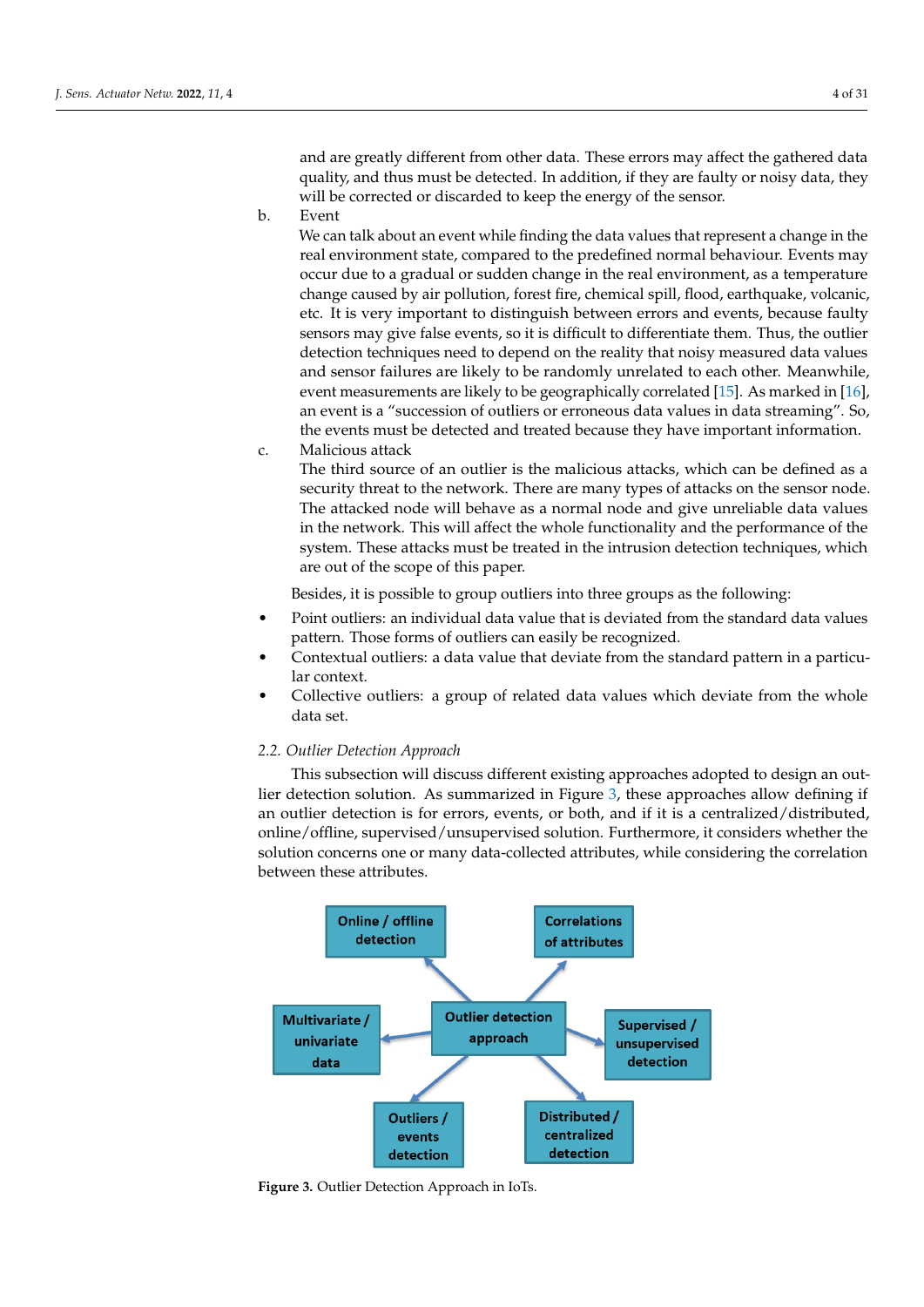and are greatly different from other data. These errors may affect the gathered data quality, and thus must be detected. In addition, if they are faulty or noisy data, they will be corrected or discarded to keep the energy of the sensor.

b. Event

We can talk about an event while finding the data values that represent a change in the real environment state, compared to the predefined normal behaviour. Events may occur due to a gradual or sudden change in the real environment, as a temperature change caused by air pollution, forest fire, chemical spill, flood, earthquake, volcanic, etc. It is very important to distinguish between errors and events, because faulty sensors may give false events, so it is difficult to differentiate them. Thus, the outlier detection techniques need to depend on the reality that noisy measured data values and sensor failures are likely to be randomly unrelated to each other. Meanwhile, event measurements are likely to be geographically correlated [\[15\]](#page-27-1). As marked in [\[16\]](#page-27-2), an event is a "succession of outliers or erroneous data values in data streaming". So, the events must be detected and treated because they have important information.

c. Malicious attack

The third source of an outlier is the malicious attacks, which can be defined as a security threat to the network. There are many types of attacks on the sensor node. The attacked node will behave as a normal node and give unreliable data values in the network. This will affect the whole functionality and the performance of the system. These attacks must be treated in the intrusion detection techniques, which are out of the scope of this paper.

Besides, it is possible to group outliers into three groups as the following:

- Point outliers: an individual data value that is deviated from the standard data values pattern. Those forms of outliers can easily be recognized.
- Contextual outliers: a data value that deviate from the standard pattern in a particular context.
- Collective outliers: a group of related data values which deviate from the whole data set.

## <span id="page-3-1"></span>*2.2. Outlier Detection Approach*

This subsection will discuss different existing approaches adopted to design an outlier detection solution. As summarized in Figure [3,](#page-3-0) these approaches allow defining if an outlier detection is for errors, events, or both, and if it is a centralized/distributed, online/offline, supervised/unsupervised solution. Furthermore, it considers whether the solution concerns one or many data-collected attributes, while considering the correlation between these attributes.

<span id="page-3-0"></span>

**Figure 3.** Outlier Detection Approach in IoTs.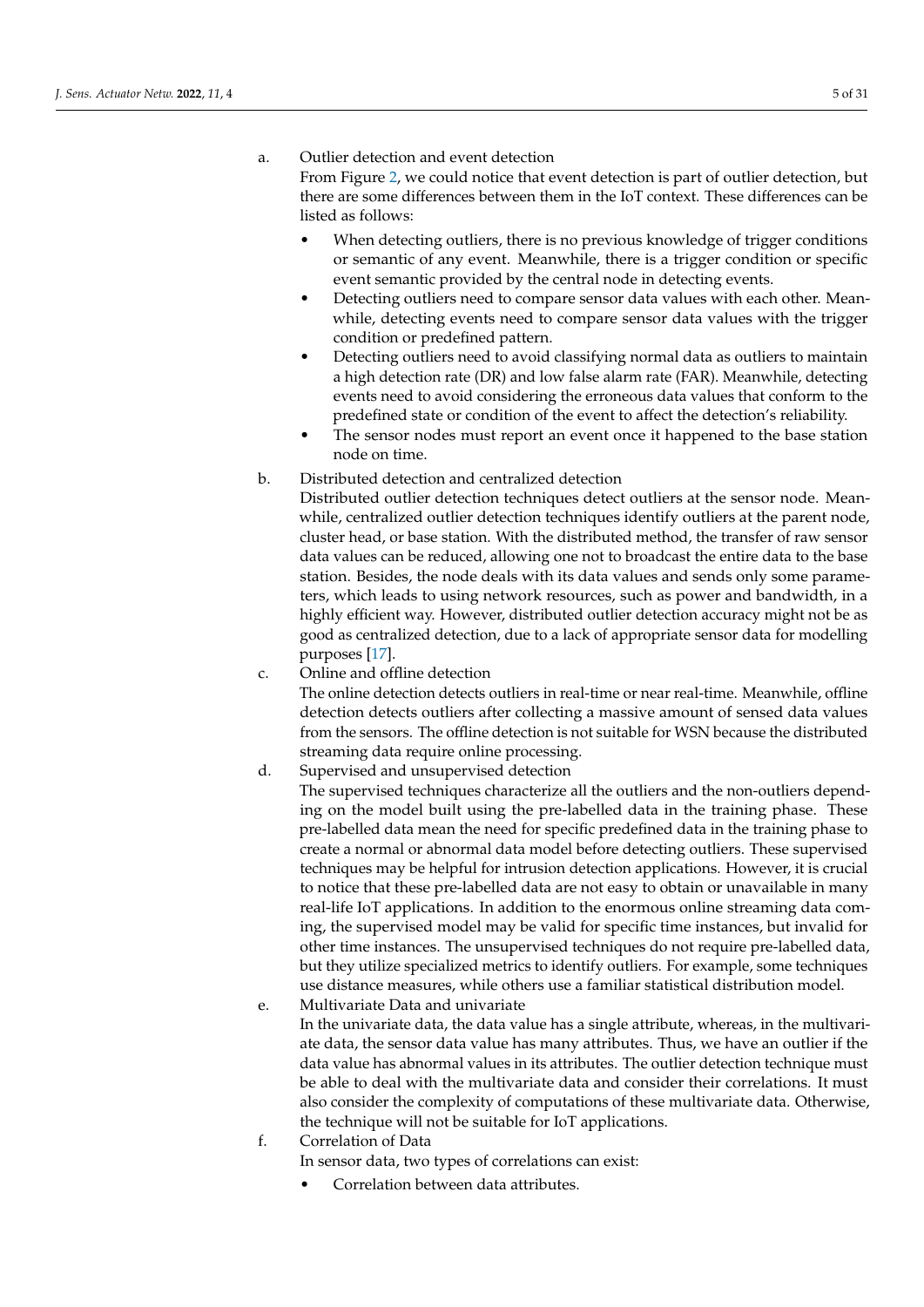## a. Outlier detection and event detection

From Figure [2,](#page-2-1) we could notice that event detection is part of outlier detection, but there are some differences between them in the IoT context. These differences can be listed as follows:

- When detecting outliers, there is no previous knowledge of trigger conditions or semantic of any event. Meanwhile, there is a trigger condition or specific event semantic provided by the central node in detecting events.
- Detecting outliers need to compare sensor data values with each other. Meanwhile, detecting events need to compare sensor data values with the trigger condition or predefined pattern.
- Detecting outliers need to avoid classifying normal data as outliers to maintain a high detection rate (DR) and low false alarm rate (FAR). Meanwhile, detecting events need to avoid considering the erroneous data values that conform to the predefined state or condition of the event to affect the detection's reliability.
- The sensor nodes must report an event once it happened to the base station node on time.
- b. Distributed detection and centralized detection

Distributed outlier detection techniques detect outliers at the sensor node. Meanwhile, centralized outlier detection techniques identify outliers at the parent node, cluster head, or base station. With the distributed method, the transfer of raw sensor data values can be reduced, allowing one not to broadcast the entire data to the base station. Besides, the node deals with its data values and sends only some parameters, which leads to using network resources, such as power and bandwidth, in a highly efficient way. However, distributed outlier detection accuracy might not be as good as centralized detection, due to a lack of appropriate sensor data for modelling purposes [\[17\]](#page-27-3).

c. Online and offline detection

The online detection detects outliers in real-time or near real-time. Meanwhile, offline detection detects outliers after collecting a massive amount of sensed data values from the sensors. The offline detection is not suitable for WSN because the distributed streaming data require online processing.

d. Supervised and unsupervised detection

The supervised techniques characterize all the outliers and the non-outliers depending on the model built using the pre-labelled data in the training phase. These pre-labelled data mean the need for specific predefined data in the training phase to create a normal or abnormal data model before detecting outliers. These supervised techniques may be helpful for intrusion detection applications. However, it is crucial to notice that these pre-labelled data are not easy to obtain or unavailable in many real-life IoT applications. In addition to the enormous online streaming data coming, the supervised model may be valid for specific time instances, but invalid for other time instances. The unsupervised techniques do not require pre-labelled data, but they utilize specialized metrics to identify outliers. For example, some techniques use distance measures, while others use a familiar statistical distribution model.

e. Multivariate Data and univariate

In the univariate data, the data value has a single attribute, whereas, in the multivariate data, the sensor data value has many attributes. Thus, we have an outlier if the data value has abnormal values in its attributes. The outlier detection technique must be able to deal with the multivariate data and consider their correlations. It must also consider the complexity of computations of these multivariate data. Otherwise, the technique will not be suitable for IoT applications.

- f. Correlation of Data
	- In sensor data, two types of correlations can exist:
		- Correlation between data attributes.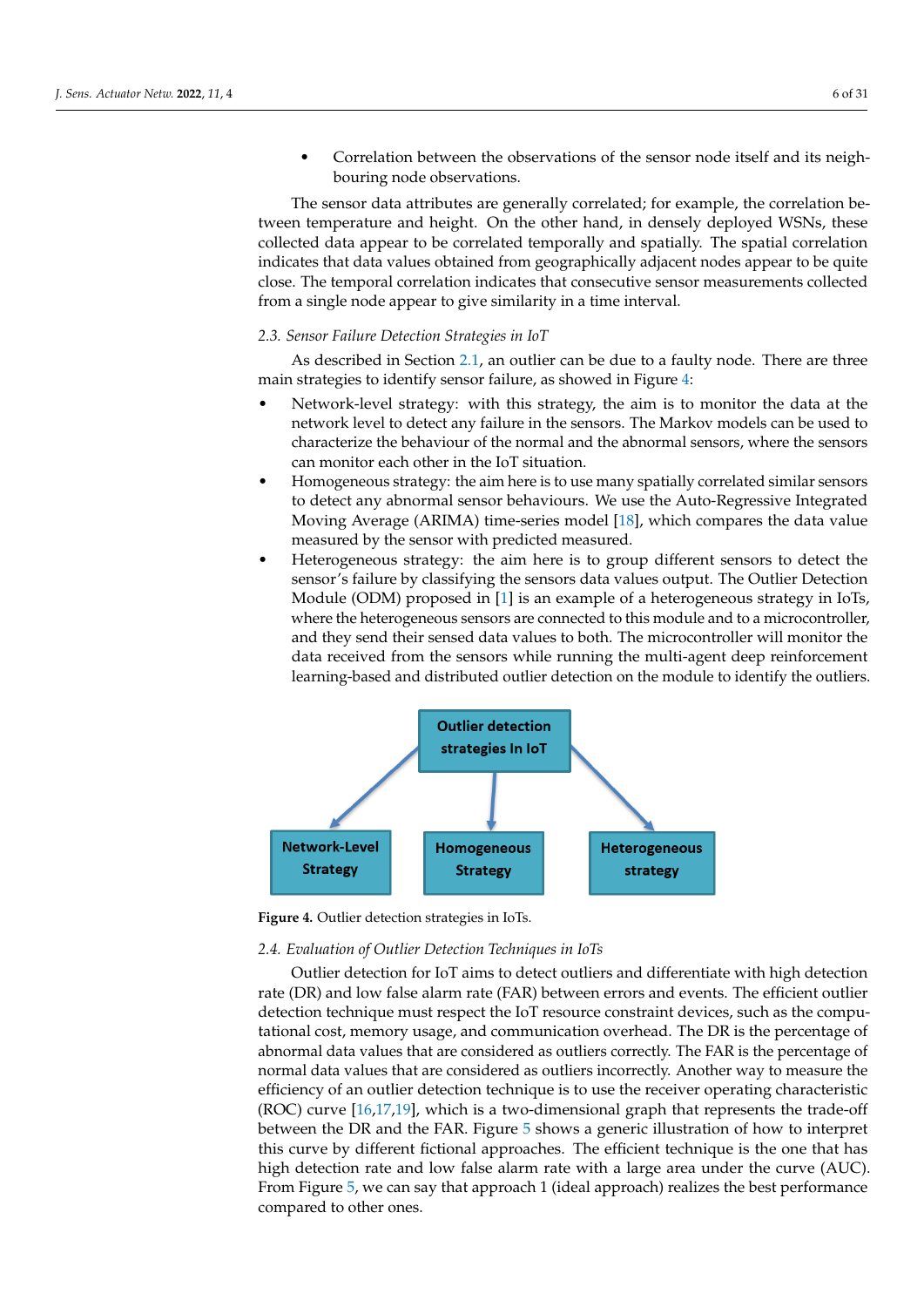• Correlation between the observations of the sensor node itself and its neighbouring node observations.

The sensor data attributes are generally correlated; for example, the correlation between temperature and height. On the other hand, in densely deployed WSNs, these collected data appear to be correlated temporally and spatially. The spatial correlation indicates that data values obtained from geographically adjacent nodes appear to be quite close. The temporal correlation indicates that consecutive sensor measurements collected from a single node appear to give similarity in a time interval.

## *2.3. Sensor Failure Detection Strategies in IoT*

As described in Section [2.1,](#page-2-2) an outlier can be due to a faulty node. There are three main strategies to identify sensor failure, as showed in Figure [4:](#page-5-0)

- Network-level strategy: with this strategy, the aim is to monitor the data at the network level to detect any failure in the sensors. The Markov models can be used to characterize the behaviour of the normal and the abnormal sensors, where the sensors can monitor each other in the IoT situation.
- Homogeneous strategy: the aim here is to use many spatially correlated similar sensors to detect any abnormal sensor behaviours. We use the Auto-Regressive Integrated Moving Average (ARIMA) time-series model [\[18\]](#page-27-4), which compares the data value measured by the sensor with predicted measured.
- Heterogeneous strategy: the aim here is to group different sensors to detect the sensor's failure by classifying the sensors data values output. The Outlier Detection Module (ODM) proposed in [\[1\]](#page-26-0) is an example of a heterogeneous strategy in IoTs, where the heterogeneous sensors are connected to this module and to a microcontroller, and they send their sensed data values to both. The microcontroller will monitor the data received from the sensors while running the multi-agent deep reinforcement learning-based and distributed outlier detection on the module to identify the outliers.

<span id="page-5-0"></span>

**Figure 4.** Outlier detection strategies in IoTs.

## *2.4. Evaluation of Outlier Detection Techniques in IoTs*

Outlier detection for IoT aims to detect outliers and differentiate with high detection rate (DR) and low false alarm rate (FAR) between errors and events. The efficient outlier detection technique must respect the IoT resource constraint devices, such as the computational cost, memory usage, and communication overhead. The DR is the percentage of abnormal data values that are considered as outliers correctly. The FAR is the percentage of normal data values that are considered as outliers incorrectly. Another way to measure the efficiency of an outlier detection technique is to use the receiver operating characteristic (ROC) curve  $[16,17,19]$  $[16,17,19]$  $[16,17,19]$ , which is a two-dimensional graph that represents the trade-off between the DR and the FAR. Figure [5](#page-6-1) shows a generic illustration of how to interpret this curve by different fictional approaches. The efficient technique is the one that has high detection rate and low false alarm rate with a large area under the curve (AUC). From Figure [5,](#page-6-1) we can say that approach 1 (ideal approach) realizes the best performance compared to other ones.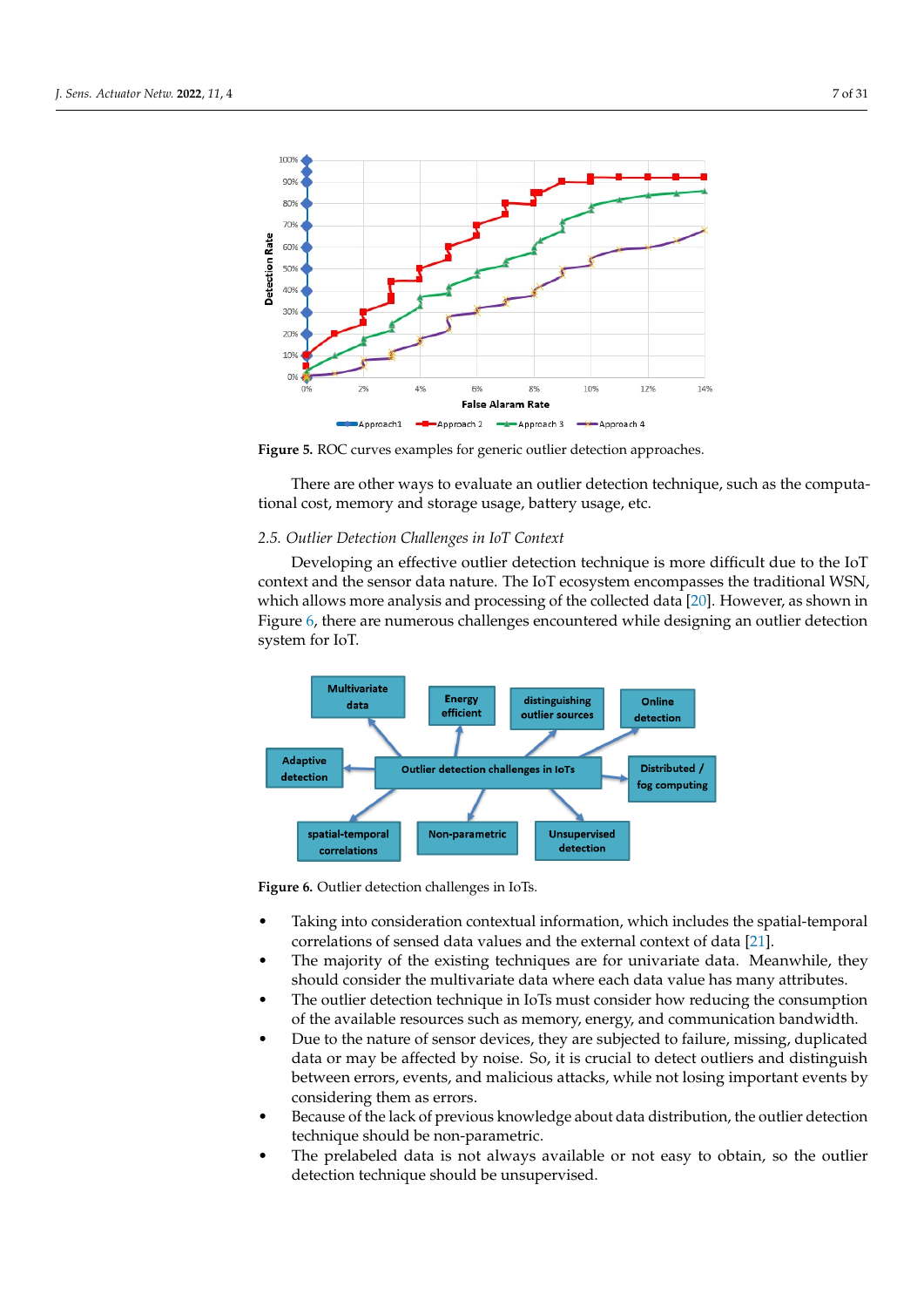<span id="page-6-1"></span>

**Figure 5.** ROC curves examples for generic outlier detection approaches.

There are other ways to evaluate an outlier detection technique, such as the computational cost, memory and storage usage, battery usage, etc.

#### <span id="page-6-0"></span>*2.5. Outlier Detection Challenges in IoT Context*

Developing an effective outlier detection technique is more difficult due to the IoT context and the sensor data nature. The IoT ecosystem encompasses the traditional WSN, which allows more analysis and processing of the collected data [\[20\]](#page-27-6). However, as shown in Figure [6,](#page-6-2) there are numerous challenges encountered while designing an outlier detection system for IoT.

<span id="page-6-2"></span>

**Figure 6.** Outlier detection challenges in IoTs.

- Taking into consideration contextual information, which includes the spatial-temporal correlations of sensed data values and the external context of data [\[21\]](#page-27-7).
- The majority of the existing techniques are for univariate data. Meanwhile, they should consider the multivariate data where each data value has many attributes.
- The outlier detection technique in IoTs must consider how reducing the consumption of the available resources such as memory, energy, and communication bandwidth.
- Due to the nature of sensor devices, they are subjected to failure, missing, duplicated data or may be affected by noise. So, it is crucial to detect outliers and distinguish between errors, events, and malicious attacks, while not losing important events by considering them as errors.
- Because of the lack of previous knowledge about data distribution, the outlier detection technique should be non-parametric.
- The prelabeled data is not always available or not easy to obtain, so the outlier detection technique should be unsupervised.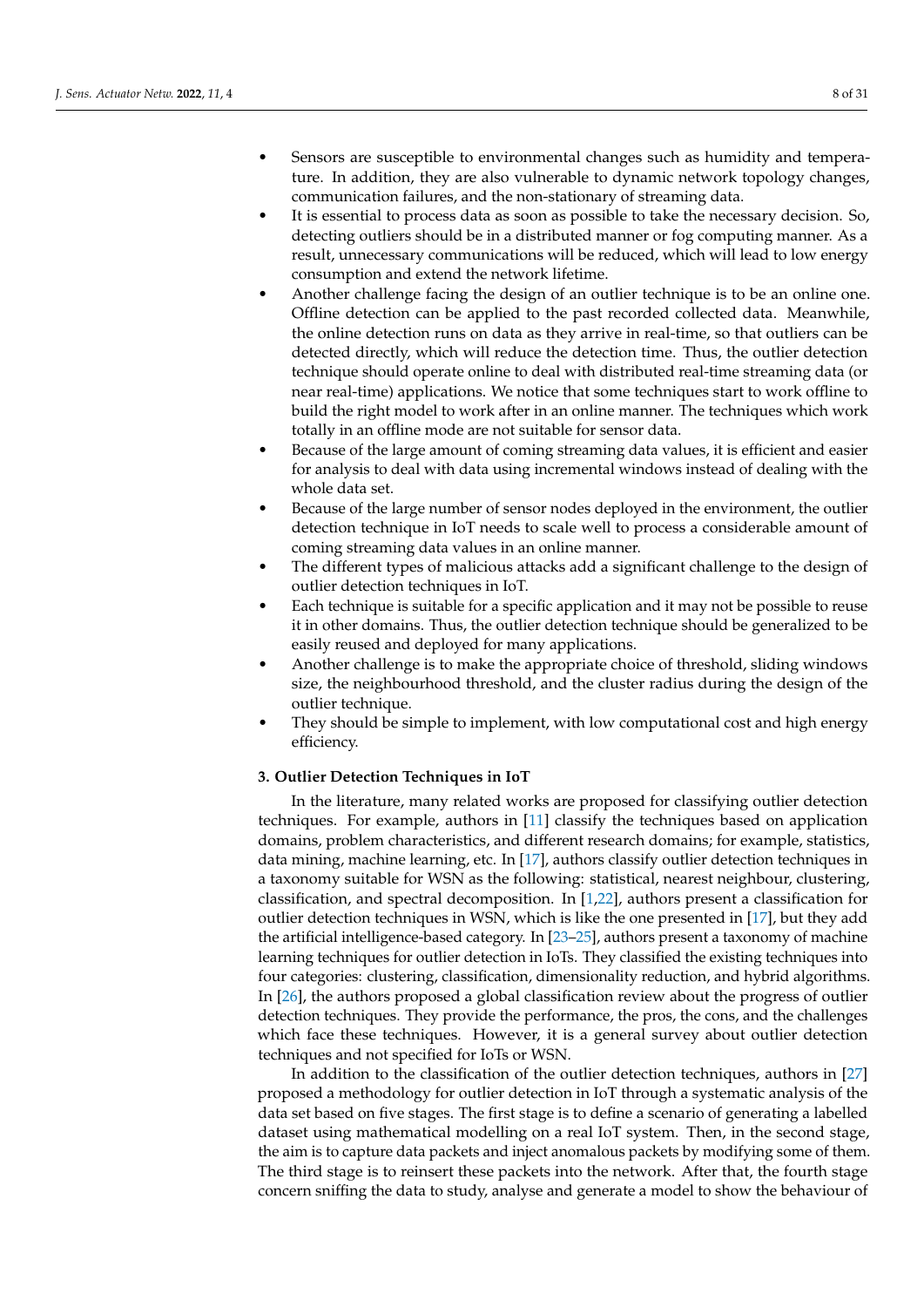- Sensors are susceptible to environmental changes such as humidity and temperature. In addition, they are also vulnerable to dynamic network topology changes, communication failures, and the non-stationary of streaming data.
- It is essential to process data as soon as possible to take the necessary decision. So, detecting outliers should be in a distributed manner or fog computing manner. As a result, unnecessary communications will be reduced, which will lead to low energy consumption and extend the network lifetime.
- Another challenge facing the design of an outlier technique is to be an online one. Offline detection can be applied to the past recorded collected data. Meanwhile, the online detection runs on data as they arrive in real-time, so that outliers can be detected directly, which will reduce the detection time. Thus, the outlier detection technique should operate online to deal with distributed real-time streaming data (or near real-time) applications. We notice that some techniques start to work offline to build the right model to work after in an online manner. The techniques which work totally in an offline mode are not suitable for sensor data.
- Because of the large amount of coming streaming data values, it is efficient and easier for analysis to deal with data using incremental windows instead of dealing with the whole data set.
- Because of the large number of sensor nodes deployed in the environment, the outlier detection technique in IoT needs to scale well to process a considerable amount of coming streaming data values in an online manner.
- The different types of malicious attacks add a significant challenge to the design of outlier detection techniques in IoT.
- Each technique is suitable for a specific application and it may not be possible to reuse it in other domains. Thus, the outlier detection technique should be generalized to be easily reused and deployed for many applications.
- Another challenge is to make the appropriate choice of threshold, sliding windows size, the neighbourhood threshold, and the cluster radius during the design of the outlier technique.
- They should be simple to implement, with low computational cost and high energy efficiency.

#### <span id="page-7-0"></span>**3. Outlier Detection Techniques in IoT**

In the literature, many related works are proposed for classifying outlier detection techniques. For example, authors in [\[11\]](#page-26-11) classify the techniques based on application domains, problem characteristics, and different research domains; for example, statistics, data mining, machine learning, etc. In [\[17\]](#page-27-3), authors classify outlier detection techniques in a taxonomy suitable for WSN as the following: statistical, nearest neighbour, clustering, classification, and spectral decomposition. In [\[1,](#page-26-0)[22\]](#page-27-8), authors present a classification for outlier detection techniques in WSN, which is like the one presented in [\[17\]](#page-27-3), but they add the artificial intelligence-based category. In [\[23](#page-27-9)[–25\]](#page-27-10), authors present a taxonomy of machine learning techniques for outlier detection in IoTs. They classified the existing techniques into four categories: clustering, classification, dimensionality reduction, and hybrid algorithms. In [\[26\]](#page-27-11), the authors proposed a global classification review about the progress of outlier detection techniques. They provide the performance, the pros, the cons, and the challenges which face these techniques. However, it is a general survey about outlier detection techniques and not specified for IoTs or WSN.

In addition to the classification of the outlier detection techniques, authors in [\[27\]](#page-27-12) proposed a methodology for outlier detection in IoT through a systematic analysis of the data set based on five stages. The first stage is to define a scenario of generating a labelled dataset using mathematical modelling on a real IoT system. Then, in the second stage, the aim is to capture data packets and inject anomalous packets by modifying some of them. The third stage is to reinsert these packets into the network. After that, the fourth stage concern sniffing the data to study, analyse and generate a model to show the behaviour of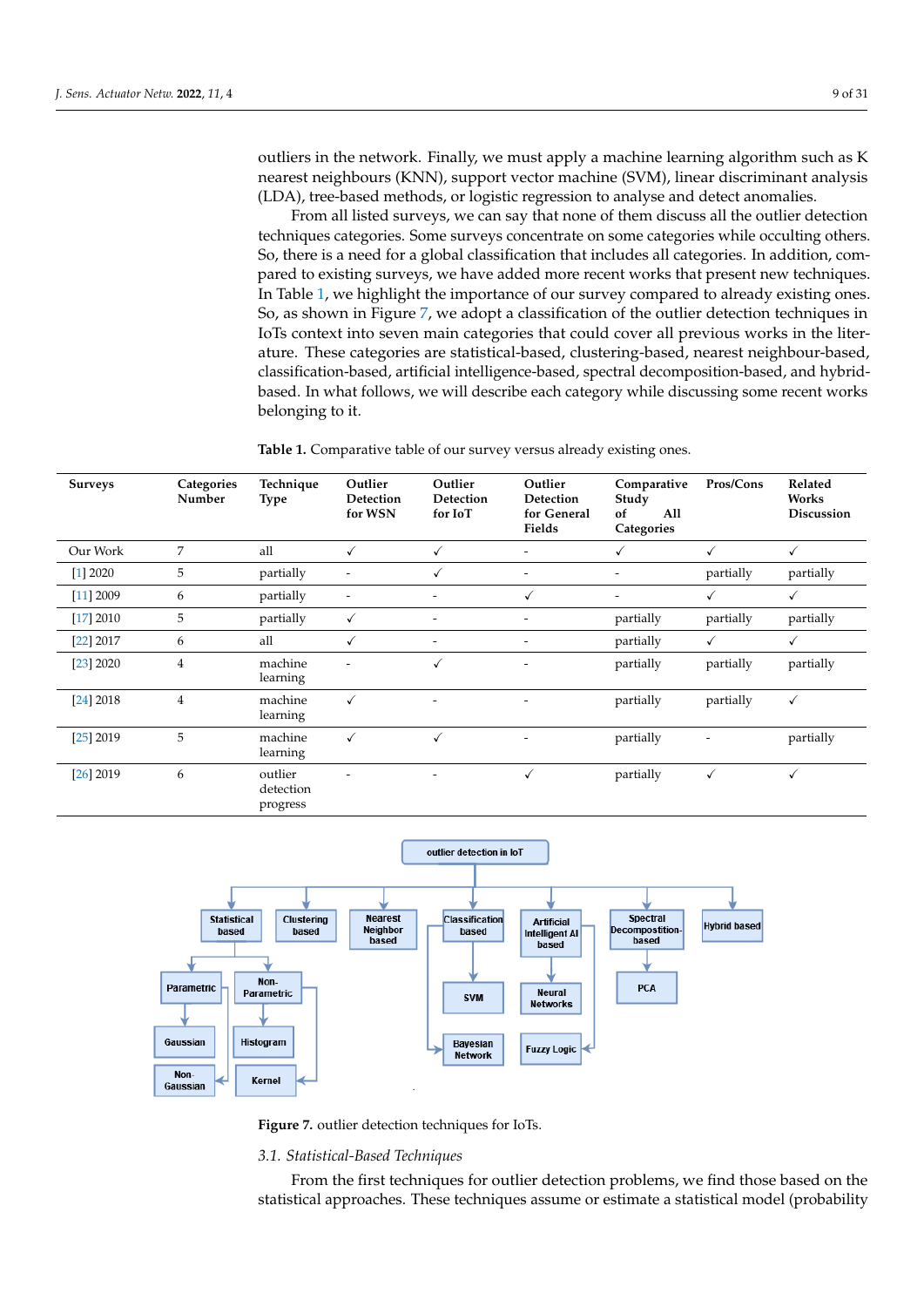outliers in the network. Finally, we must apply a machine learning algorithm such as K nearest neighbours (KNN), support vector machine (SVM), linear discriminant analysis (LDA), tree-based methods, or logistic regression to analyse and detect anomalies.

From all listed surveys, we can say that none of them discuss all the outlier detection techniques categories. Some surveys concentrate on some categories while occulting others. So, there is a need for a global classification that includes all categories. In addition, compared to existing surveys, we have added more recent works that present new techniques. In Table [1,](#page-8-0) we highlight the importance of our survey compared to already existing ones. So, as shown in Figure [7,](#page-8-1) we adopt a classification of the outlier detection techniques in IoTs context into seven main categories that could cover all previous works in the literature. These categories are statistical-based, clustering-based, nearest neighbour-based, classification-based, artificial intelligence-based, spectral decomposition-based, and hybridbased. In what follows, we will describe each category while discussing some recent works belonging to it.

<span id="page-8-0"></span>**Table 1.** Comparative table of our survey versus already existing ones.

| <b>Surveys</b> | Categories<br>Number | Technique<br><b>Type</b>         | Outlier<br>Detection<br>for WSN | Outlier<br>Detection<br>for IoT | Outlier<br>Detection<br>for General<br>Fields | Comparative<br>Study<br>All<br>of<br>Categories | Pros/Cons    | Related<br>Works<br>Discussion |
|----------------|----------------------|----------------------------------|---------------------------------|---------------------------------|-----------------------------------------------|-------------------------------------------------|--------------|--------------------------------|
| Our Work       | 7                    | all                              | ✓                               | ✓                               | $\overline{\phantom{a}}$                      | $\checkmark$                                    | ✓            | ✓                              |
| $[1]$ 2020     | 5                    | partially                        | $\overline{\phantom{a}}$        | ✓                               | $\overline{\phantom{0}}$                      |                                                 | partially    | partially                      |
| [11] 2009      | 6                    | partially                        | $\overline{\phantom{a}}$        |                                 | ✓                                             |                                                 | $\checkmark$ | ✓                              |
| [17] 2010      | 5                    | partially                        | $\checkmark$                    | $\overline{\phantom{a}}$        | $\overline{\phantom{0}}$                      | partially                                       | partially    | partially                      |
| $[22]$ 2017    | 6                    | all                              | $\checkmark$                    | $\overline{\phantom{a}}$        | $\qquad \qquad \blacksquare$                  | partially                                       | $\checkmark$ | $\checkmark$                   |
| [23] 2020      | $\overline{4}$       | machine<br>learning              | $\overline{a}$                  | ✓                               | $\overline{\phantom{a}}$                      | partially                                       | partially    | partially                      |
| [24] 2018      | $\overline{4}$       | machine<br>learning              | $\checkmark$                    |                                 | $\overline{\phantom{0}}$                      | partially                                       | partially    | $\checkmark$                   |
| $[25]$ 2019    | 5                    | machine<br>learning              | $\checkmark$                    | $\checkmark$                    | $\overline{\phantom{0}}$                      | partially                                       | ٠            | partially                      |
| $[26]$ 2019    | 6                    | outlier<br>detection<br>progress |                                 |                                 | ✓                                             | partially                                       | $\checkmark$ | ✓                              |

<span id="page-8-1"></span>

**Figure 7.** outlier detection techniques for IoTs.

#### *3.1. Statistical-Based Techniques*

From the first techniques for outlier detection problems, we find those based on the statistical approaches. These techniques assume or estimate a statistical model (probability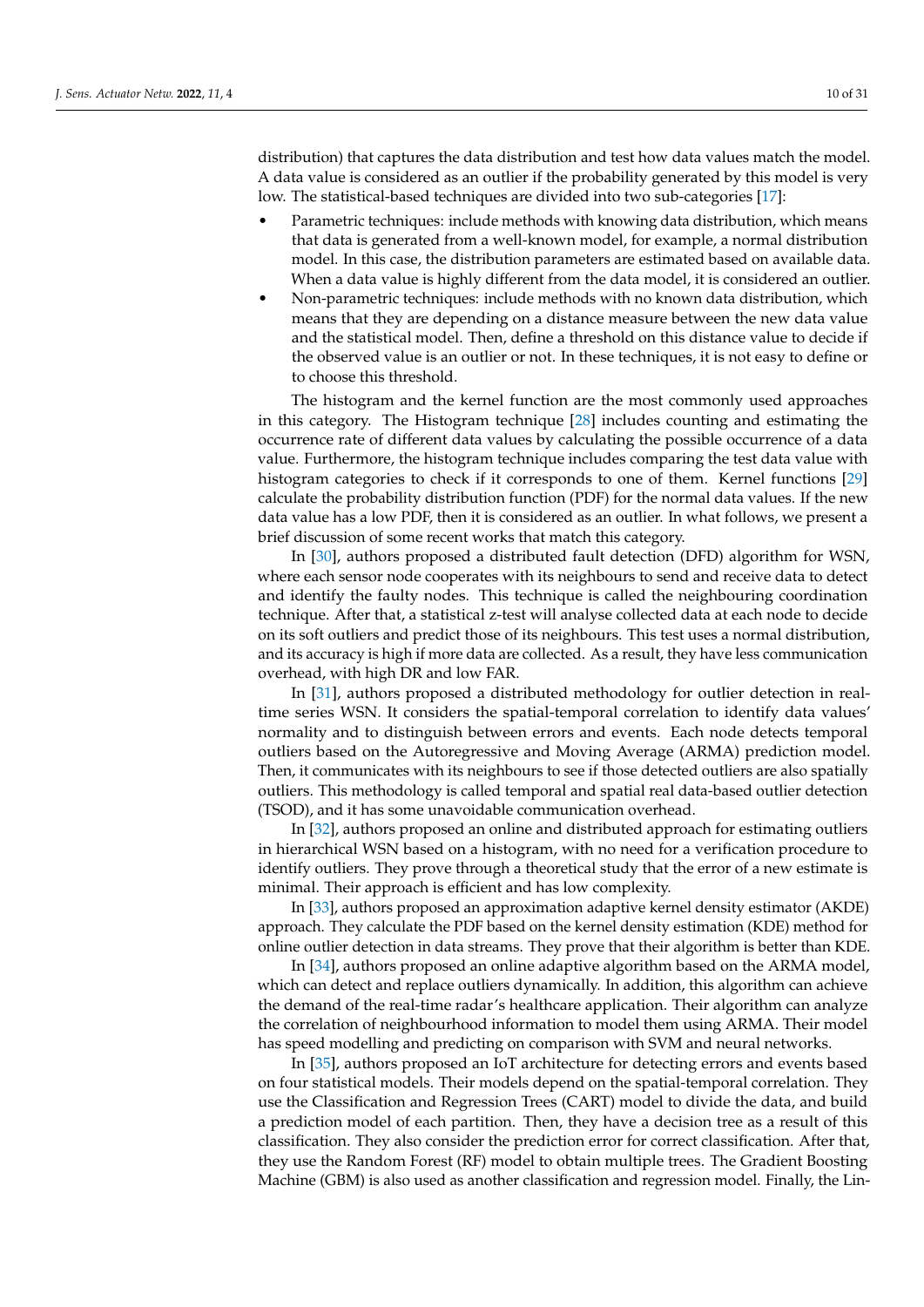distribution) that captures the data distribution and test how data values match the model. A data value is considered as an outlier if the probability generated by this model is very low. The statistical-based techniques are divided into two sub-categories [\[17\]](#page-27-3):

- Parametric techniques: include methods with knowing data distribution, which means that data is generated from a well-known model, for example, a normal distribution model. In this case, the distribution parameters are estimated based on available data. When a data value is highly different from the data model, it is considered an outlier.
- Non-parametric techniques: include methods with no known data distribution, which means that they are depending on a distance measure between the new data value and the statistical model. Then, define a threshold on this distance value to decide if the observed value is an outlier or not. In these techniques, it is not easy to define or to choose this threshold.

The histogram and the kernel function are the most commonly used approaches in this category. The Histogram technique [\[28\]](#page-27-14) includes counting and estimating the occurrence rate of different data values by calculating the possible occurrence of a data value. Furthermore, the histogram technique includes comparing the test data value with histogram categories to check if it corresponds to one of them. Kernel functions [\[29\]](#page-27-15) calculate the probability distribution function (PDF) for the normal data values. If the new data value has a low PDF, then it is considered as an outlier. In what follows, we present a brief discussion of some recent works that match this category.

In [\[30\]](#page-27-16), authors proposed a distributed fault detection (DFD) algorithm for WSN, where each sensor node cooperates with its neighbours to send and receive data to detect and identify the faulty nodes. This technique is called the neighbouring coordination technique. After that, a statistical z-test will analyse collected data at each node to decide on its soft outliers and predict those of its neighbours. This test uses a normal distribution, and its accuracy is high if more data are collected. As a result, they have less communication overhead, with high DR and low FAR.

In [\[31\]](#page-27-17), authors proposed a distributed methodology for outlier detection in realtime series WSN. It considers the spatial-temporal correlation to identify data values' normality and to distinguish between errors and events. Each node detects temporal outliers based on the Autoregressive and Moving Average (ARMA) prediction model. Then, it communicates with its neighbours to see if those detected outliers are also spatially outliers. This methodology is called temporal and spatial real data-based outlier detection (TSOD), and it has some unavoidable communication overhead.

In [\[32\]](#page-27-18), authors proposed an online and distributed approach for estimating outliers in hierarchical WSN based on a histogram, with no need for a verification procedure to identify outliers. They prove through a theoretical study that the error of a new estimate is minimal. Their approach is efficient and has low complexity.

In [\[33\]](#page-27-19), authors proposed an approximation adaptive kernel density estimator (AKDE) approach. They calculate the PDF based on the kernel density estimation (KDE) method for online outlier detection in data streams. They prove that their algorithm is better than KDE.

In [\[34\]](#page-27-20), authors proposed an online adaptive algorithm based on the ARMA model, which can detect and replace outliers dynamically. In addition, this algorithm can achieve the demand of the real-time radar's healthcare application. Their algorithm can analyze the correlation of neighbourhood information to model them using ARMA. Their model has speed modelling and predicting on comparison with SVM and neural networks.

In [\[35\]](#page-27-21), authors proposed an IoT architecture for detecting errors and events based on four statistical models. Their models depend on the spatial-temporal correlation. They use the Classification and Regression Trees (CART) model to divide the data, and build a prediction model of each partition. Then, they have a decision tree as a result of this classification. They also consider the prediction error for correct classification. After that, they use the Random Forest (RF) model to obtain multiple trees. The Gradient Boosting Machine (GBM) is also used as another classification and regression model. Finally, the Lin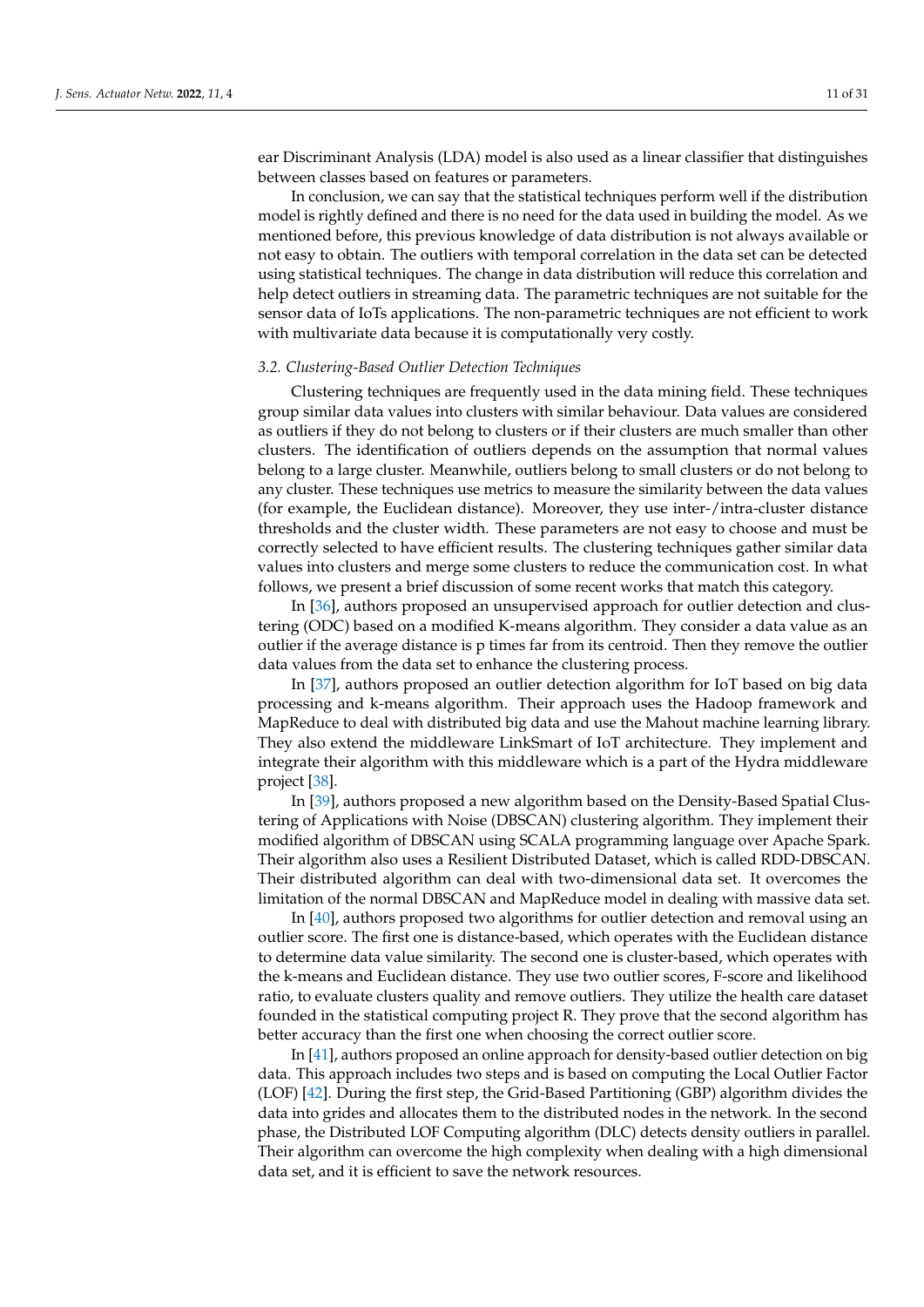ear Discriminant Analysis (LDA) model is also used as a linear classifier that distinguishes between classes based on features or parameters.

In conclusion, we can say that the statistical techniques perform well if the distribution model is rightly defined and there is no need for the data used in building the model. As we mentioned before, this previous knowledge of data distribution is not always available or not easy to obtain. The outliers with temporal correlation in the data set can be detected using statistical techniques. The change in data distribution will reduce this correlation and help detect outliers in streaming data. The parametric techniques are not suitable for the sensor data of IoTs applications. The non-parametric techniques are not efficient to work with multivariate data because it is computationally very costly.

#### *3.2. Clustering-Based Outlier Detection Techniques*

Clustering techniques are frequently used in the data mining field. These techniques group similar data values into clusters with similar behaviour. Data values are considered as outliers if they do not belong to clusters or if their clusters are much smaller than other clusters. The identification of outliers depends on the assumption that normal values belong to a large cluster. Meanwhile, outliers belong to small clusters or do not belong to any cluster. These techniques use metrics to measure the similarity between the data values (for example, the Euclidean distance). Moreover, they use inter-/intra-cluster distance thresholds and the cluster width. These parameters are not easy to choose and must be correctly selected to have efficient results. The clustering techniques gather similar data values into clusters and merge some clusters to reduce the communication cost. In what follows, we present a brief discussion of some recent works that match this category.

In [\[36\]](#page-27-22), authors proposed an unsupervised approach for outlier detection and clustering (ODC) based on a modified K-means algorithm. They consider a data value as an outlier if the average distance is p times far from its centroid. Then they remove the outlier data values from the data set to enhance the clustering process.

In [\[37\]](#page-27-23), authors proposed an outlier detection algorithm for IoT based on big data processing and k-means algorithm. Their approach uses the Hadoop framework and MapReduce to deal with distributed big data and use the Mahout machine learning library. They also extend the middleware LinkSmart of IoT architecture. They implement and integrate their algorithm with this middleware which is a part of the Hydra middleware project [\[38\]](#page-27-24).

In [\[39\]](#page-28-0), authors proposed a new algorithm based on the Density-Based Spatial Clustering of Applications with Noise (DBSCAN) clustering algorithm. They implement their modified algorithm of DBSCAN using SCALA programming language over Apache Spark. Their algorithm also uses a Resilient Distributed Dataset, which is called RDD-DBSCAN. Their distributed algorithm can deal with two-dimensional data set. It overcomes the limitation of the normal DBSCAN and MapReduce model in dealing with massive data set.

In [\[40\]](#page-28-1), authors proposed two algorithms for outlier detection and removal using an outlier score. The first one is distance-based, which operates with the Euclidean distance to determine data value similarity. The second one is cluster-based, which operates with the k-means and Euclidean distance. They use two outlier scores, F-score and likelihood ratio, to evaluate clusters quality and remove outliers. They utilize the health care dataset founded in the statistical computing project R. They prove that the second algorithm has better accuracy than the first one when choosing the correct outlier score.

In [\[41\]](#page-28-2), authors proposed an online approach for density-based outlier detection on big data. This approach includes two steps and is based on computing the Local Outlier Factor (LOF) [\[42\]](#page-28-3). During the first step, the Grid-Based Partitioning (GBP) algorithm divides the data into grides and allocates them to the distributed nodes in the network. In the second phase, the Distributed LOF Computing algorithm (DLC) detects density outliers in parallel. Their algorithm can overcome the high complexity when dealing with a high dimensional data set, and it is efficient to save the network resources.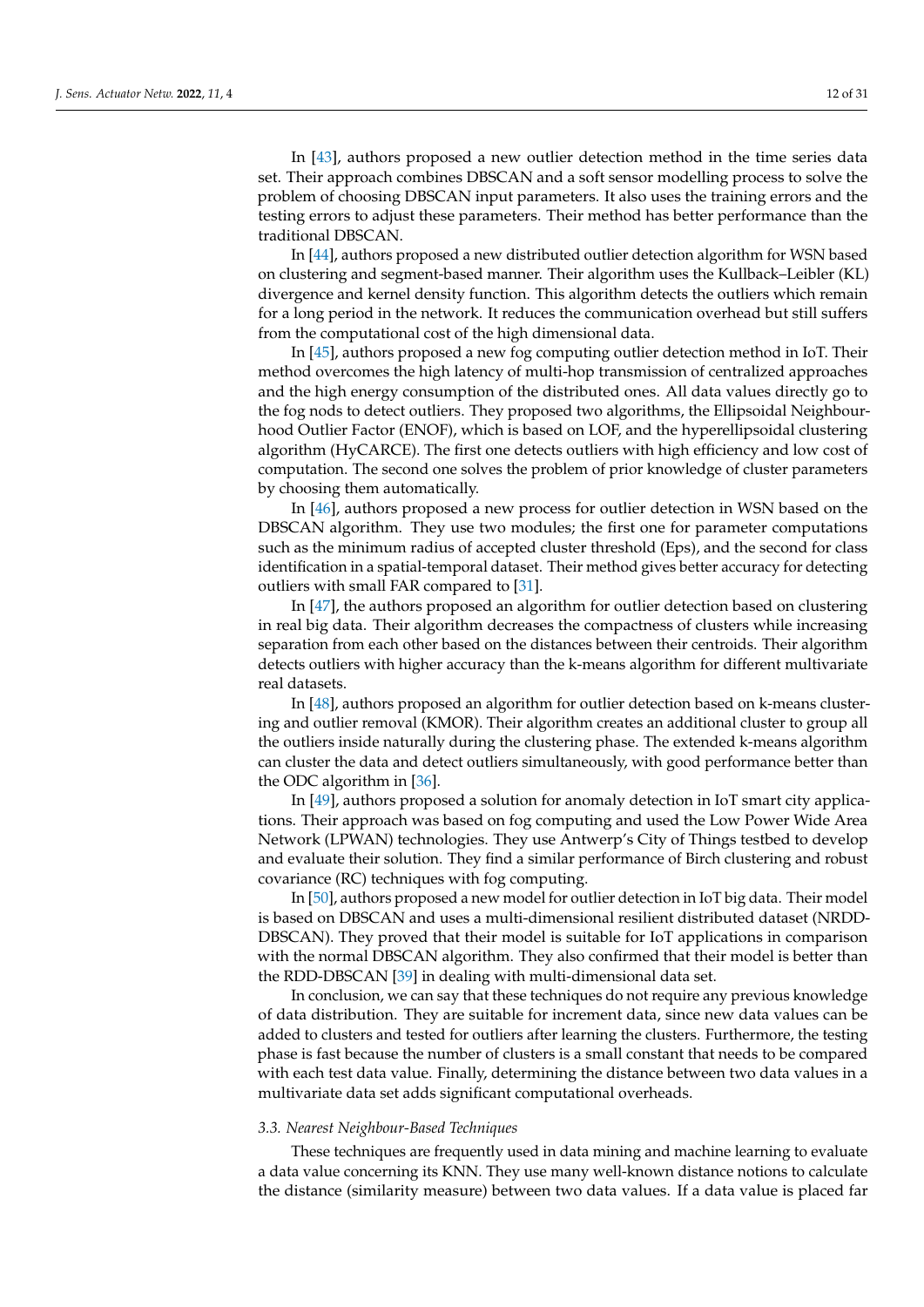In [\[43\]](#page-28-4), authors proposed a new outlier detection method in the time series data set. Their approach combines DBSCAN and a soft sensor modelling process to solve the problem of choosing DBSCAN input parameters. It also uses the training errors and the testing errors to adjust these parameters. Their method has better performance than the traditional DBSCAN.

In [\[44\]](#page-28-5), authors proposed a new distributed outlier detection algorithm for WSN based on clustering and segment-based manner. Their algorithm uses the Kullback–Leibler (KL) divergence and kernel density function. This algorithm detects the outliers which remain for a long period in the network. It reduces the communication overhead but still suffers from the computational cost of the high dimensional data.

In [\[45\]](#page-28-6), authors proposed a new fog computing outlier detection method in IoT. Their method overcomes the high latency of multi-hop transmission of centralized approaches and the high energy consumption of the distributed ones. All data values directly go to the fog nods to detect outliers. They proposed two algorithms, the Ellipsoidal Neighbourhood Outlier Factor (ENOF), which is based on LOF, and the hyperellipsoidal clustering algorithm (HyCARCE). The first one detects outliers with high efficiency and low cost of computation. The second one solves the problem of prior knowledge of cluster parameters by choosing them automatically.

In [\[46\]](#page-28-7), authors proposed a new process for outlier detection in WSN based on the DBSCAN algorithm. They use two modules; the first one for parameter computations such as the minimum radius of accepted cluster threshold (Eps), and the second for class identification in a spatial-temporal dataset. Their method gives better accuracy for detecting outliers with small FAR compared to [\[31\]](#page-27-17).

In [\[47\]](#page-28-8), the authors proposed an algorithm for outlier detection based on clustering in real big data. Their algorithm decreases the compactness of clusters while increasing separation from each other based on the distances between their centroids. Their algorithm detects outliers with higher accuracy than the k-means algorithm for different multivariate real datasets.

In [\[48\]](#page-28-9), authors proposed an algorithm for outlier detection based on k-means clustering and outlier removal (KMOR). Their algorithm creates an additional cluster to group all the outliers inside naturally during the clustering phase. The extended k-means algorithm can cluster the data and detect outliers simultaneously, with good performance better than the ODC algorithm in [\[36\]](#page-27-22).

In [\[49\]](#page-28-10), authors proposed a solution for anomaly detection in IoT smart city applications. Their approach was based on fog computing and used the Low Power Wide Area Network (LPWAN) technologies. They use Antwerp's City of Things testbed to develop and evaluate their solution. They find a similar performance of Birch clustering and robust covariance (RC) techniques with fog computing.

In [\[50\]](#page-28-11), authors proposed a new model for outlier detection in IoT big data. Their model is based on DBSCAN and uses a multi-dimensional resilient distributed dataset (NRDD-DBSCAN). They proved that their model is suitable for IoT applications in comparison with the normal DBSCAN algorithm. They also confirmed that their model is better than the RDD-DBSCAN [\[39\]](#page-28-0) in dealing with multi-dimensional data set.

In conclusion, we can say that these techniques do not require any previous knowledge of data distribution. They are suitable for increment data, since new data values can be added to clusters and tested for outliers after learning the clusters. Furthermore, the testing phase is fast because the number of clusters is a small constant that needs to be compared with each test data value. Finally, determining the distance between two data values in a multivariate data set adds significant computational overheads.

# *3.3. Nearest Neighbour-Based Techniques*

These techniques are frequently used in data mining and machine learning to evaluate a data value concerning its KNN. They use many well-known distance notions to calculate the distance (similarity measure) between two data values. If a data value is placed far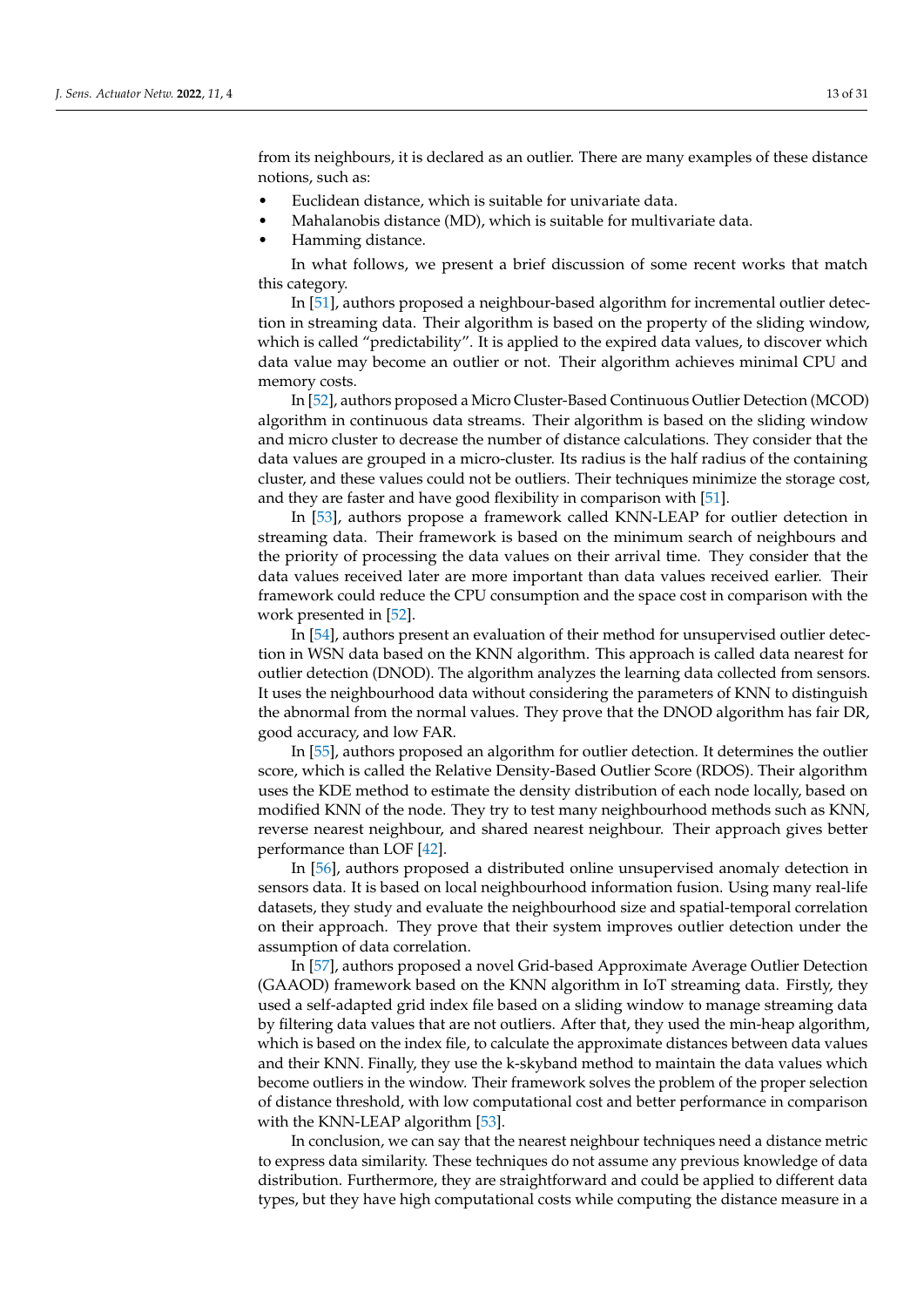from its neighbours, it is declared as an outlier. There are many examples of these distance notions, such as:

- Euclidean distance, which is suitable for univariate data.
- Mahalanobis distance (MD), which is suitable for multivariate data.
- Hamming distance.

In what follows, we present a brief discussion of some recent works that match this category.

In [\[51\]](#page-28-12), authors proposed a neighbour-based algorithm for incremental outlier detection in streaming data. Their algorithm is based on the property of the sliding window, which is called "predictability". It is applied to the expired data values, to discover which data value may become an outlier or not. Their algorithm achieves minimal CPU and memory costs.

In [\[52\]](#page-28-13), authors proposed a Micro Cluster-Based Continuous Outlier Detection (MCOD) algorithm in continuous data streams. Their algorithm is based on the sliding window and micro cluster to decrease the number of distance calculations. They consider that the data values are grouped in a micro-cluster. Its radius is the half radius of the containing cluster, and these values could not be outliers. Their techniques minimize the storage cost, and they are faster and have good flexibility in comparison with [\[51\]](#page-28-12).

In [\[53\]](#page-28-14), authors propose a framework called KNN-LEAP for outlier detection in streaming data. Their framework is based on the minimum search of neighbours and the priority of processing the data values on their arrival time. They consider that the data values received later are more important than data values received earlier. Their framework could reduce the CPU consumption and the space cost in comparison with the work presented in [\[52\]](#page-28-13).

In [\[54\]](#page-28-15), authors present an evaluation of their method for unsupervised outlier detection in WSN data based on the KNN algorithm. This approach is called data nearest for outlier detection (DNOD). The algorithm analyzes the learning data collected from sensors. It uses the neighbourhood data without considering the parameters of KNN to distinguish the abnormal from the normal values. They prove that the DNOD algorithm has fair DR, good accuracy, and low FAR.

In [\[55\]](#page-28-16), authors proposed an algorithm for outlier detection. It determines the outlier score, which is called the Relative Density-Based Outlier Score (RDOS). Their algorithm uses the KDE method to estimate the density distribution of each node locally, based on modified KNN of the node. They try to test many neighbourhood methods such as KNN, reverse nearest neighbour, and shared nearest neighbour. Their approach gives better performance than LOF [\[42\]](#page-28-3).

In [\[56\]](#page-28-17), authors proposed a distributed online unsupervised anomaly detection in sensors data. It is based on local neighbourhood information fusion. Using many real-life datasets, they study and evaluate the neighbourhood size and spatial-temporal correlation on their approach. They prove that their system improves outlier detection under the assumption of data correlation.

In [\[57\]](#page-28-18), authors proposed a novel Grid-based Approximate Average Outlier Detection (GAAOD) framework based on the KNN algorithm in IoT streaming data. Firstly, they used a self-adapted grid index file based on a sliding window to manage streaming data by filtering data values that are not outliers. After that, they used the min-heap algorithm, which is based on the index file, to calculate the approximate distances between data values and their KNN. Finally, they use the k-skyband method to maintain the data values which become outliers in the window. Their framework solves the problem of the proper selection of distance threshold, with low computational cost and better performance in comparison with the KNN-LEAP algorithm [\[53\]](#page-28-14).

In conclusion, we can say that the nearest neighbour techniques need a distance metric to express data similarity. These techniques do not assume any previous knowledge of data distribution. Furthermore, they are straightforward and could be applied to different data types, but they have high computational costs while computing the distance measure in a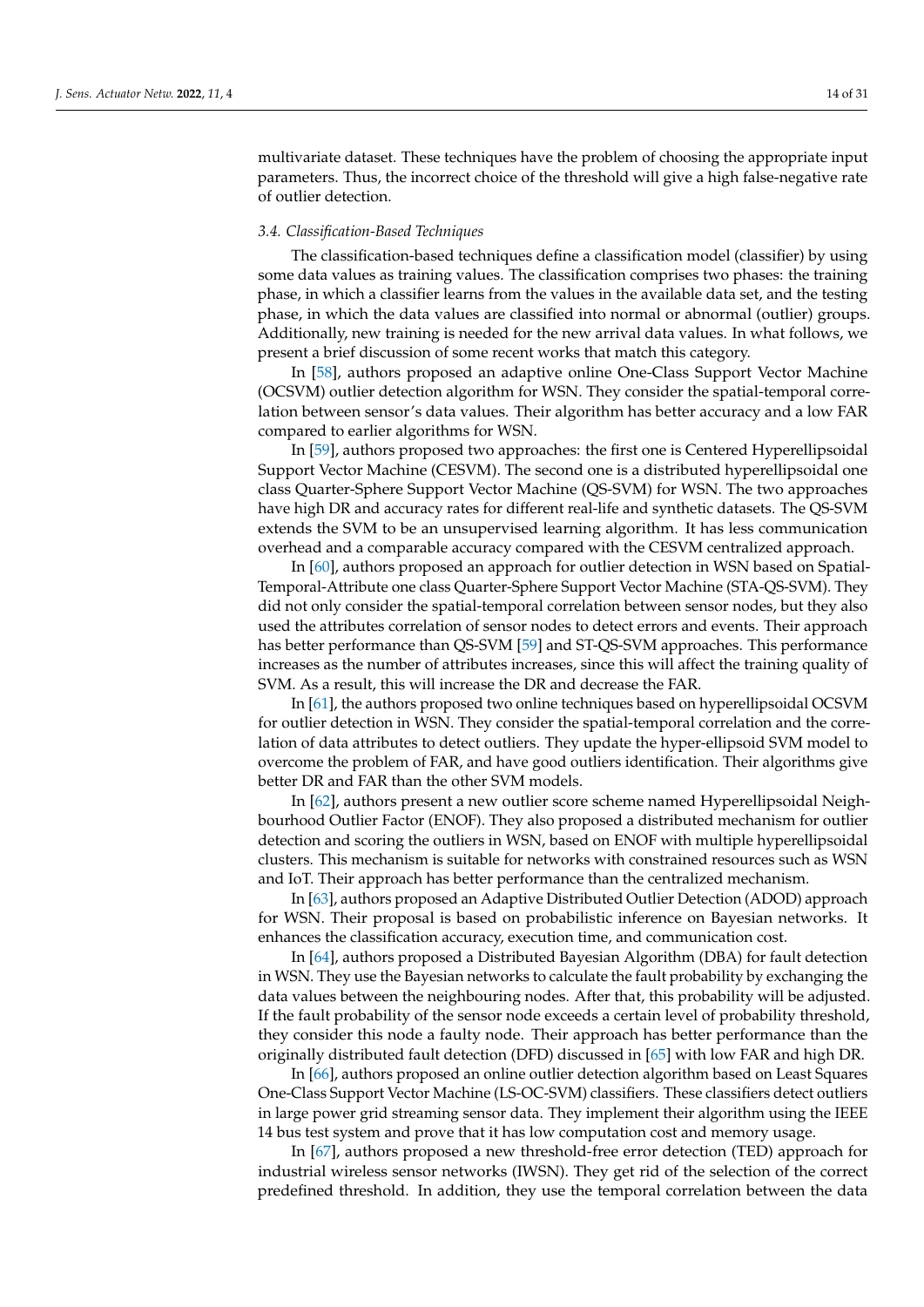multivariate dataset. These techniques have the problem of choosing the appropriate input parameters. Thus, the incorrect choice of the threshold will give a high false-negative rate of outlier detection.

## *3.4. Classification-Based Techniques*

The classification-based techniques define a classification model (classifier) by using some data values as training values. The classification comprises two phases: the training phase, in which a classifier learns from the values in the available data set, and the testing phase, in which the data values are classified into normal or abnormal (outlier) groups. Additionally, new training is needed for the new arrival data values. In what follows, we present a brief discussion of some recent works that match this category.

In [\[58\]](#page-28-19), authors proposed an adaptive online One-Class Support Vector Machine (OCSVM) outlier detection algorithm for WSN. They consider the spatial-temporal correlation between sensor's data values. Their algorithm has better accuracy and a low FAR compared to earlier algorithms for WSN.

In [\[59\]](#page-28-20), authors proposed two approaches: the first one is Centered Hyperellipsoidal Support Vector Machine (CESVM). The second one is a distributed hyperellipsoidal one class Quarter-Sphere Support Vector Machine (QS-SVM) for WSN. The two approaches have high DR and accuracy rates for different real-life and synthetic datasets. The QS-SVM extends the SVM to be an unsupervised learning algorithm. It has less communication overhead and a comparable accuracy compared with the CESVM centralized approach.

In [\[60\]](#page-28-21), authors proposed an approach for outlier detection in WSN based on Spatial-Temporal-Attribute one class Quarter-Sphere Support Vector Machine (STA-QS-SVM). They did not only consider the spatial-temporal correlation between sensor nodes, but they also used the attributes correlation of sensor nodes to detect errors and events. Their approach has better performance than QS-SVM [\[59\]](#page-28-20) and ST-QS-SVM approaches. This performance increases as the number of attributes increases, since this will affect the training quality of SVM. As a result, this will increase the DR and decrease the FAR.

In [\[61\]](#page-28-22), the authors proposed two online techniques based on hyperellipsoidal OCSVM for outlier detection in WSN. They consider the spatial-temporal correlation and the correlation of data attributes to detect outliers. They update the hyper-ellipsoid SVM model to overcome the problem of FAR, and have good outliers identification. Their algorithms give better DR and FAR than the other SVM models.

In [\[62\]](#page-28-23), authors present a new outlier score scheme named Hyperellipsoidal Neighbourhood Outlier Factor (ENOF). They also proposed a distributed mechanism for outlier detection and scoring the outliers in WSN, based on ENOF with multiple hyperellipsoidal clusters. This mechanism is suitable for networks with constrained resources such as WSN and IoT. Their approach has better performance than the centralized mechanism.

In [\[63\]](#page-28-24), authors proposed an Adaptive Distributed Outlier Detection (ADOD) approach for WSN. Their proposal is based on probabilistic inference on Bayesian networks. It enhances the classification accuracy, execution time, and communication cost.

In [\[64\]](#page-28-25), authors proposed a Distributed Bayesian Algorithm (DBA) for fault detection in WSN. They use the Bayesian networks to calculate the fault probability by exchanging the data values between the neighbouring nodes. After that, this probability will be adjusted. If the fault probability of the sensor node exceeds a certain level of probability threshold, they consider this node a faulty node. Their approach has better performance than the originally distributed fault detection (DFD) discussed in [\[65\]](#page-29-0) with low FAR and high DR.

In [\[66\]](#page-29-1), authors proposed an online outlier detection algorithm based on Least Squares One-Class Support Vector Machine (LS-OC-SVM) classifiers. These classifiers detect outliers in large power grid streaming sensor data. They implement their algorithm using the IEEE 14 bus test system and prove that it has low computation cost and memory usage.

In [\[67\]](#page-29-2), authors proposed a new threshold-free error detection (TED) approach for industrial wireless sensor networks (IWSN). They get rid of the selection of the correct predefined threshold. In addition, they use the temporal correlation between the data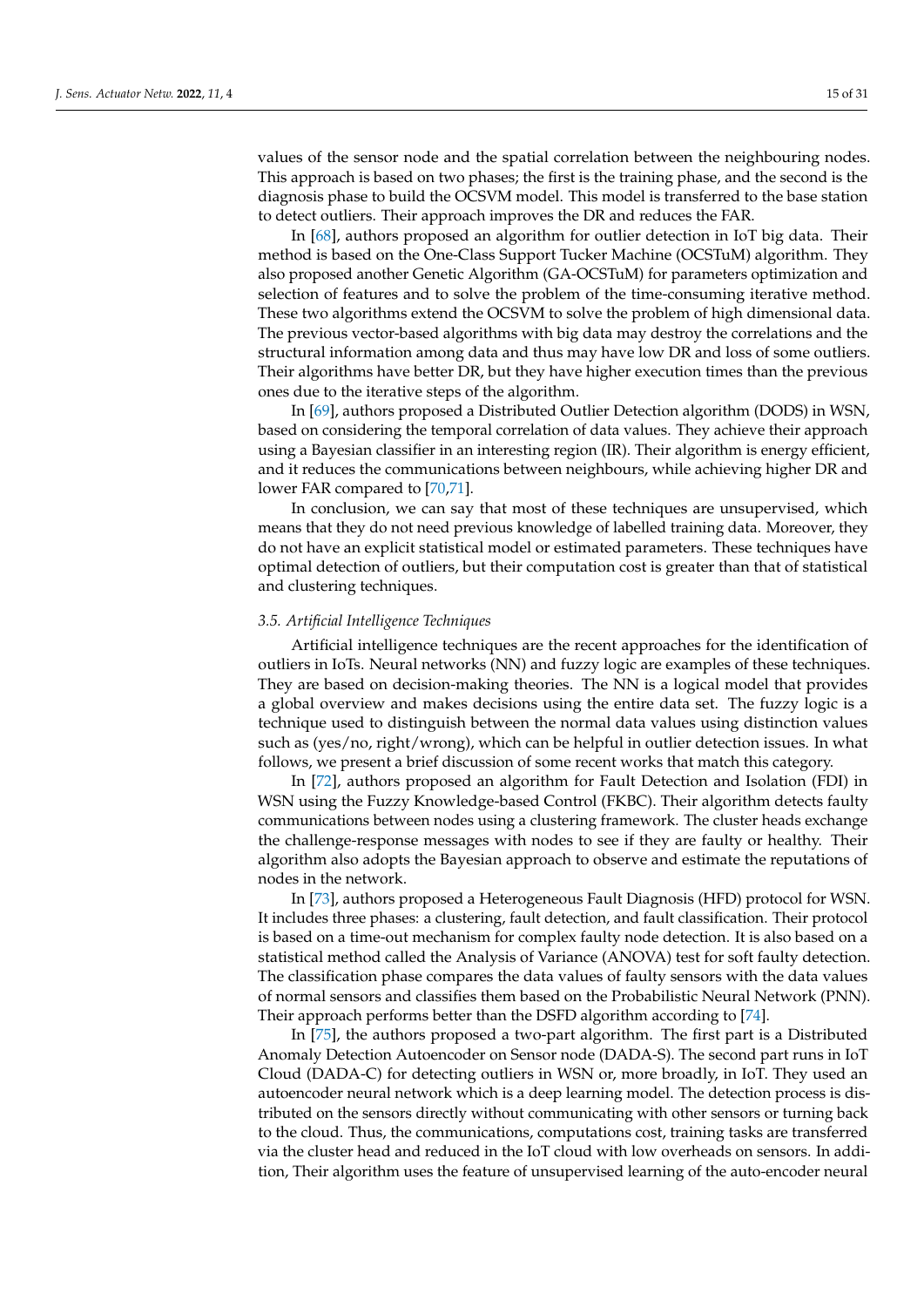values of the sensor node and the spatial correlation between the neighbouring nodes. This approach is based on two phases; the first is the training phase, and the second is the diagnosis phase to build the OCSVM model. This model is transferred to the base station to detect outliers. Their approach improves the DR and reduces the FAR.

In [\[68\]](#page-29-3), authors proposed an algorithm for outlier detection in IoT big data. Their method is based on the One-Class Support Tucker Machine (OCSTuM) algorithm. They also proposed another Genetic Algorithm (GA-OCSTuM) for parameters optimization and selection of features and to solve the problem of the time-consuming iterative method. These two algorithms extend the OCSVM to solve the problem of high dimensional data. The previous vector-based algorithms with big data may destroy the correlations and the structural information among data and thus may have low DR and loss of some outliers. Their algorithms have better DR, but they have higher execution times than the previous ones due to the iterative steps of the algorithm.

In [\[69\]](#page-29-4), authors proposed a Distributed Outlier Detection algorithm (DODS) in WSN, based on considering the temporal correlation of data values. They achieve their approach using a Bayesian classifier in an interesting region (IR). Their algorithm is energy efficient, and it reduces the communications between neighbours, while achieving higher DR and lower FAR compared to [\[70,](#page-29-5)[71\]](#page-29-6).

In conclusion, we can say that most of these techniques are unsupervised, which means that they do not need previous knowledge of labelled training data. Moreover, they do not have an explicit statistical model or estimated parameters. These techniques have optimal detection of outliers, but their computation cost is greater than that of statistical and clustering techniques.

#### *3.5. Artificial Intelligence Techniques*

Artificial intelligence techniques are the recent approaches for the identification of outliers in IoTs. Neural networks (NN) and fuzzy logic are examples of these techniques. They are based on decision-making theories. The NN is a logical model that provides a global overview and makes decisions using the entire data set. The fuzzy logic is a technique used to distinguish between the normal data values using distinction values such as (yes/no, right/wrong), which can be helpful in outlier detection issues. In what follows, we present a brief discussion of some recent works that match this category.

In [\[72\]](#page-29-7), authors proposed an algorithm for Fault Detection and Isolation (FDI) in WSN using the Fuzzy Knowledge-based Control (FKBC). Their algorithm detects faulty communications between nodes using a clustering framework. The cluster heads exchange the challenge-response messages with nodes to see if they are faulty or healthy. Their algorithm also adopts the Bayesian approach to observe and estimate the reputations of nodes in the network.

In [\[73\]](#page-29-8), authors proposed a Heterogeneous Fault Diagnosis (HFD) protocol for WSN. It includes three phases: a clustering, fault detection, and fault classification. Their protocol is based on a time-out mechanism for complex faulty node detection. It is also based on a statistical method called the Analysis of Variance (ANOVA) test for soft faulty detection. The classification phase compares the data values of faulty sensors with the data values of normal sensors and classifies them based on the Probabilistic Neural Network (PNN). Their approach performs better than the DSFD algorithm according to [\[74\]](#page-29-9).

In [\[75\]](#page-29-10), the authors proposed a two-part algorithm. The first part is a Distributed Anomaly Detection Autoencoder on Sensor node (DADA-S). The second part runs in IoT Cloud (DADA-C) for detecting outliers in WSN or, more broadly, in IoT. They used an autoencoder neural network which is a deep learning model. The detection process is distributed on the sensors directly without communicating with other sensors or turning back to the cloud. Thus, the communications, computations cost, training tasks are transferred via the cluster head and reduced in the IoT cloud with low overheads on sensors. In addition, Their algorithm uses the feature of unsupervised learning of the auto-encoder neural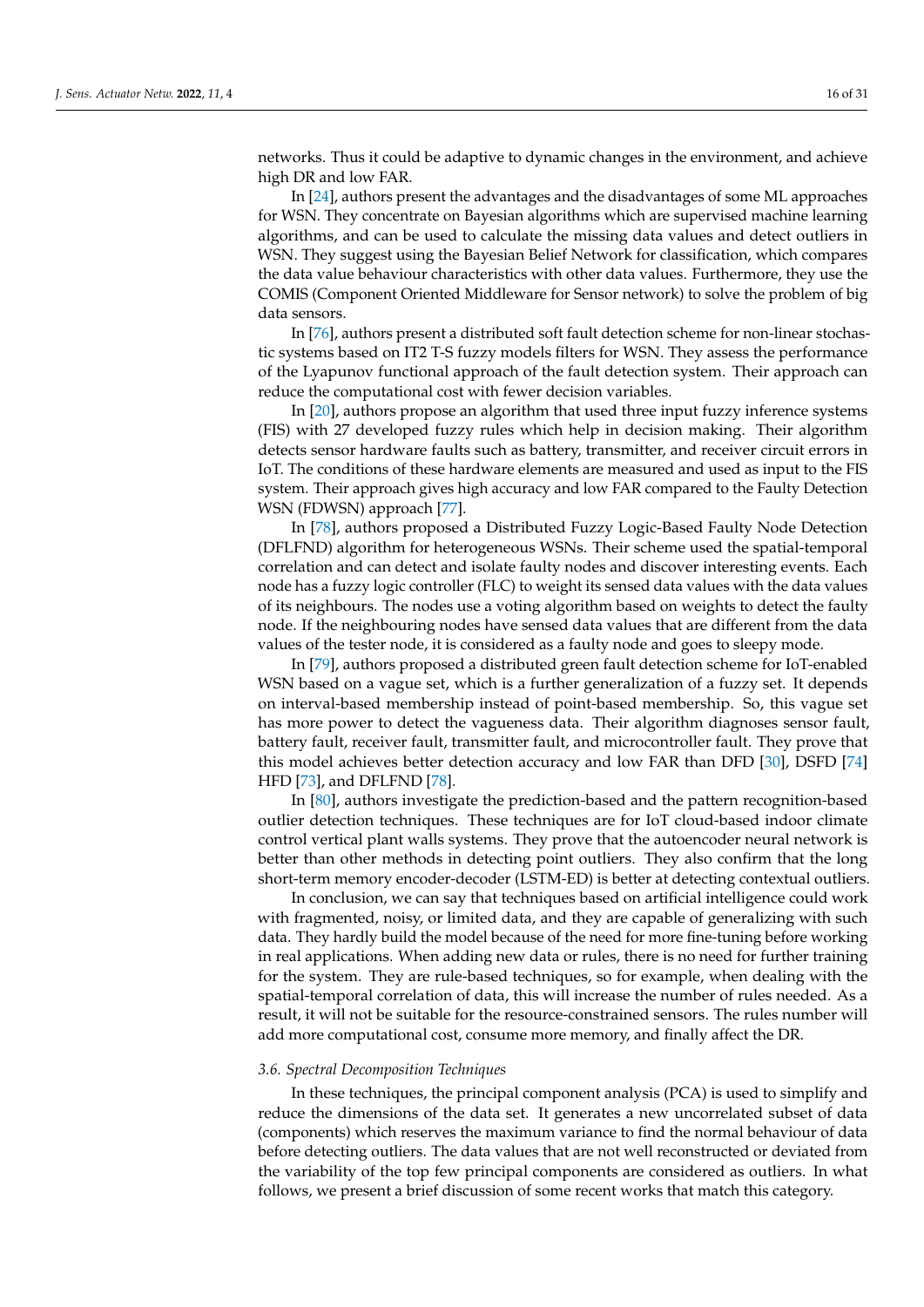networks. Thus it could be adaptive to dynamic changes in the environment, and achieve high DR and low FAR.

In [\[24\]](#page-27-13), authors present the advantages and the disadvantages of some ML approaches for WSN. They concentrate on Bayesian algorithms which are supervised machine learning algorithms, and can be used to calculate the missing data values and detect outliers in WSN. They suggest using the Bayesian Belief Network for classification, which compares the data value behaviour characteristics with other data values. Furthermore, they use the COMIS (Component Oriented Middleware for Sensor network) to solve the problem of big data sensors.

In [\[76\]](#page-29-11), authors present a distributed soft fault detection scheme for non-linear stochastic systems based on IT2 T-S fuzzy models filters for WSN. They assess the performance of the Lyapunov functional approach of the fault detection system. Their approach can reduce the computational cost with fewer decision variables.

In [\[20\]](#page-27-6), authors propose an algorithm that used three input fuzzy inference systems (FIS) with 27 developed fuzzy rules which help in decision making. Their algorithm detects sensor hardware faults such as battery, transmitter, and receiver circuit errors in IoT. The conditions of these hardware elements are measured and used as input to the FIS system. Their approach gives high accuracy and low FAR compared to the Faulty Detection WSN (FDWSN) approach [\[77\]](#page-29-12).

In [\[78\]](#page-29-13), authors proposed a Distributed Fuzzy Logic-Based Faulty Node Detection (DFLFND) algorithm for heterogeneous WSNs. Their scheme used the spatial-temporal correlation and can detect and isolate faulty nodes and discover interesting events. Each node has a fuzzy logic controller (FLC) to weight its sensed data values with the data values of its neighbours. The nodes use a voting algorithm based on weights to detect the faulty node. If the neighbouring nodes have sensed data values that are different from the data values of the tester node, it is considered as a faulty node and goes to sleepy mode.

In [\[79\]](#page-29-14), authors proposed a distributed green fault detection scheme for IoT-enabled WSN based on a vague set, which is a further generalization of a fuzzy set. It depends on interval-based membership instead of point-based membership. So, this vague set has more power to detect the vagueness data. Their algorithm diagnoses sensor fault, battery fault, receiver fault, transmitter fault, and microcontroller fault. They prove that this model achieves better detection accuracy and low FAR than DFD [\[30\]](#page-27-16), DSFD [\[74\]](#page-29-9) HFD [\[73\]](#page-29-8), and DFLFND [\[78\]](#page-29-13).

In [\[80\]](#page-29-15), authors investigate the prediction-based and the pattern recognition-based outlier detection techniques. These techniques are for IoT cloud-based indoor climate control vertical plant walls systems. They prove that the autoencoder neural network is better than other methods in detecting point outliers. They also confirm that the long short-term memory encoder-decoder (LSTM-ED) is better at detecting contextual outliers.

In conclusion, we can say that techniques based on artificial intelligence could work with fragmented, noisy, or limited data, and they are capable of generalizing with such data. They hardly build the model because of the need for more fine-tuning before working in real applications. When adding new data or rules, there is no need for further training for the system. They are rule-based techniques, so for example, when dealing with the spatial-temporal correlation of data, this will increase the number of rules needed. As a result, it will not be suitable for the resource-constrained sensors. The rules number will add more computational cost, consume more memory, and finally affect the DR.

#### *3.6. Spectral Decomposition Techniques*

In these techniques, the principal component analysis (PCA) is used to simplify and reduce the dimensions of the data set. It generates a new uncorrelated subset of data (components) which reserves the maximum variance to find the normal behaviour of data before detecting outliers. The data values that are not well reconstructed or deviated from the variability of the top few principal components are considered as outliers. In what follows, we present a brief discussion of some recent works that match this category.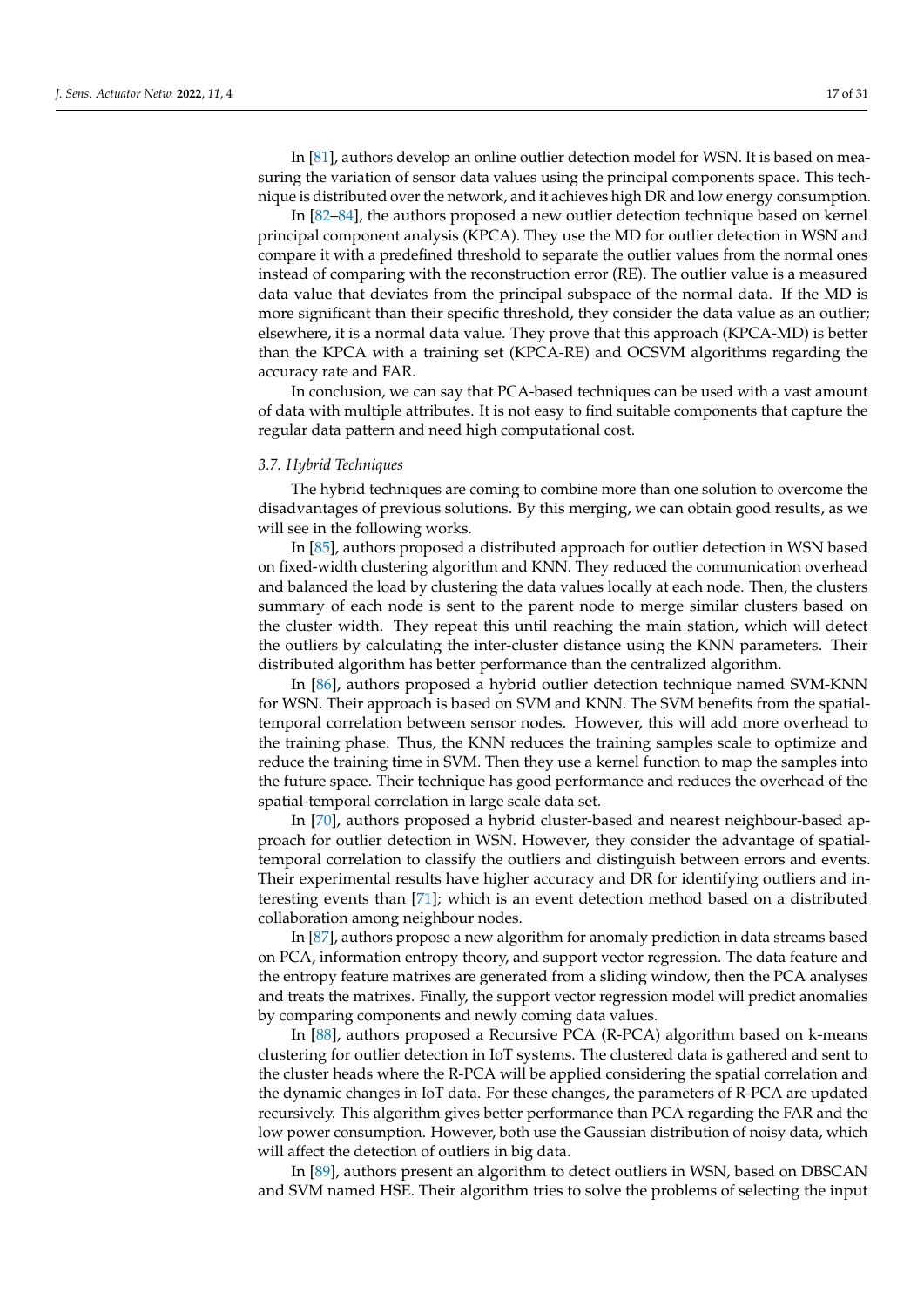In [\[81\]](#page-29-16), authors develop an online outlier detection model for WSN. It is based on measuring the variation of sensor data values using the principal components space. This technique is distributed over the network, and it achieves high DR and low energy consumption.

In [\[82–](#page-29-17)[84\]](#page-29-18), the authors proposed a new outlier detection technique based on kernel principal component analysis (KPCA). They use the MD for outlier detection in WSN and compare it with a predefined threshold to separate the outlier values from the normal ones instead of comparing with the reconstruction error (RE). The outlier value is a measured data value that deviates from the principal subspace of the normal data. If the MD is more significant than their specific threshold, they consider the data value as an outlier; elsewhere, it is a normal data value. They prove that this approach (KPCA-MD) is better than the KPCA with a training set (KPCA-RE) and OCSVM algorithms regarding the accuracy rate and FAR.

In conclusion, we can say that PCA-based techniques can be used with a vast amount of data with multiple attributes. It is not easy to find suitable components that capture the regular data pattern and need high computational cost.

## *3.7. Hybrid Techniques*

The hybrid techniques are coming to combine more than one solution to overcome the disadvantages of previous solutions. By this merging, we can obtain good results, as we will see in the following works.

In [\[85\]](#page-29-19), authors proposed a distributed approach for outlier detection in WSN based on fixed-width clustering algorithm and KNN. They reduced the communication overhead and balanced the load by clustering the data values locally at each node. Then, the clusters summary of each node is sent to the parent node to merge similar clusters based on the cluster width. They repeat this until reaching the main station, which will detect the outliers by calculating the inter-cluster distance using the KNN parameters. Their distributed algorithm has better performance than the centralized algorithm.

In [\[86\]](#page-29-20), authors proposed a hybrid outlier detection technique named SVM-KNN for WSN. Their approach is based on SVM and KNN. The SVM benefits from the spatialtemporal correlation between sensor nodes. However, this will add more overhead to the training phase. Thus, the KNN reduces the training samples scale to optimize and reduce the training time in SVM. Then they use a kernel function to map the samples into the future space. Their technique has good performance and reduces the overhead of the spatial-temporal correlation in large scale data set.

In [\[70\]](#page-29-5), authors proposed a hybrid cluster-based and nearest neighbour-based approach for outlier detection in WSN. However, they consider the advantage of spatialtemporal correlation to classify the outliers and distinguish between errors and events. Their experimental results have higher accuracy and DR for identifying outliers and interesting events than [\[71\]](#page-29-6); which is an event detection method based on a distributed collaboration among neighbour nodes.

In [\[87\]](#page-29-21), authors propose a new algorithm for anomaly prediction in data streams based on PCA, information entropy theory, and support vector regression. The data feature and the entropy feature matrixes are generated from a sliding window, then the PCA analyses and treats the matrixes. Finally, the support vector regression model will predict anomalies by comparing components and newly coming data values.

In [\[88\]](#page-29-22), authors proposed a Recursive PCA (R-PCA) algorithm based on k-means clustering for outlier detection in IoT systems. The clustered data is gathered and sent to the cluster heads where the R-PCA will be applied considering the spatial correlation and the dynamic changes in IoT data. For these changes, the parameters of R-PCA are updated recursively. This algorithm gives better performance than PCA regarding the FAR and the low power consumption. However, both use the Gaussian distribution of noisy data, which will affect the detection of outliers in big data.

In [\[89\]](#page-29-23), authors present an algorithm to detect outliers in WSN, based on DBSCAN and SVM named HSE. Their algorithm tries to solve the problems of selecting the input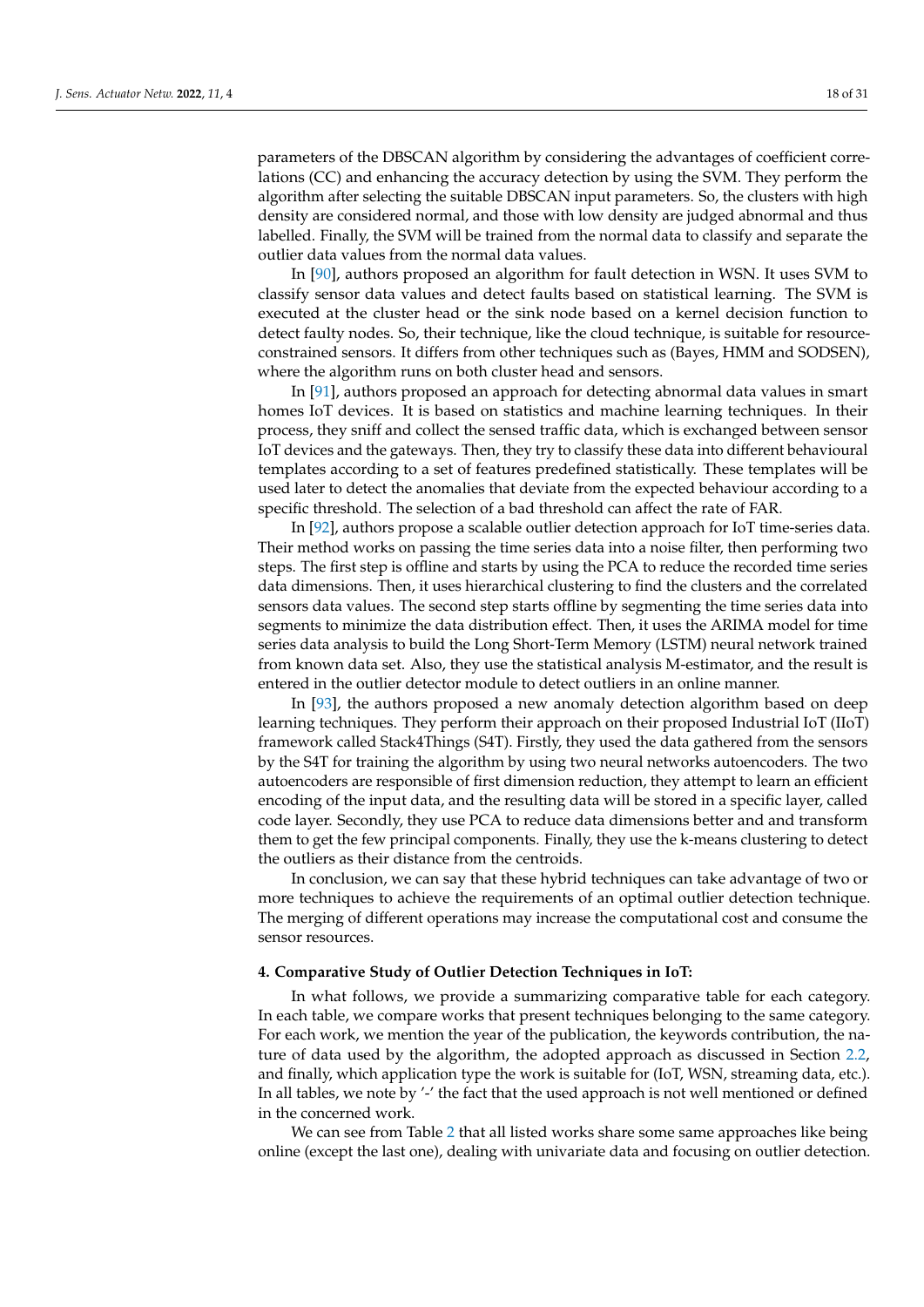parameters of the DBSCAN algorithm by considering the advantages of coefficient correlations (CC) and enhancing the accuracy detection by using the SVM. They perform the algorithm after selecting the suitable DBSCAN input parameters. So, the clusters with high density are considered normal, and those with low density are judged abnormal and thus labelled. Finally, the SVM will be trained from the normal data to classify and separate the outlier data values from the normal data values.

In [\[90\]](#page-30-0), authors proposed an algorithm for fault detection in WSN. It uses SVM to classify sensor data values and detect faults based on statistical learning. The SVM is executed at the cluster head or the sink node based on a kernel decision function to detect faulty nodes. So, their technique, like the cloud technique, is suitable for resourceconstrained sensors. It differs from other techniques such as (Bayes, HMM and SODSEN), where the algorithm runs on both cluster head and sensors.

In [\[91\]](#page-30-1), authors proposed an approach for detecting abnormal data values in smart homes IoT devices. It is based on statistics and machine learning techniques. In their process, they sniff and collect the sensed traffic data, which is exchanged between sensor IoT devices and the gateways. Then, they try to classify these data into different behavioural templates according to a set of features predefined statistically. These templates will be used later to detect the anomalies that deviate from the expected behaviour according to a specific threshold. The selection of a bad threshold can affect the rate of FAR.

In [\[92\]](#page-30-2), authors propose a scalable outlier detection approach for IoT time-series data. Their method works on passing the time series data into a noise filter, then performing two steps. The first step is offline and starts by using the PCA to reduce the recorded time series data dimensions. Then, it uses hierarchical clustering to find the clusters and the correlated sensors data values. The second step starts offline by segmenting the time series data into segments to minimize the data distribution effect. Then, it uses the ARIMA model for time series data analysis to build the Long Short-Term Memory (LSTM) neural network trained from known data set. Also, they use the statistical analysis M-estimator, and the result is entered in the outlier detector module to detect outliers in an online manner.

In [\[93\]](#page-30-3), the authors proposed a new anomaly detection algorithm based on deep learning techniques. They perform their approach on their proposed Industrial IoT (IIoT) framework called Stack4Things (S4T). Firstly, they used the data gathered from the sensors by the S4T for training the algorithm by using two neural networks autoencoders. The two autoencoders are responsible of first dimension reduction, they attempt to learn an efficient encoding of the input data, and the resulting data will be stored in a specific layer, called code layer. Secondly, they use PCA to reduce data dimensions better and and transform them to get the few principal components. Finally, they use the k-means clustering to detect the outliers as their distance from the centroids.

In conclusion, we can say that these hybrid techniques can take advantage of two or more techniques to achieve the requirements of an optimal outlier detection technique. The merging of different operations may increase the computational cost and consume the sensor resources.

#### <span id="page-17-0"></span>**4. Comparative Study of Outlier Detection Techniques in IoT:**

In what follows, we provide a summarizing comparative table for each category. In each table, we compare works that present techniques belonging to the same category. For each work, we mention the year of the publication, the keywords contribution, the nature of data used by the algorithm, the adopted approach as discussed in Section [2.2,](#page-3-1) and finally, which application type the work is suitable for (IoT, WSN, streaming data, etc.). In all tables, we note by '-' the fact that the used approach is not well mentioned or defined in the concerned work.

We can see from Table [2](#page-18-0) that all listed works share some same approaches like being online (except the last one), dealing with univariate data and focusing on outlier detection.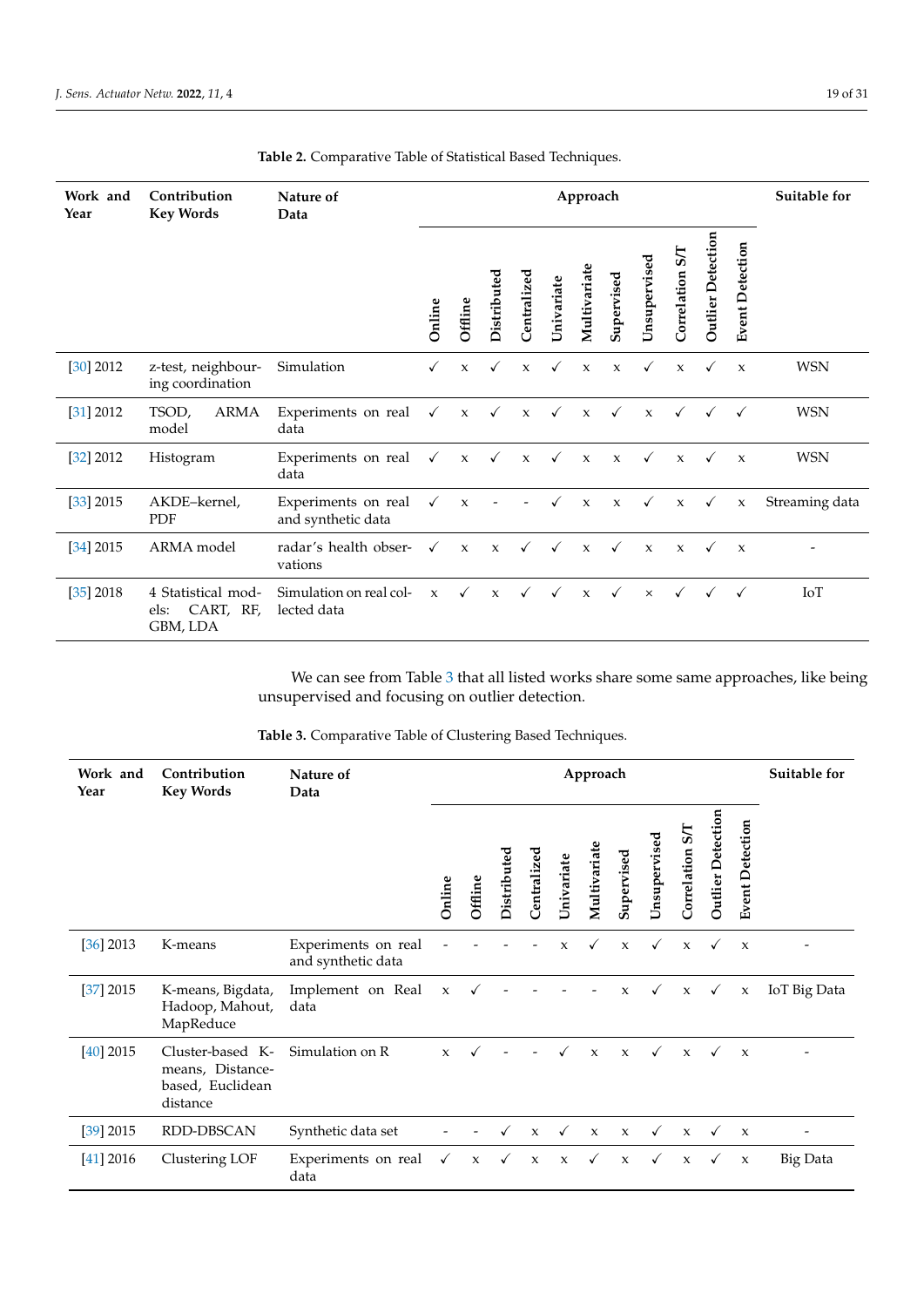| Work and<br>Year | Contribution<br><b>Key Words</b>                    | Nature of<br>Data                         | Approach     |              |              |                 |              |              |              |              |                            |                   |                           | Suitable for             |
|------------------|-----------------------------------------------------|-------------------------------------------|--------------|--------------|--------------|-----------------|--------------|--------------|--------------|--------------|----------------------------|-------------------|---------------------------|--------------------------|
|                  |                                                     |                                           | Online       | Offline      | Distributed  | ್ಠ<br>Centraliz | Univariate   | Multivariate | Supervised   | Unsupervised | $5\sqrt{ }$<br>Correlation | Outlier Detection | <b>Event Detection</b>    |                          |
| $[30]$ 2012      | z-test, neighbour-<br>ing coordination              | Simulation                                | $\checkmark$ | $\mathbf{x}$ | √            | $\mathbf{x}$    | $\checkmark$ | $\mathbf{x}$ | $\mathbf{x}$ | $\checkmark$ | $\mathbf{x}$               | $\checkmark$      | $\mathbf{x}$              | <b>WSN</b>               |
| [31] 2012        | TSOD,<br>ARMA<br>model                              | Experiments on real<br>data               | $\checkmark$ | $\mathbf{x}$ | $\checkmark$ | $\mathbf{x}$    | $\checkmark$ | $\mathbf{x}$ | $\checkmark$ | $\mathbf{x}$ | $\checkmark$               | $\checkmark$      | $\checkmark$              | <b>WSN</b>               |
| [32] 2012        | Histogram                                           | Experiments on real<br>data               | $\checkmark$ | $\mathbf x$  | $\checkmark$ | $\mathbf{x}$    | $\checkmark$ | $\mathbf{x}$ | $\mathbf{x}$ | $\checkmark$ | $\mathbf{x}$               |                   | $\boldsymbol{\mathsf{x}}$ | <b>WSN</b>               |
| $[33]$ 2015      | AKDE-kernel,<br><b>PDF</b>                          | Experiments on real<br>and synthetic data | $\checkmark$ | $\mathbf x$  |              |                 | $\checkmark$ | $\mathbf x$  | $\mathbf x$  | $\checkmark$ | $\mathbf x$                | $\checkmark$      | $\mathbf{x}$              | Streaming data           |
| [34] 2015        | ARMA model                                          | radar's health obser-<br>vations          | $\checkmark$ | $\mathbf{x}$ | $\mathbf{x}$ | $\checkmark$    | $\checkmark$ | $\mathbf{x}$ | $\checkmark$ | $\mathbf{x}$ | $\mathbf{x}$               | $\checkmark$      | $\boldsymbol{\mathsf{x}}$ | $\overline{\phantom{0}}$ |
| [35] 2018        | 4 Statistical mod-<br>CART, RF,<br>els:<br>GBM, LDA | Simulation on real col-<br>lected data    | $\mathbf{x}$ | $\checkmark$ | $\mathbf{x}$ | $\checkmark$    | $\checkmark$ | $\mathbf{x}$ | $\checkmark$ | $\times$     | $\checkmark$               |                   | $\checkmark$              | IoT                      |

<span id="page-18-0"></span>**Table 2.** Comparative Table of Statistical Based Techniques.

We can see from Table [3](#page-18-1) that all listed works share some same approaches, like being unsupervised and focusing on outlier detection.

<span id="page-18-1"></span>**Table 3.** Comparative Table of Clustering Based Techniques.

| Work and<br>Year | Contribution<br><b>Key Words</b>                                     | Nature of<br>Data                         | Approach     |              |              |              |                     |              |              |              |                 |                   |                           | Suitable for |
|------------------|----------------------------------------------------------------------|-------------------------------------------|--------------|--------------|--------------|--------------|---------------------|--------------|--------------|--------------|-----------------|-------------------|---------------------------|--------------|
|                  |                                                                      |                                           | Online       | Offline      | Distributed  | Centralized  | Univariate          | Multivariate | Supervised   | Unsupervised | Correlation S/T | Outlier Detection | <b>Event Detection</b>    |              |
| $[36]$ 2013      | K-means                                                              | Experiments on real<br>and synthetic data |              |              |              |              | $\mathbf x$         | $\checkmark$ | $\mathbf{x}$ | $\checkmark$ | $\mathbf{x}$    | $\checkmark$      | $\boldsymbol{\chi}$       |              |
| [37] 2015        | K-means, Bigdata,<br>Hadoop, Mahout,<br>MapReduce                    | Implement on Real<br>data                 | $\mathbf x$  | $\checkmark$ |              |              |                     |              | $\mathbf{x}$ | $\checkmark$ | $\mathbf x$     | $\checkmark$      | $\mathbf x$               | IoT Big Data |
| $[40]$ 2015      | Cluster-based K-<br>means, Distance-<br>based, Euclidean<br>distance | Simulation on R                           | $\mathbf{x}$ |              |              |              |                     | $\mathbf{x}$ | $\mathbf{x}$ | $\checkmark$ | $\mathbf{x}$    | $\checkmark$      | $\boldsymbol{\chi}$       |              |
| $[39]$ 2015      | RDD-DBSCAN                                                           | Synthetic data set                        |              |              |              | $\mathbf{x}$ | $\checkmark$        | $\mathbf{x}$ | $\mathbf{x}$ | $\checkmark$ | $\mathbf{x}$    | $\checkmark$      | $\boldsymbol{\mathsf{x}}$ |              |
| [41] 2016        | Clustering LOF                                                       | Experiments on real<br>data               | $\checkmark$ | $\mathbf x$  | $\checkmark$ | $\mathsf X$  | $\boldsymbol{\chi}$ | $\checkmark$ | $\mathbf{x}$ | $\checkmark$ | $\mathbf{x}$    | $\checkmark$      | $\boldsymbol{\chi}$       | Big Data     |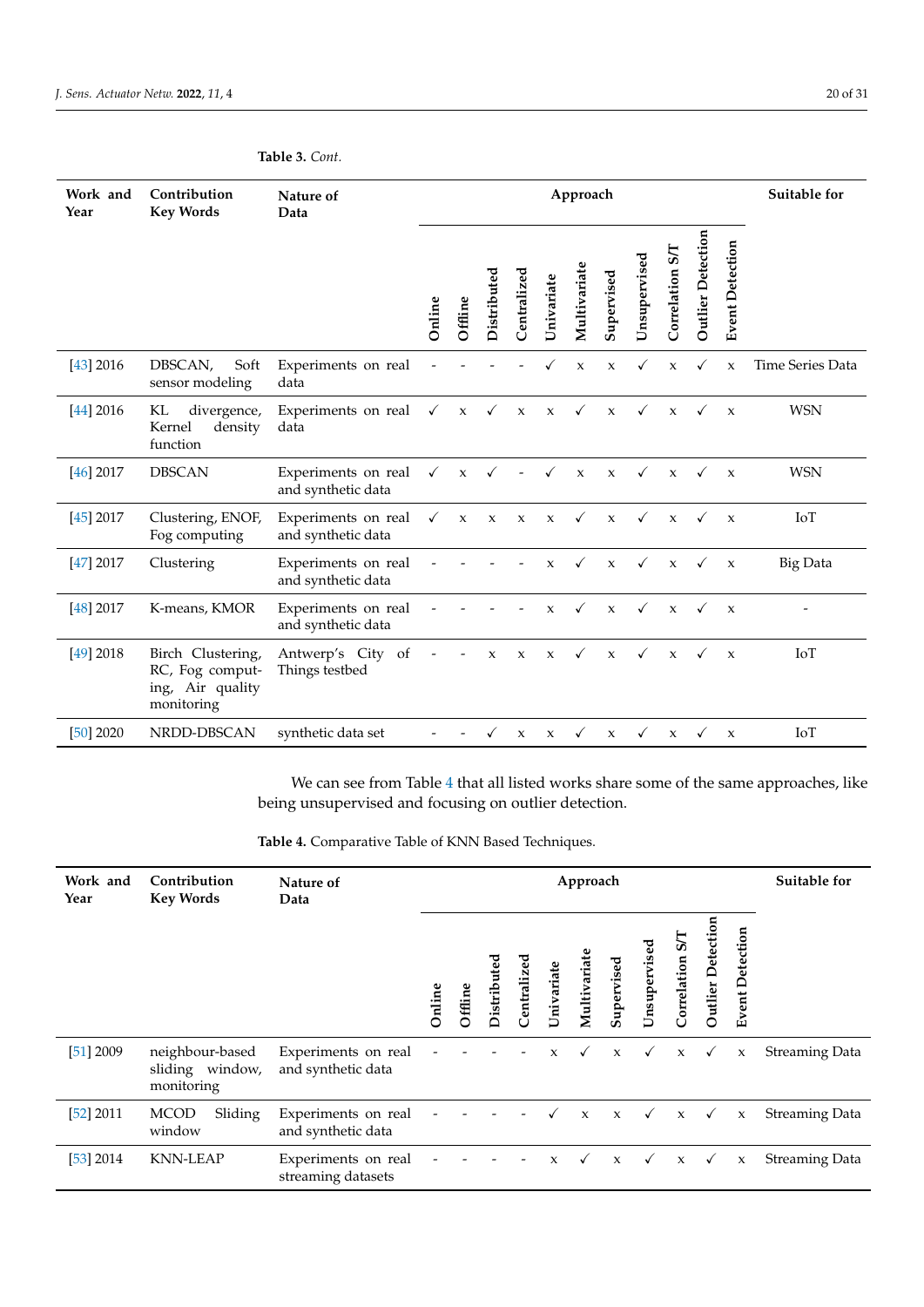# **Table 3.** *Cont.*

| Work and<br>Year | Contribution<br><b>Key Words</b>                                       | Nature of<br>Data                         | Approach     |             |              |              |              |              |              |              |                 |                   |                        | Suitable for     |
|------------------|------------------------------------------------------------------------|-------------------------------------------|--------------|-------------|--------------|--------------|--------------|--------------|--------------|--------------|-----------------|-------------------|------------------------|------------------|
|                  |                                                                        |                                           | Online       | Offline     | Distributed  | Centralized  | Univariate   | Multivariate | Supervised   | Unsupervised | Correlation S/T | Outlier Detection | <b>Event Detection</b> |                  |
| $[43]$ 2016      | DBSCAN,<br>Soft<br>sensor modeling                                     | Experiments on real<br>data               |              |             |              |              |              | $\mathbf x$  | $\mathbf{x}$ |              | $\mathbf{x}$    |                   | $\mathbf{x}$           | Time Series Data |
| $[44]$ 2016      | KL<br>divergence,<br>Kernel<br>density<br>function                     | Experiments on real<br>data               | $\checkmark$ | $\mathbf x$ | $\checkmark$ | $\mathbf{x}$ | $\mathbf{x}$ | $\checkmark$ | $\mathbf{x}$ | $\checkmark$ | $\mathbf{x}$    | $\checkmark$      | $\mathbf{x}$           | <b>WSN</b>       |
| $[46]$ 2017      | <b>DBSCAN</b>                                                          | Experiments on real<br>and synthetic data | $\checkmark$ | $\mathbf x$ |              |              | $\checkmark$ | $\mathbf x$  | $\mathbf{x}$ | $\checkmark$ | $\mathbf{x}$    |                   | $\mathbf x$            | <b>WSN</b>       |
| $[45]$ 2017      | Clustering, ENOF,<br>Fog computing                                     | Experiments on real<br>and synthetic data | $\checkmark$ | $\mathbf x$ | $\mathbf x$  | $\mathsf X$  | $\mathsf X$  | $\checkmark$ | $\mathbf{x}$ | $\checkmark$ | $\mathbf{x}$    | ✓                 | $\mathbf{x}$           | IoT              |
| [47] 2017        | Clustering                                                             | Experiments on real<br>and synthetic data |              |             |              |              | $\mathbf{x}$ | $\checkmark$ | $\mathbf{x}$ | $\checkmark$ | $\mathbf{x}$    | $\checkmark$      | $\mathbf{x}$           | <b>Big Data</b>  |
| $[48]$ 2017      | K-means, KMOR                                                          | Experiments on real<br>and synthetic data |              |             |              |              | $\mathbf{x}$ | $\checkmark$ | $\mathbf{x}$ | $\checkmark$ | $\mathbf{x}$    | $\checkmark$      | $\mathbf{x}$           |                  |
| $[49]$ 2018      | Birch Clustering,<br>RC, Fog comput-<br>ing, Air quality<br>monitoring | Antwerp's City of<br>Things testbed       |              |             | $\mathbf x$  | $\mathbf{x}$ | $\mathbf{x}$ | $\checkmark$ | $\mathbf{x}$ | $\checkmark$ | $\mathbf{x}$    | $\checkmark$      | $\mathbf{x}$           | IoT              |
| $[50]$ 2020      | NRDD-DBSCAN                                                            | synthetic data set                        |              |             |              | $\mathsf X$  | X            |              | $\mathbf x$  |              | $\mathbf{x}$    |                   | X                      | IoT              |

We can see from Table [4](#page-19-0) that all listed works share some of the same approaches, like being unsupervised and focusing on outlier detection.

<span id="page-19-0"></span>

| Table 4. Comparative Table of KNN Based Techniques. |
|-----------------------------------------------------|
|-----------------------------------------------------|

| Work and<br>Year | Contribution<br><b>Key Words</b>                 | Nature of<br>Data                         | Approach |         |             |                  |              |              |              |              |                |                   |                           | Suitable for          |
|------------------|--------------------------------------------------|-------------------------------------------|----------|---------|-------------|------------------|--------------|--------------|--------------|--------------|----------------|-------------------|---------------------------|-----------------------|
|                  |                                                  |                                           | Online   | Offline | Distributed | ್ನಾ<br>Centraliz | Univariate   | Multivariate | Supervised   | Unsupervised | Correlation S/ | Outlier Detection | <b>Event Detection</b>    |                       |
| [51] 2009        | neighbour-based<br>sliding window,<br>monitoring | Experiments on real<br>and synthetic data |          |         |             |                  | $\mathbf{x}$ |              | $\mathbf{x}$ | $\checkmark$ | $\mathbf{x}$   | ✓                 | $\boldsymbol{\mathsf{x}}$ | <b>Streaming Data</b> |
| [52] 2011        | <b>MCOD</b><br>Sliding<br>window                 | Experiments on real<br>and synthetic data |          |         |             |                  |              | $\mathbf{x}$ | $\mathbf{x}$ | $\checkmark$ | $\mathbf x$    | $\checkmark$      | $\mathsf X$               | <b>Streaming Data</b> |
| [53] 2014        | <b>KNN-LEAP</b>                                  | Experiments on real<br>streaming datasets |          |         |             |                  | $\mathbf{x}$ | $\checkmark$ | $\mathbf{x}$ | $\checkmark$ | $\mathbf x$    | $\checkmark$      | $\mathsf X$               | <b>Streaming Data</b> |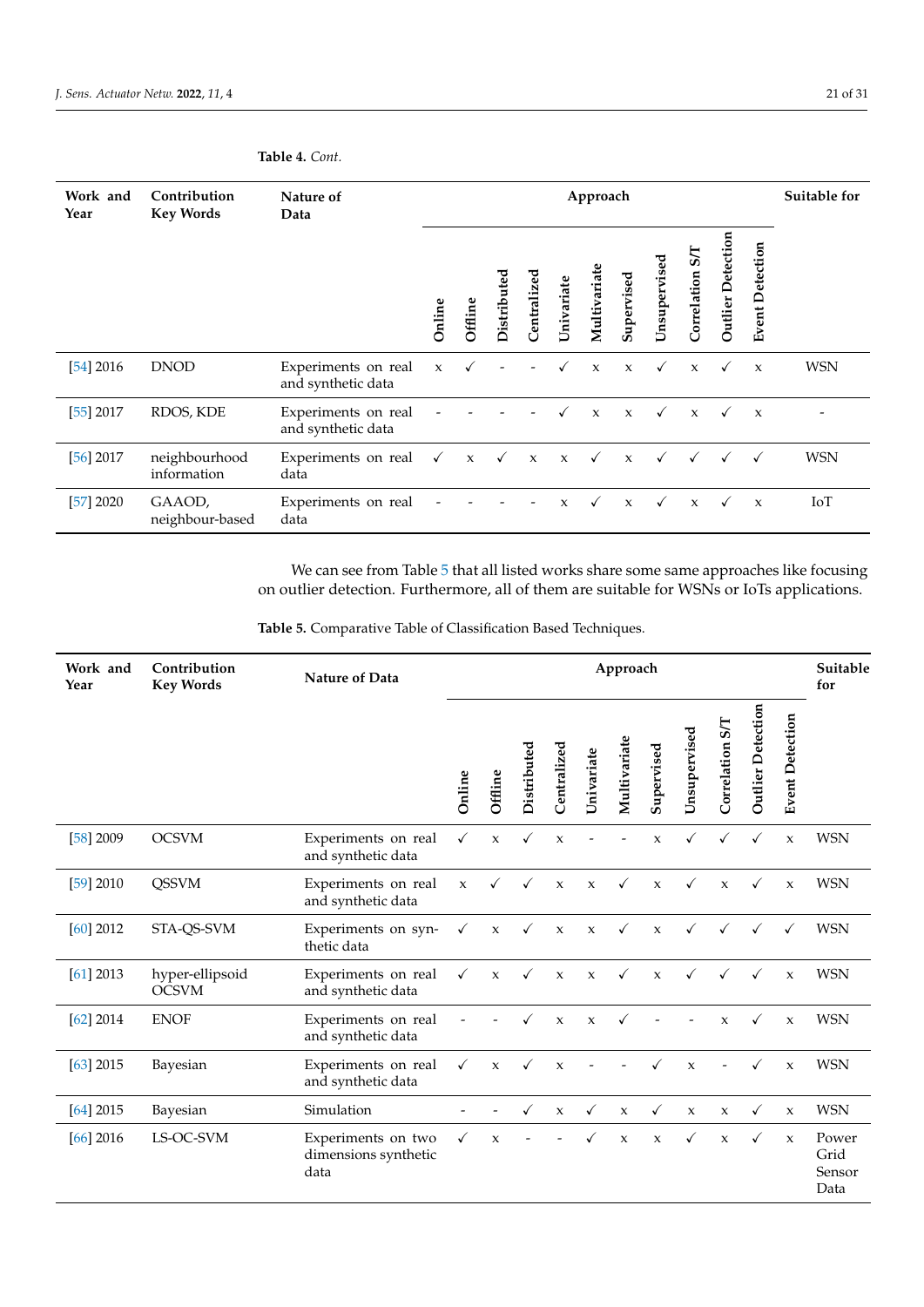# **Table 4.** *Cont.*

| Work and<br>Year | Contribution<br><b>Key Words</b> | Nature of<br>Data                         |              |              |              |              |              | Approach     |              |              |                            |                          |                        | Suitable for |
|------------------|----------------------------------|-------------------------------------------|--------------|--------------|--------------|--------------|--------------|--------------|--------------|--------------|----------------------------|--------------------------|------------------------|--------------|
|                  |                                  |                                           | Online       | Offline      | Distributed  | Centralized  | Univariate   | Multivariat  | Supervised   | Unsupervised | $5\sqrt{1}$<br>Correlation | <b>Outlier Detection</b> | <b>Event Detection</b> |              |
| $[54]$ 2016      | <b>DNOD</b>                      | Experiments on real<br>and synthetic data | $\mathbf x$  |              |              |              |              | $\mathsf X$  | $\mathbf{x}$ | $\checkmark$ | $\mathbf{x}$               | $\checkmark$             | $\mathbf{x}$           | <b>WSN</b>   |
| [55] 2017        | RDOS, KDE                        | Experiments on real<br>and synthetic data |              |              |              |              |              | $\mathbf{x}$ | $\mathbf{x}$ |              | $\mathbf{x}$               | $\checkmark$             | $\boldsymbol{\chi}$    |              |
| $[56]$ 2017      | neighbourhood<br>information     | Experiments on real<br>data               | $\checkmark$ | $\mathbf{x}$ | $\checkmark$ | $\mathbf{x}$ | $\mathbf{x}$ | $\checkmark$ | $\mathbf x$  |              |                            |                          | $\checkmark$           | <b>WSN</b>   |
| [57] 2020        | GAAOD,<br>neighbour-based        | Experiments on real<br>data               |              |              |              |              | $\mathbf{x}$ | $\checkmark$ | $\mathbf{x}$ |              | $\mathbf{x}$               | ✓                        | $\mathbf{x}$           | IoT          |

We can see from Table [5](#page-20-0) that all listed works share some same approaches like focusing on outlier detection. Furthermore, all of them are suitable for WSNs or IoTs applications.

<span id="page-20-0"></span>

| Table 5. Comparative Table of Classification Based Techniques. |  |  |  |  |
|----------------------------------------------------------------|--|--|--|--|
|----------------------------------------------------------------|--|--|--|--|

| Work and<br>Year | Contribution<br><b>Key Words</b> | <b>Nature of Data</b>                              | Approach     |              |             |              |              |                     |              |              |                 |                          | Suitable<br>for        |                                 |
|------------------|----------------------------------|----------------------------------------------------|--------------|--------------|-------------|--------------|--------------|---------------------|--------------|--------------|-----------------|--------------------------|------------------------|---------------------------------|
|                  |                                  |                                                    | Online       | Offline      | Distributed | Centralized  | Univariate   | Multivariate        | Supervised   | Unsupervised | Correlation S/T | <b>Outlier Detection</b> | <b>Event Detection</b> |                                 |
| $[58]$ 2009      | <b>OCSVM</b>                     | Experiments on real<br>and synthetic data          | $\checkmark$ | $\mathbf x$  | ✓           | $\pmb{\chi}$ |              |                     | $\mathsf X$  |              |                 | ✓                        | $\mathbf x$            | <b>WSN</b>                      |
| [59] 2010        | <b>QSSVM</b>                     | Experiments on real<br>and synthetic data          | $\mathbf x$  | ✓            | ✓           | $\pmb{\chi}$ | $\mathsf X$  | ✓                   | $\mathsf X$  | ✓            | $\mathbf x$     | ✓                        | $\mathbf x$            | <b>WSN</b>                      |
| $[60]$ 2012      | STA-QS-SVM                       | Experiments on syn-<br>thetic data                 | $\checkmark$ | $\mathbf x$  | ✓           | $\mathsf X$  | $\mathsf X$  | $\checkmark$        | $\mathbf{x}$ | $\checkmark$ | $\checkmark$    | $\checkmark$             | ✓                      | <b>WSN</b>                      |
| [61] 2013        | hyper-ellipsoid<br><b>OCSVM</b>  | Experiments on real<br>and synthetic data          | $\checkmark$ | $\mathbf{x}$ | ✓           | $\mathbf x$  | $\mathsf X$  | $\checkmark$        | $\mathbf{x}$ | $\checkmark$ | ✓               | ✓                        | $\mathbf{x}$           | <b>WSN</b>                      |
| $[62]$ 2014      | <b>ENOF</b>                      | Experiments on real<br>and synthetic data          |              |              |             | $\mathbf x$  | $\mathsf X$  |                     |              |              | $\mathbf x$     | $\checkmark$             | $\mathbf x$            | <b>WSN</b>                      |
| $[63]$ 2015      | Bayesian                         | Experiments on real<br>and synthetic data          | $\checkmark$ | $\mathbf{x}$ | ✓           | $\mathbf{x}$ |              |                     |              | $\mathbf{x}$ |                 |                          | $\mathbf{x}$           | <b>WSN</b>                      |
| $[64]$ 2015      | Bayesian                         | Simulation                                         |              |              | ✓           | X            | $\checkmark$ | $\boldsymbol{\chi}$ | $\checkmark$ | $\mathsf X$  | $\mathbf{x}$    | $\checkmark$             | $\boldsymbol{\chi}$    | <b>WSN</b>                      |
| $[66]$ 2016      | LS-OC-SVM                        | Experiments on two<br>dimensions synthetic<br>data | ✓            | $\mathbf{x}$ |             |              |              | $\mathsf X$         | $\mathbf x$  | ✓            | $\mathbf{x}$    | $\checkmark$             | $\mathbf{x}$           | Power<br>Grid<br>Sensor<br>Data |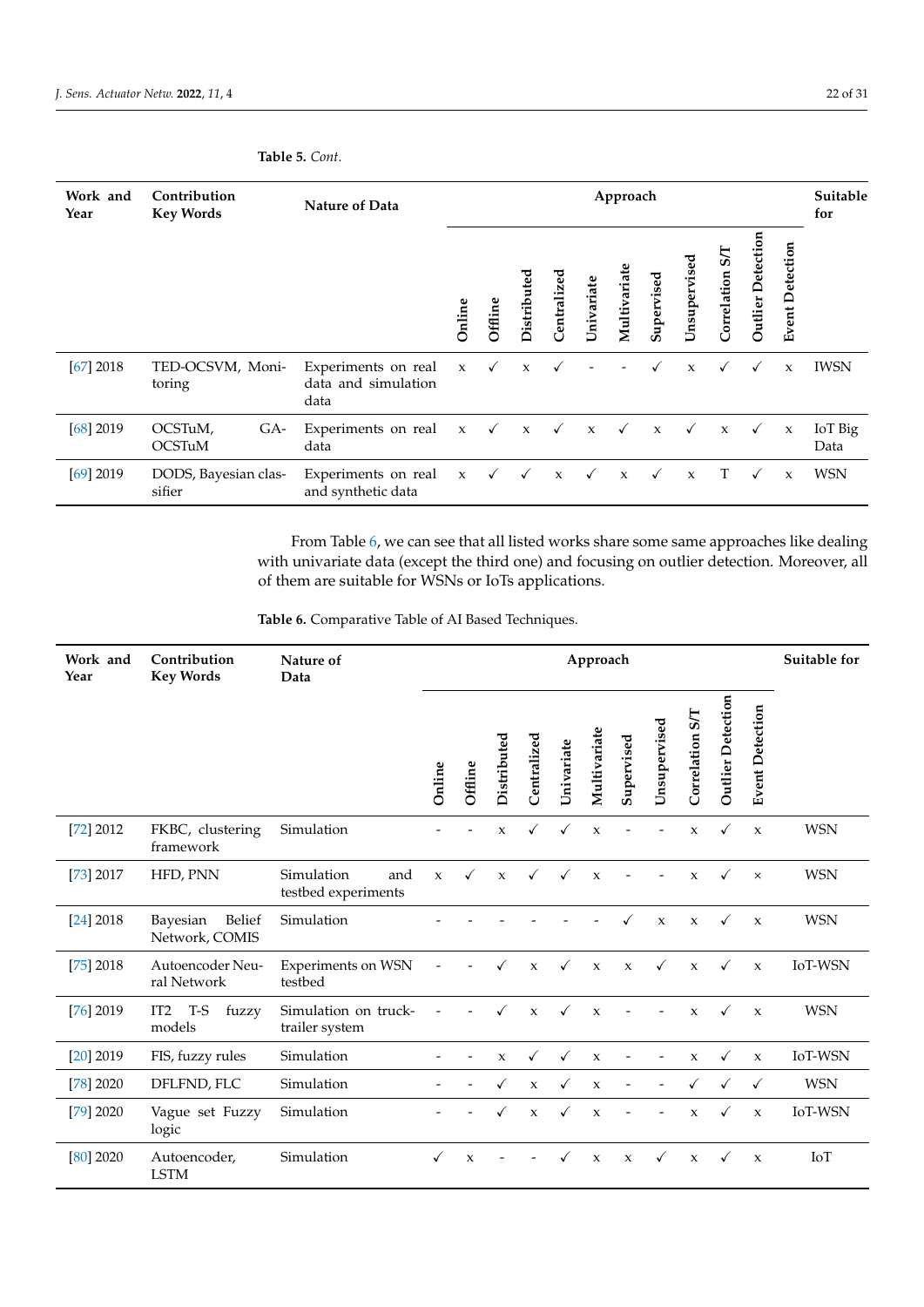# **Table 5.** *Cont.*

| Work and<br>Year | Contribution<br><b>Key Words</b> | <b>Nature of Data</b>                              |              |              |              |                              |              | Approach     |              |              |                                 |                      |                        | Suitable<br>for |
|------------------|----------------------------------|----------------------------------------------------|--------------|--------------|--------------|------------------------------|--------------|--------------|--------------|--------------|---------------------------------|----------------------|------------------------|-----------------|
|                  |                                  |                                                    | Online       | Offline      | Distribut    | ರ<br>Centralize              | Univariate   | Multivariate | Supervised   | Unsupervised | $\tilde{\bm{s}}$<br>Correlation | Outlier<br>Detection | <b>Event Detection</b> |                 |
| $[67]$ 2018      | TED-OCSVM, Moni-<br>toring       | Experiments on real<br>data and simulation<br>data | $\mathbf{x}$ | $\checkmark$ | $\mathbf{x}$ |                              |              |              |              | $\mathbf{x}$ | $\checkmark$                    | ✓                    | $\mathbf{x}$           | <b>IWSN</b>     |
| $[68]$ 2019      | OCSTuM,<br>$GA-$<br>OCSTuM       | Experiments on real x<br>data                      |              | $\sqrt{2}$   |              | $x \quad \checkmark \quad x$ |              | $\checkmark$ | $\mathbf{x}$ | $\checkmark$ | $\mathbf x$                     | $\checkmark$         | $\mathbf x$            | IoT Big<br>Data |
| $[69]$ 2019      | DODS, Bayesian clas-<br>sifier   | Experiments on real<br>and synthetic data          | $\mathbf x$  | $\checkmark$ | $\checkmark$ | $\mathbf{x}$                 | $\checkmark$ | $\mathbf{x}$ | ✓            | $\mathbf{x}$ | T                               | $\checkmark$         | $\mathbf{x}$           | <b>WSN</b>      |

From Table [6,](#page-21-0) we can see that all listed works share some same approaches like dealing with univariate data (except the third one) and focusing on outlier detection. Moreover, all of them are suitable for WSNs or IoTs applications.

<span id="page-21-0"></span>**Table 6.** Comparative Table of AI Based Techniques.

| Work and<br>Year | Contribution<br><b>Key Words</b>          | Nature of<br>Data                        | Approach    |                     |              |                     |              |                           |              |              |                 |                          |                        | Suitable for   |
|------------------|-------------------------------------------|------------------------------------------|-------------|---------------------|--------------|---------------------|--------------|---------------------------|--------------|--------------|-----------------|--------------------------|------------------------|----------------|
|                  |                                           |                                          | Online      | Offline             | Distributed  | Centralized         | Univariate   | Multivariate              | Supervised   | Unsupervised | Correlation S/T | <b>Outlier Detection</b> | <b>Event Detection</b> |                |
| [72] 2012        | FKBC, clustering<br>framework             | Simulation                               |             |                     | $\mathsf X$  |                     |              | $\mathbf{x}$              |              |              | $\mathsf X$     |                          | $\mathbf x$            | <b>WSN</b>     |
| [73] 2017        | HFD, PNN                                  | Simulation<br>and<br>testbed experiments | $\mathbf x$ | $\checkmark$        | $\mathbf x$  | $\checkmark$        | √            | $\boldsymbol{\chi}$       |              |              | $\mathsf X$     | ✓                        | $\times$               | <b>WSN</b>     |
| $[24]$ 2018      | Belief<br>Bayesian<br>Network, COMIS      | Simulation                               |             |                     |              |                     |              |                           |              | $\mathbf{x}$ | $\mathbf{x}$    | $\checkmark$             | $\boldsymbol{\chi}$    | <b>WSN</b>     |
| $[75]$ 2018      | Autoencoder Neu-<br>ral Network           | <b>Experiments on WSN</b><br>testbed     |             |                     | $\checkmark$ | $\mathbf{x}$        | $\checkmark$ | $\mathbf x$               | $\mathbf{x}$ | $\checkmark$ | $\mathbf{x}$    | $\checkmark$             | $\mathbf{x}$           | IoT-WSN        |
| $[76]$ 2019      | IT <sub>2</sub><br>T-S<br>fuzzy<br>models | Simulation on truck-<br>trailer system   |             |                     |              | $\mathbf{x}$        | ✓            | $\mathbf{x}$              |              |              | $\mathsf X$     | ✓                        | $\boldsymbol{\chi}$    | <b>WSN</b>     |
| $[20]$ 2019      | FIS, fuzzy rules                          | Simulation                               |             |                     | $\mathbf{x}$ | $\checkmark$        | $\checkmark$ | $\mathbf{x}$              |              |              | $\mathbf x$     | $\checkmark$             | $\mathbf{x}$           | IoT-WSN        |
| [78] 2020        | DFLFND, FLC                               | Simulation                               |             |                     |              | $\boldsymbol{\chi}$ |              | $\mathsf X$               |              |              |                 |                          | $\checkmark$           | <b>WSN</b>     |
| [79] 2020        | Vague set Fuzzy<br>logic                  | Simulation                               |             |                     |              | $\boldsymbol{\chi}$ | ✓            | $\boldsymbol{\chi}$       |              |              | $\mathbf{x}$    |                          | $\mathbf{x}$           | <b>IoT-WSN</b> |
| $[80]$ 2020      | Autoencoder,<br><b>LSTM</b>               | Simulation                               |             | $\boldsymbol{\chi}$ |              |                     |              | $\boldsymbol{\mathsf{X}}$ | $\mathbf x$  | $\checkmark$ | $\mathbf{x}$    | $\checkmark$             | $\boldsymbol{\chi}$    | IoT            |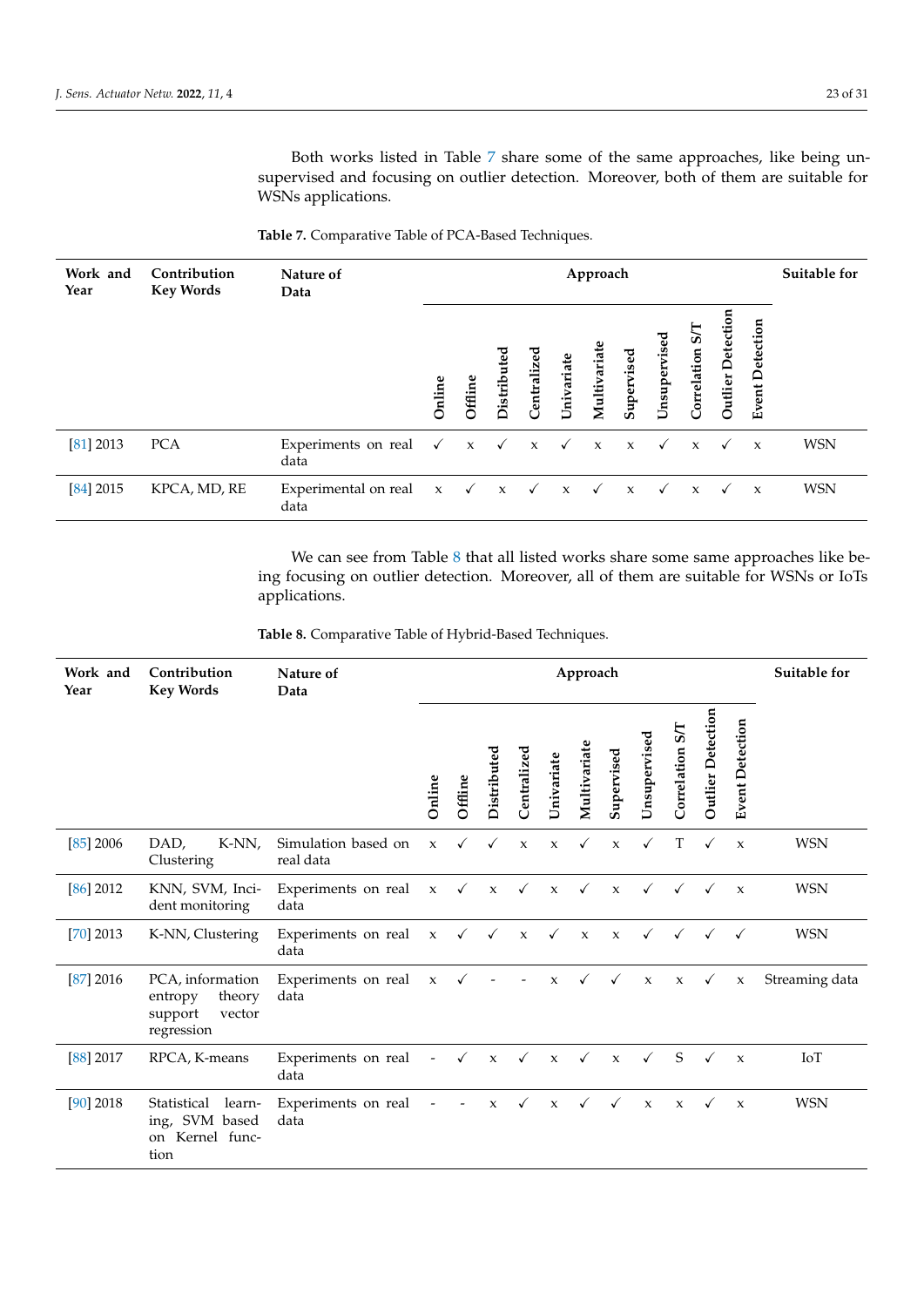Both works listed in Table [7](#page-22-0) share some of the same approaches, like being unsupervised and focusing on outlier detection. Moreover, both of them are suitable for WSNs applications.

| Work and<br>Year | Contribution<br><b>Key Words</b> | Nature of<br>Data                                                          | Approach |         |           |                     |              |              |              |              |                  |                   |                        | Suitable for |
|------------------|----------------------------------|----------------------------------------------------------------------------|----------|---------|-----------|---------------------|--------------|--------------|--------------|--------------|------------------|-------------------|------------------------|--------------|
|                  |                                  |                                                                            | Online   | Offline | Distribut | उ<br>Ō<br>Centraliz | Univariate   | Multivariate | Supervised   | Unsupervised | ত<br>Correlation | Outlier Detection | <b>Event Detection</b> |              |
| [81] 2013        | <b>PCA</b>                       | Experiments on real $\checkmark$ x $\checkmark$ x $\checkmark$ x x<br>data |          |         |           |                     |              |              |              | $\checkmark$ | $\mathbf x$      | $\checkmark$      | $\mathbf{x}$           | <b>WSN</b>   |
| $[84]$ 2015      | KPCA, MD, RE                     | Experimental on real $x \sqrt{x}$<br>data                                  |          |         |           |                     | $\mathbf{x}$ | $\checkmark$ | $\mathbf{x}$ |              | $\mathbf{x}$     | $\checkmark$      | $\mathbf{x}$           | <b>WSN</b>   |

<span id="page-22-0"></span>**Table 7.** Comparative Table of PCA-Based Techniques.

We can see from Table [8](#page-22-1) that all listed works share some same approaches like being focusing on outlier detection. Moreover, all of them are suitable for WSNs or IoTs applications.

<span id="page-22-1"></span>**Table 8.** Comparative Table of Hybrid-Based Techniques.

| Work and<br>Year | Contribution<br><b>Key Words</b>                                         | Nature of<br>Data                | Approach                 |              |              |                                          |              | Suitable for            |              |              |                                |                      |                           |                |
|------------------|--------------------------------------------------------------------------|----------------------------------|--------------------------|--------------|--------------|------------------------------------------|--------------|-------------------------|--------------|--------------|--------------------------------|----------------------|---------------------------|----------------|
|                  |                                                                          |                                  | Online                   | Offline      | Distributed  | Centralized                              | Univariate   | Multivariate            | Supervised   | Unsupervised | $5\overline{1}$<br>Correlation | Outlier<br>Detection | <b>Event Detection</b>    |                |
| $[85]$ 2006      | DAD,<br>K-NN,<br>Clustering                                              | Simulation based on<br>real data | $\mathbf x$              | $\checkmark$ | $\checkmark$ | $\mathbf{x}$                             | $\mathsf X$  | $\checkmark$            | $\mathbf x$  | $\checkmark$ | T                              | $\checkmark$         | $\boldsymbol{\chi}$       | <b>WSN</b>     |
| $[86]$ 2012      | KNN, SVM, Inci-<br>dent monitoring                                       | Experiments on real<br>data      | $\mathbf{x}$             |              | $\sqrt{ }$ x | $\checkmark$                             |              | $x \checkmark$          | $\mathbf{x}$ |              | $\checkmark$ $\checkmark$      | $\checkmark$         | $\boldsymbol{\mathsf{x}}$ | <b>WSN</b>     |
| $[70]$ 2013      | K-NN, Clustering                                                         | Experiments on real<br>data      |                          |              |              | $x \checkmark \checkmark x \checkmark x$ |              |                         | $\mathbf{x}$ |              | $\checkmark$ $\checkmark$      | $\checkmark$         | $\checkmark$              | <b>WSN</b>     |
| [87] 2016        | PCA, information<br>theory<br>entropy<br>support<br>vector<br>regression | Experiments on real<br>data      | $\mathbf x$              |              |              |                                          | $\mathsf X$  |                         | $\checkmark$ | $\mathbf{x}$ | $\mathbf{x}$                   | $\checkmark$         | $\mathbf x$               | Streaming data |
| [88] 2017        | RPCA, K-means                                                            | Experiments on real<br>data      | $\blacksquare$           | $\checkmark$ | $\mathbf{x}$ |                                          |              | $\sqrt{}$ x $\sqrt{}$ x |              | $\checkmark$ | S                              | $\checkmark$         | $\mathbf{x}$              | IoT            |
| $[90]$ 2018      | Statistical<br>learn-<br>ing, SVM based<br>on Kernel func-<br>tion       | Experiments on real<br>data      | $\overline{\phantom{a}}$ |              | $\mathbf x$  | $\checkmark$                             | $\mathbf{x}$ | $\checkmark$            | $\checkmark$ | $\mathbf{x}$ | $\mathbf{x}$                   |                      | $\boldsymbol{\chi}$       | <b>WSN</b>     |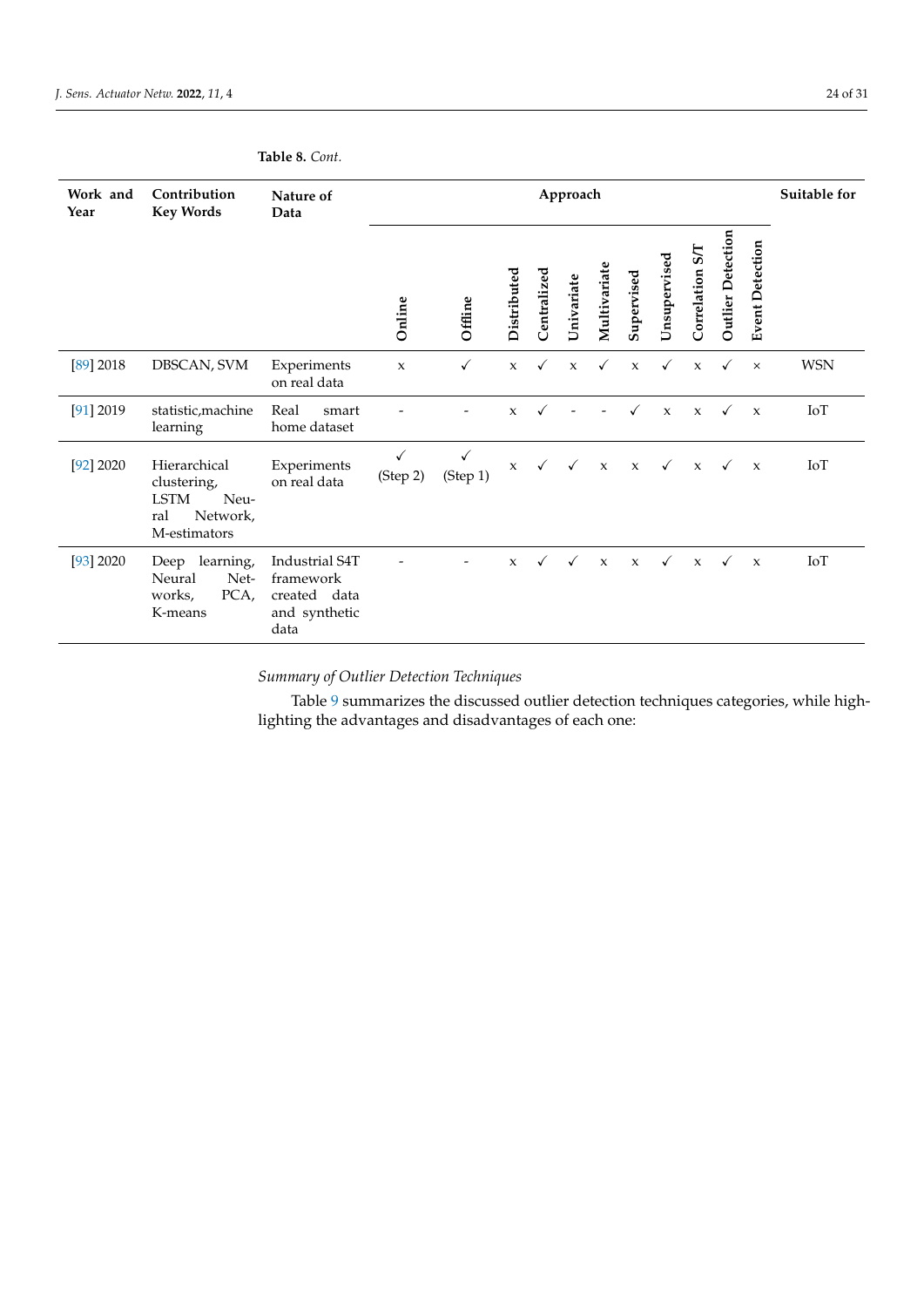# **Table 8.** *Cont.*

| Work and<br>Year | Contribution<br><b>Key Words</b>                                                      | Nature of<br>Data                                                    | Approach      |               |              |              |              |                     | Suitable for |              |                 |                   |                        |            |
|------------------|---------------------------------------------------------------------------------------|----------------------------------------------------------------------|---------------|---------------|--------------|--------------|--------------|---------------------|--------------|--------------|-----------------|-------------------|------------------------|------------|
|                  |                                                                                       |                                                                      | Online        | Offline       | Distributed  | Centralized  | Univariate   | Multivariate        | Supervised   | Unsupervised | Correlation S/T | Outlier Detection | <b>Event Detection</b> |            |
| [89] 2018        | DBSCAN, SVM                                                                           | Experiments<br>on real data                                          | $\mathbf x$   | $\checkmark$  | $\mathbf x$  | $\checkmark$ | $\mathbf{x}$ | $\checkmark$        | $\mathbf{x}$ | $\checkmark$ | $\mathbf{x}$    | $\checkmark$      | $\times$               | <b>WSN</b> |
| [91] 2019        | statistic, machine<br>learning                                                        | Real<br>smart<br>home dataset                                        |               |               | $\mathbf x$  |              |              |                     |              | $\mathbf x$  | $\mathbf x$     | √                 | $\mathbf{x}$           | IoT        |
| [92] 2020        | Hierarchical<br>clustering,<br><b>LSTM</b><br>Neu-<br>ral<br>Network,<br>M-estimators | Experiments<br>on real data                                          | ✓<br>(Step 2) | ✓<br>(Step 1) | $\mathbf x$  | $\checkmark$ | $\checkmark$ | $\boldsymbol{\chi}$ | $\mathbf x$  | $\checkmark$ | $\mathbf x$     | $\checkmark$      | $\boldsymbol{\chi}$    | IoT        |
| [93] 2020        | learning,<br>Deep<br>Neural<br>Net-<br>PCA,<br>works,<br>K-means                      | Industrial S4T<br>framework<br>created data<br>and synthetic<br>data |               |               | $\mathbf{x}$ | ✓            |              | $\mathbf{x}$        | $\mathbf{x}$ | $\checkmark$ | $\mathbf{x}$    | $\checkmark$      | $\boldsymbol{\chi}$    | IoT        |

*Summary of Outlier Detection Techniques*

Table [9](#page-24-0) summarizes the discussed outlier detection techniques categories, while highlighting the advantages and disadvantages of each one: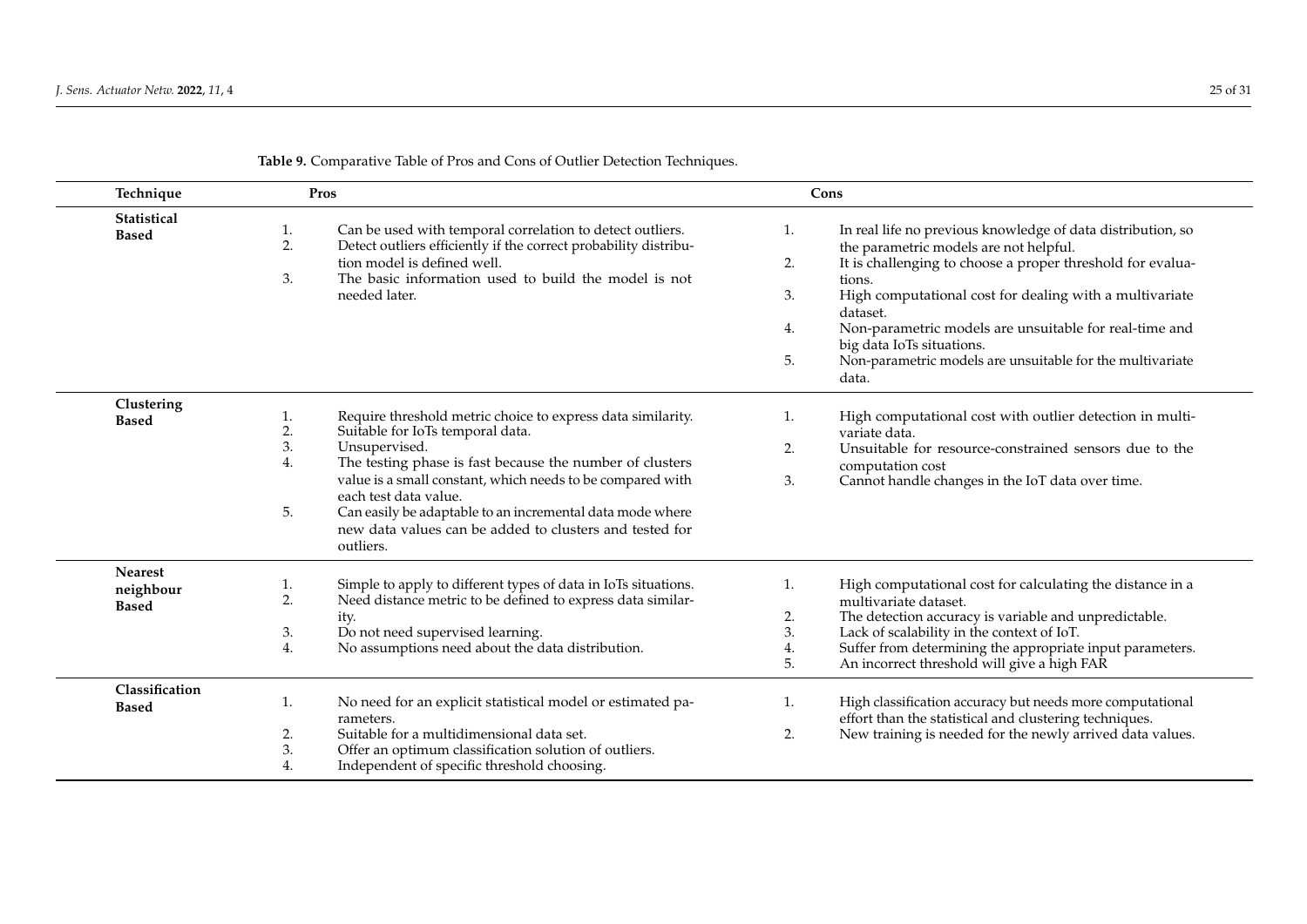<span id="page-24-0"></span>

| Technique                                   | Pros                                                                                                                                                                                                                                                                                                                                                                                                                                   | Cons                                                                                                                                                                                                                                                                                                                                                                                                                                            |  |  |  |  |  |  |
|---------------------------------------------|----------------------------------------------------------------------------------------------------------------------------------------------------------------------------------------------------------------------------------------------------------------------------------------------------------------------------------------------------------------------------------------------------------------------------------------|-------------------------------------------------------------------------------------------------------------------------------------------------------------------------------------------------------------------------------------------------------------------------------------------------------------------------------------------------------------------------------------------------------------------------------------------------|--|--|--|--|--|--|
| Statistical<br><b>Based</b>                 | Can be used with temporal correlation to detect outliers.<br>1.<br>Detect outliers efficiently if the correct probability distribu-<br>2.<br>tion model is defined well.<br>The basic information used to build the model is not<br>3.<br>needed later.                                                                                                                                                                                | In real life no previous knowledge of data distribution, so<br>1.<br>the parametric models are not helpful.<br>It is challenging to choose a proper threshold for evalua-<br>2.<br>tions.<br>High computational cost for dealing with a multivariate<br>3.<br>dataset.<br>Non-parametric models are unsuitable for real-time and<br>4.<br>big data IoTs situations.<br>Non-parametric models are unsuitable for the multivariate<br>5.<br>data. |  |  |  |  |  |  |
| Clustering<br><b>Based</b>                  | Require threshold metric choice to express data similarity.<br>1.<br>2.<br>Suitable for IoTs temporal data.<br>3.<br>Unsupervised.<br>The testing phase is fast because the number of clusters<br>4.<br>value is a small constant, which needs to be compared with<br>each test data value.<br>5.<br>Can easily be adaptable to an incremental data mode where<br>new data values can be added to clusters and tested for<br>outliers. | High computational cost with outlier detection in multi-<br>1.<br>variate data.<br>Unsuitable for resource-constrained sensors due to the<br>2.<br>computation cost<br>Cannot handle changes in the IoT data over time.<br>3.                                                                                                                                                                                                                   |  |  |  |  |  |  |
| <b>Nearest</b><br>neighbour<br><b>Based</b> | Simple to apply to different types of data in IoTs situations.<br>1.<br>Need distance metric to be defined to express data similar-<br>2.<br>ity.<br>Do not need supervised learning.<br>3.<br>No assumptions need about the data distribution.<br>4.                                                                                                                                                                                  | High computational cost for calculating the distance in a<br>1.<br>multivariate dataset.<br>The detection accuracy is variable and unpredictable.<br>2.<br>3.<br>Lack of scalability in the context of IoT.<br>Suffer from determining the appropriate input parameters.<br>4.<br>An incorrect threshold will give a high FAR<br>5.                                                                                                             |  |  |  |  |  |  |
| Classification<br><b>Based</b>              | No need for an explicit statistical model or estimated pa-<br>1.<br>rameters.<br>Suitable for a multidimensional data set.<br>2.<br>3.<br>Offer an optimum classification solution of outliers.<br>4.<br>Independent of specific threshold choosing.                                                                                                                                                                                   | High classification accuracy but needs more computational<br>1.<br>effort than the statistical and clustering techniques.<br>New training is needed for the newly arrived data values.<br>2.                                                                                                                                                                                                                                                    |  |  |  |  |  |  |

# **Table 9.** Comparative Table of Pros and Cons of Outlier Detection Techniques.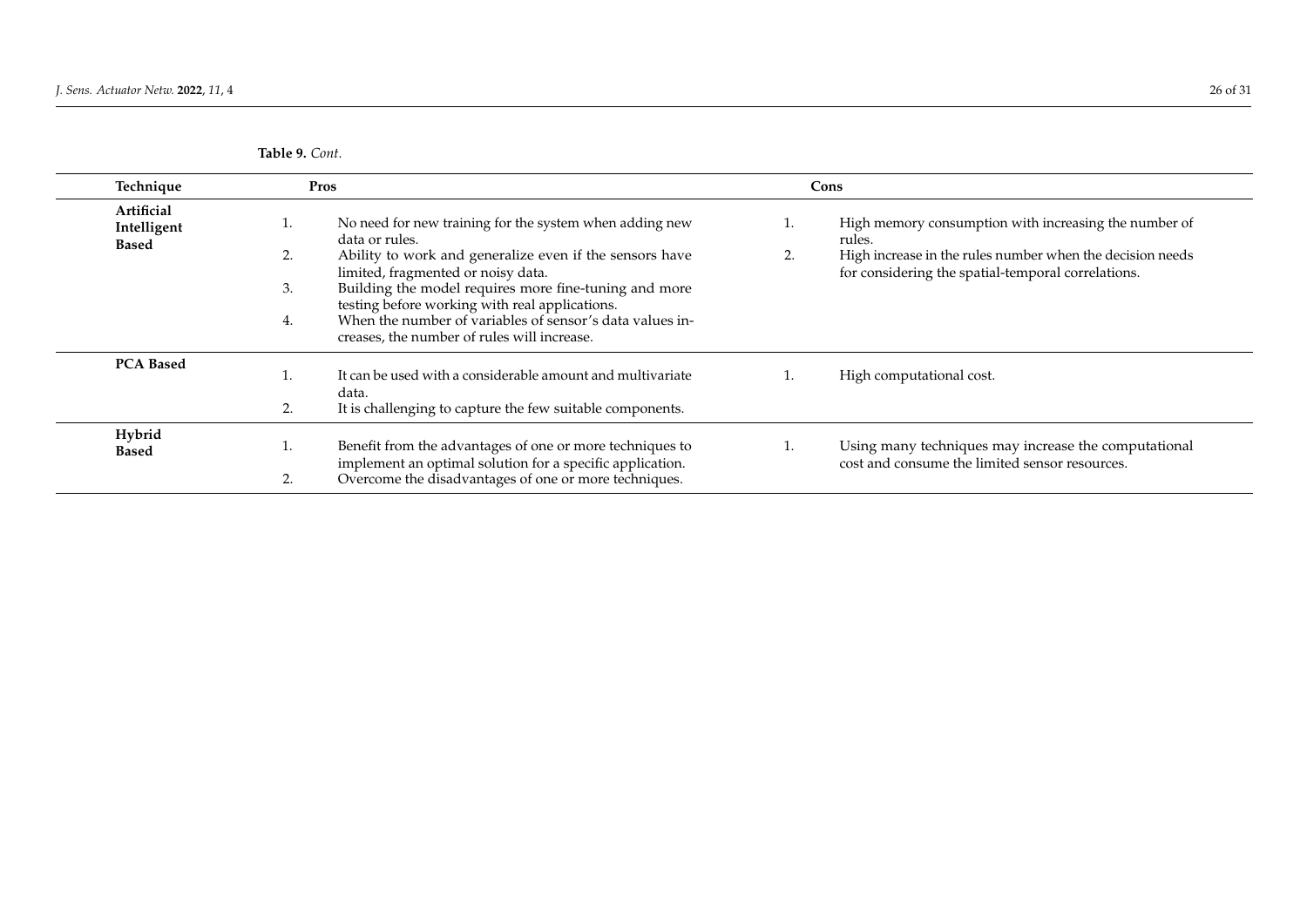**Table 9.** *Cont.*

| Technique                                 | Pros                                                                                                                                                                                                                                                                                                                                                                                                               | Cons                                                                                                                                                                                     |
|-------------------------------------------|--------------------------------------------------------------------------------------------------------------------------------------------------------------------------------------------------------------------------------------------------------------------------------------------------------------------------------------------------------------------------------------------------------------------|------------------------------------------------------------------------------------------------------------------------------------------------------------------------------------------|
| Artificial<br>Intelligent<br><b>Based</b> | No need for new training for the system when adding new<br>data or rules.<br>Ability to work and generalize even if the sensors have<br>2.<br>limited, fragmented or noisy data.<br>Building the model requires more fine-tuning and more<br>3.<br>testing before working with real applications.<br>When the number of variables of sensor's data values in-<br>4.<br>creases, the number of rules will increase. | High memory consumption with increasing the number of<br>rules.<br>High increase in the rules number when the decision needs<br>2.<br>for considering the spatial-temporal correlations. |
| <b>PCA Based</b>                          | It can be used with a considerable amount and multivariate<br>data.<br>2.<br>It is challenging to capture the few suitable components.                                                                                                                                                                                                                                                                             | High computational cost.                                                                                                                                                                 |
| Hybrid<br><b>Based</b>                    | Benefit from the advantages of one or more techniques to<br>implement an optimal solution for a specific application.<br>Overcome the disadvantages of one or more techniques.<br>2.                                                                                                                                                                                                                               | Using many techniques may increase the computational<br>cost and consume the limited sensor resources.                                                                                   |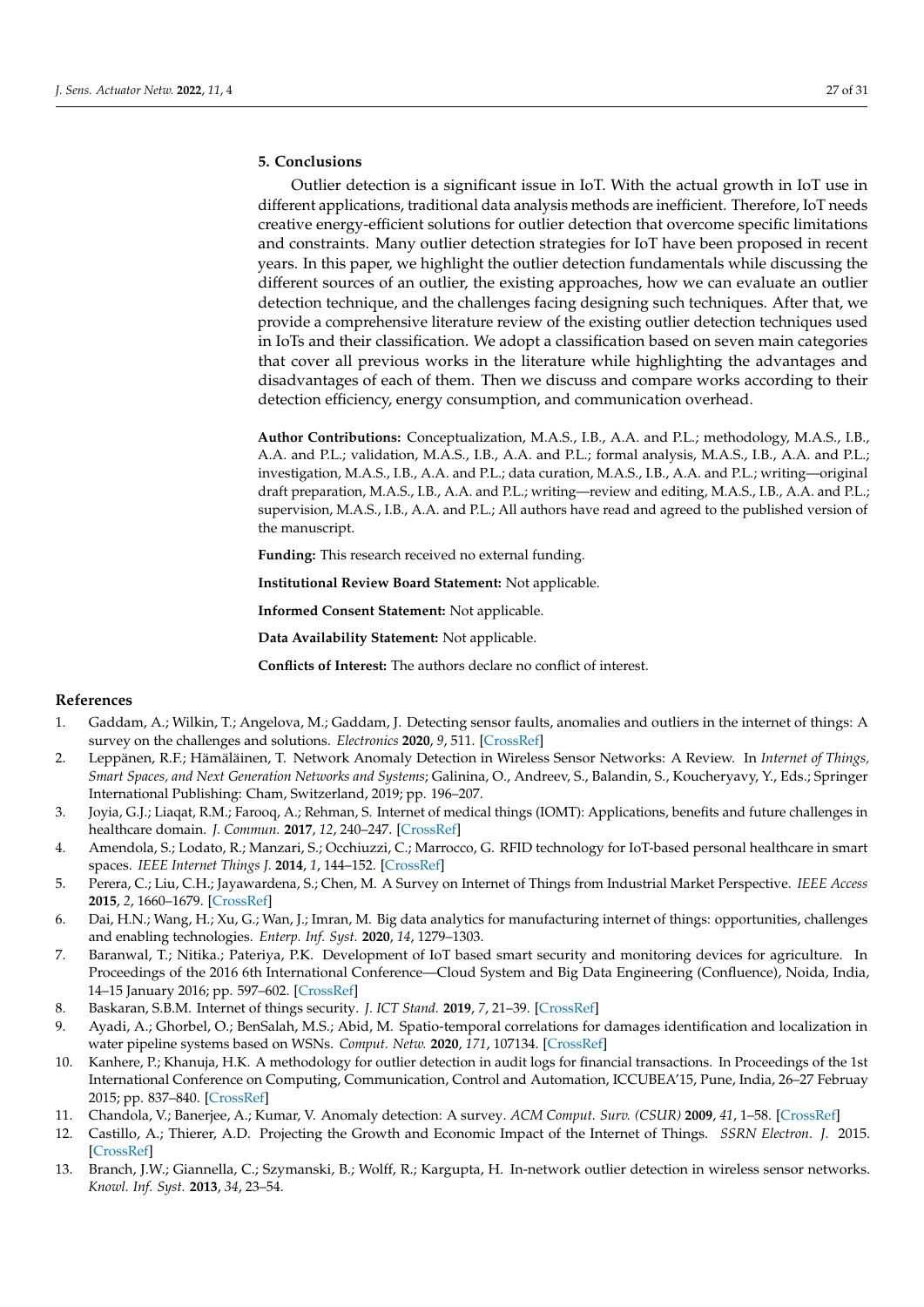# <span id="page-26-10"></span>**5. Conclusions**

Outlier detection is a significant issue in IoT. With the actual growth in IoT use in different applications, traditional data analysis methods are inefficient. Therefore, IoT needs creative energy-efficient solutions for outlier detection that overcome specific limitations and constraints. Many outlier detection strategies for IoT have been proposed in recent years. In this paper, we highlight the outlier detection fundamentals while discussing the different sources of an outlier, the existing approaches, how we can evaluate an outlier detection technique, and the challenges facing designing such techniques. After that, we provide a comprehensive literature review of the existing outlier detection techniques used in IoTs and their classification. We adopt a classification based on seven main categories that cover all previous works in the literature while highlighting the advantages and disadvantages of each of them. Then we discuss and compare works according to their detection efficiency, energy consumption, and communication overhead.

**Author Contributions:** Conceptualization, M.A.S., I.B., A.A. and P.L.; methodology, M.A.S., I.B., A.A. and P.L.; validation, M.A.S., I.B., A.A. and P.L.; formal analysis, M.A.S., I.B., A.A. and P.L.; investigation, M.A.S., I.B., A.A. and P.L.; data curation, M.A.S., I.B., A.A. and P.L.; writing—original draft preparation, M.A.S., I.B., A.A. and P.L.; writing—review and editing, M.A.S., I.B., A.A. and P.L.; supervision, M.A.S., I.B., A.A. and P.L.; All authors have read and agreed to the published version of the manuscript.

**Funding:** This research received no external funding.

**Institutional Review Board Statement:** Not applicable.

**Informed Consent Statement:** Not applicable.

**Data Availability Statement:** Not applicable.

**Conflicts of Interest:** The authors declare no conflict of interest.

#### **References**

- <span id="page-26-0"></span>1. Gaddam, A.; Wilkin, T.; Angelova, M.; Gaddam, J. Detecting sensor faults, anomalies and outliers in the internet of things: A survey on the challenges and solutions. *Electronics* **2020**, *9*, 511. [\[CrossRef\]](http://doi.org/10.3390/electronics9030511)
- <span id="page-26-1"></span>2. Leppänen, R.F.; Hämäläinen, T. Network Anomaly Detection in Wireless Sensor Networks: A Review. In *Internet of Things, Smart Spaces, and Next Generation Networks and Systems*; Galinina, O., Andreev, S., Balandin, S., Koucheryavy, Y., Eds.; Springer International Publishing: Cham, Switzerland, 2019; pp. 196–207.
- <span id="page-26-2"></span>3. Joyia, G.J.; Liaqat, R.M.; Farooq, A.; Rehman, S. Internet of medical things (IOMT): Applications, benefits and future challenges in healthcare domain. *J. Commun.* **2017**, *12*, 240–247. [\[CrossRef\]](http://dx.doi.org/10.12720/jcm.12.4.240-247)
- <span id="page-26-3"></span>4. Amendola, S.; Lodato, R.; Manzari, S.; Occhiuzzi, C.; Marrocco, G. RFID technology for IoT-based personal healthcare in smart spaces. *IEEE Internet Things J.* **2014**, *1*, 144–152. [\[CrossRef\]](http://dx.doi.org/10.1109/JIOT.2014.2313981)
- <span id="page-26-4"></span>5. Perera, C.; Liu, C.H.; Jayawardena, S.; Chen, M. A Survey on Internet of Things from Industrial Market Perspective. *IEEE Access* **2015**, *2*, 1660–1679. [\[CrossRef\]](http://dx.doi.org/10.1109/ACCESS.2015.2389854)
- <span id="page-26-5"></span>6. Dai, H.N.; Wang, H.; Xu, G.; Wan, J.; Imran, M. Big data analytics for manufacturing internet of things: opportunities, challenges and enabling technologies. *Enterp. Inf. Syst.* **2020**, *14*, 1279–1303.
- <span id="page-26-6"></span>7. Baranwal, T.; Nitika.; Pateriya, P.K. Development of IoT based smart security and monitoring devices for agriculture. In Proceedings of the 2016 6th International Conference—Cloud System and Big Data Engineering (Confluence), Noida, India, 14–15 January 2016; pp. 597–602. [\[CrossRef\]](http://dx.doi.org/10.1109/CONFLUENCE.2016.7508189)
- <span id="page-26-7"></span>8. Baskaran, S.B.M. Internet of things security. *J. ICT Stand.* **2019**, *7*, 21–39. [\[CrossRef\]](http://dx.doi.org/10.13052/jicts2245-800X.712)
- <span id="page-26-8"></span>9. Ayadi, A.; Ghorbel, O.; BenSalah, M.S.; Abid, M. Spatio-temporal correlations for damages identification and localization in water pipeline systems based on WSNs. *Comput. Netw.* **2020**, *171*, 107134. [\[CrossRef\]](http://dx.doi.org/10.1016/j.comnet.2020.107134)
- <span id="page-26-9"></span>10. Kanhere, P.; Khanuja, H.K. A methodology for outlier detection in audit logs for financial transactions. In Proceedings of the 1st International Conference on Computing, Communication, Control and Automation, ICCUBEA'15, Pune, India, 26–27 Februay 2015; pp. 837–840. [\[CrossRef\]](http://dx.doi.org/10.1109/ICCUBEA.2015.167)
- <span id="page-26-11"></span>11. Chandola, V.; Banerjee, A.; Kumar, V. Anomaly detection: A survey. *ACM Comput. Surv. (CSUR)* **2009**, *41*, 1–58. [\[CrossRef\]](http://dx.doi.org/10.1145/1541880.1541882)
- <span id="page-26-12"></span>12. Castillo, A.; Thierer, A.D. Projecting the Growth and Economic Impact of the Internet of Things. *SSRN Electron. J.* 2015. [\[CrossRef\]](http://dx.doi.org/10.2139/ssrn.2618794)
- <span id="page-26-13"></span>13. Branch, J.W.; Giannella, C.; Szymanski, B.; Wolff, R.; Kargupta, H. In-network outlier detection in wireless sensor networks. *Knowl. Inf. Syst.* **2013**, *34*, 23–54.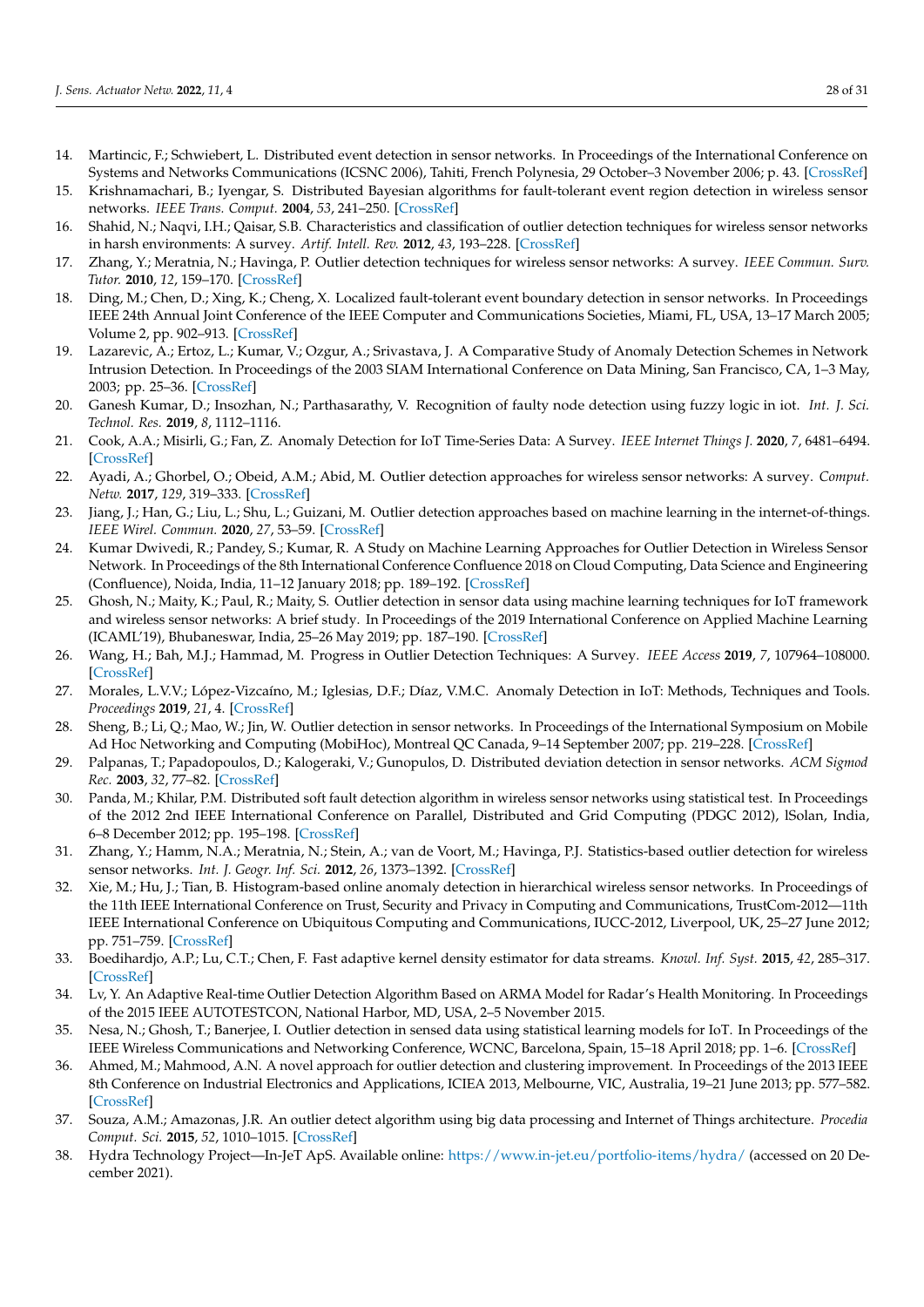- <span id="page-27-0"></span>14. Martincic, F.; Schwiebert, L. Distributed event detection in sensor networks. In Proceedings of the International Conference on Systems and Networks Communications (ICSNC 2006), Tahiti, French Polynesia, 29 October–3 November 2006; p. 43. [\[CrossRef\]](http://dx.doi.org/10.1109/ICSNC.2006.32)
- <span id="page-27-1"></span>15. Krishnamachari, B.; Iyengar, S. Distributed Bayesian algorithms for fault-tolerant event region detection in wireless sensor networks. *IEEE Trans. Comput.* **2004**, *53*, 241–250. [\[CrossRef\]](http://dx.doi.org/10.1109/TC.2004.1261832)
- <span id="page-27-2"></span>16. Shahid, N.; Naqvi, I.H.; Qaisar, S.B. Characteristics and classification of outlier detection techniques for wireless sensor networks in harsh environments: A survey. *Artif. Intell. Rev.* **2012**, *43*, 193–228. [\[CrossRef\]](http://dx.doi.org/10.1007/s10462-012-9370-y)
- <span id="page-27-3"></span>17. Zhang, Y.; Meratnia, N.; Havinga, P. Outlier detection techniques for wireless sensor networks: A survey. *IEEE Commun. Surv. Tutor.* **2010**, *12*, 159–170. [\[CrossRef\]](http://dx.doi.org/10.1109/SURV.2010.021510.00088)
- <span id="page-27-4"></span>18. Ding, M.; Chen, D.; Xing, K.; Cheng, X. Localized fault-tolerant event boundary detection in sensor networks. In Proceedings IEEE 24th Annual Joint Conference of the IEEE Computer and Communications Societies, Miami, FL, USA, 13–17 March 2005; Volume 2, pp. 902–913. [\[CrossRef\]](http://dx.doi.org/10.1109/infcom.2005.1498320.)
- <span id="page-27-5"></span>19. Lazarevic, A.; Ertoz, L.; Kumar, V.; Ozgur, A.; Srivastava, J. A Comparative Study of Anomaly Detection Schemes in Network Intrusion Detection. In Proceedings of the 2003 SIAM International Conference on Data Mining, San Francisco, CA, 1–3 May, 2003; pp. 25–36. [\[CrossRef\]](http://dx.doi.org/10.1137/1.9781611972733.3)
- <span id="page-27-6"></span>20. Ganesh Kumar, D.; Insozhan, N.; Parthasarathy, V. Recognition of faulty node detection using fuzzy logic in iot. *Int. J. Sci. Technol. Res.* **2019**, *8*, 1112–1116.
- <span id="page-27-7"></span>21. Cook, A.A.; Misirli, G.; Fan, Z. Anomaly Detection for IoT Time-Series Data: A Survey. *IEEE Internet Things J.* **2020**, *7*, 6481–6494. [\[CrossRef\]](http://dx.doi.org/10.1109/JIOT.2019.2958185)
- <span id="page-27-8"></span>22. Ayadi, A.; Ghorbel, O.; Obeid, A.M.; Abid, M. Outlier detection approaches for wireless sensor networks: A survey. *Comput. Netw.* **2017**, *129*, 319–333. [\[CrossRef\]](http://dx.doi.org/10.1016/j.comnet.2017.10.007)
- <span id="page-27-9"></span>23. Jiang, J.; Han, G.; Liu, L.; Shu, L.; Guizani, M. Outlier detection approaches based on machine learning in the internet-of-things. *IEEE Wirel. Commun.* **2020**, *27*, 53–59. [\[CrossRef\]](http://dx.doi.org/10.1109/MWC.001.1900410)
- <span id="page-27-13"></span>24. Kumar Dwivedi, R.; Pandey, S.; Kumar, R. A Study on Machine Learning Approaches for Outlier Detection in Wireless Sensor Network. In Proceedings of the 8th International Conference Confluence 2018 on Cloud Computing, Data Science and Engineering (Confluence), Noida, India, 11–12 January 2018; pp. 189–192. [\[CrossRef\]](http://dx.doi.org/10.1109/CONFLUENCE.2018.8442992)
- <span id="page-27-10"></span>25. Ghosh, N.; Maity, K.; Paul, R.; Maity, S. Outlier detection in sensor data using machine learning techniques for IoT framework and wireless sensor networks: A brief study. In Proceedings of the 2019 International Conference on Applied Machine Learning (ICAML'19), Bhubaneswar, India, 25–26 May 2019; pp. 187–190. [\[CrossRef\]](http://dx.doi.org/10.1109/ICAML48257.2019.00043)
- <span id="page-27-11"></span>26. Wang, H.; Bah, M.J.; Hammad, M. Progress in Outlier Detection Techniques: A Survey. *IEEE Access* **2019**, *7*, 107964–108000. [\[CrossRef\]](http://dx.doi.org/10.1109/ACCESS.2019.2932769)
- <span id="page-27-12"></span>27. Morales, L.V.V.; López-Vizcaíno, M.; Iglesias, D.F.; Díaz, V.M.C. Anomaly Detection in IoT: Methods, Techniques and Tools. *Proceedings* **2019**, *21*, 4. [\[CrossRef\]](http://dx.doi.org/10.3390/proceedings2019021004)
- <span id="page-27-14"></span>28. Sheng, B.; Li, Q.; Mao, W.; Jin, W. Outlier detection in sensor networks. In Proceedings of the International Symposium on Mobile Ad Hoc Networking and Computing (MobiHoc), Montreal QC Canada, 9–14 September 2007; pp. 219–228. [\[CrossRef\]](http://dx.doi.org/10.1145/1288107.1288137)
- <span id="page-27-15"></span>29. Palpanas, T.; Papadopoulos, D.; Kalogeraki, V.; Gunopulos, D. Distributed deviation detection in sensor networks. *ACM Sigmod Rec.* **2003**, *32*, 77–82. [\[CrossRef\]](http://dx.doi.org/10.1145/959060.959074)
- <span id="page-27-16"></span>30. Panda, M.; Khilar, P.M. Distributed soft fault detection algorithm in wireless sensor networks using statistical test. In Proceedings of the 2012 2nd IEEE International Conference on Parallel, Distributed and Grid Computing (PDGC 2012), lSolan, India, 6–8 December 2012; pp. 195–198. [\[CrossRef\]](http://dx.doi.org/10.1109/PDGC.2012.6449816)
- <span id="page-27-17"></span>31. Zhang, Y.; Hamm, N.A.; Meratnia, N.; Stein, A.; van de Voort, M.; Havinga, P.J. Statistics-based outlier detection for wireless sensor networks. *Int. J. Geogr. Inf. Sci.* **2012**, *26*, 1373–1392. [\[CrossRef\]](http://dx.doi.org/10.1080/13658816.2012.654493)
- <span id="page-27-18"></span>32. Xie, M.; Hu, J.; Tian, B. Histogram-based online anomaly detection in hierarchical wireless sensor networks. In Proceedings of the 11th IEEE International Conference on Trust, Security and Privacy in Computing and Communications, TrustCom-2012—11th IEEE International Conference on Ubiquitous Computing and Communications, IUCC-2012, Liverpool, UK, 25–27 June 2012; pp. 751–759. [\[CrossRef\]](http://dx.doi.org/10.1109/TrustCom.2012.173)
- <span id="page-27-19"></span>33. Boedihardjo, A.P.; Lu, C.T.; Chen, F. Fast adaptive kernel density estimator for data streams. *Knowl. Inf. Syst.* **2015**, *42*, 285–317. [\[CrossRef\]](http://dx.doi.org/10.1007/s10115-013-0712-0)
- <span id="page-27-20"></span>34. Lv, Y. An Adaptive Real-time Outlier Detection Algorithm Based on ARMA Model for Radar's Health Monitoring. In Proceedings of the 2015 IEEE AUTOTESTCON, National Harbor, MD, USA, 2–5 November 2015.
- <span id="page-27-21"></span>35. Nesa, N.; Ghosh, T.; Banerjee, I. Outlier detection in sensed data using statistical learning models for IoT. In Proceedings of the IEEE Wireless Communications and Networking Conference, WCNC, Barcelona, Spain, 15–18 April 2018; pp. 1–6. [\[CrossRef\]](http://dx.doi.org/10.1109/WCNC.2018.8376988)
- <span id="page-27-22"></span>36. Ahmed, M.; Mahmood, A.N. A novel approach for outlier detection and clustering improvement. In Proceedings of the 2013 IEEE 8th Conference on Industrial Electronics and Applications, ICIEA 2013, Melbourne, VIC, Australia, 19–21 June 2013; pp. 577–582. [\[CrossRef\]](http://dx.doi.org/10.1109/ICIEA.2013.6566435)
- <span id="page-27-23"></span>37. Souza, A.M.; Amazonas, J.R. An outlier detect algorithm using big data processing and Internet of Things architecture. *Procedia Comput. Sci.* **2015**, *52*, 1010–1015. [\[CrossRef\]](http://dx.doi.org/10.1016/j.procs.2015.05.095)
- <span id="page-27-24"></span>38. Hydra Technology Project—In-JeT ApS. Available online: <https://www.in-jet.eu/portfolio-items/hydra/> (accessed on 20 December 2021).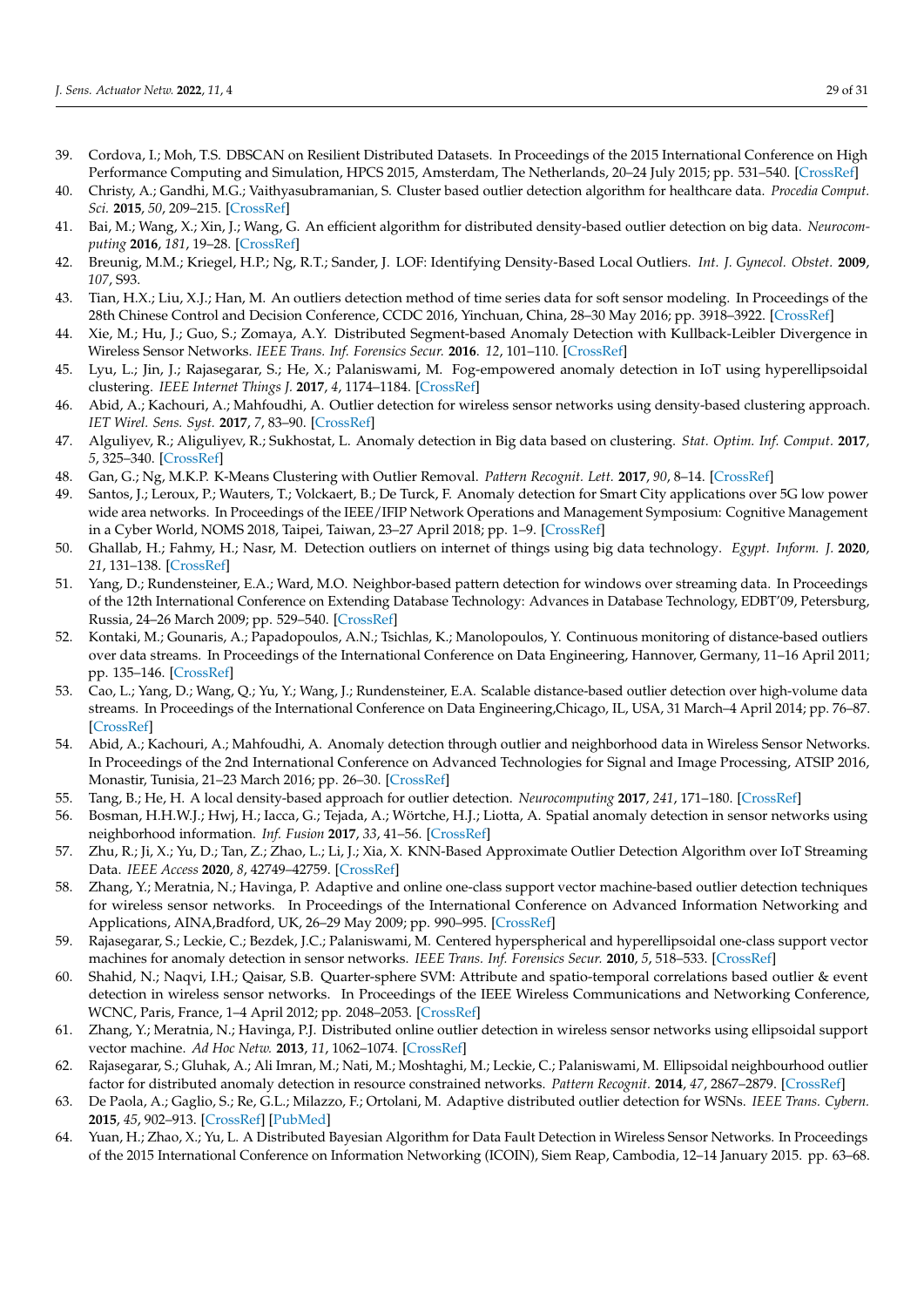- <span id="page-28-0"></span>39. Cordova, I.; Moh, T.S. DBSCAN on Resilient Distributed Datasets. In Proceedings of the 2015 International Conference on High Performance Computing and Simulation, HPCS 2015, Amsterdam, The Netherlands, 20–24 July 2015; pp. 531–540. [\[CrossRef\]](http://dx.doi.org/10.1109/HPCSim.2015.7237086)
- <span id="page-28-1"></span>40. Christy, A.; Gandhi, M.G.; Vaithyasubramanian, S. Cluster based outlier detection algorithm for healthcare data. *Procedia Comput. Sci.* **2015**, *50*, 209–215. [\[CrossRef\]](http://dx.doi.org/10.1016/j.procs.2015.04.058)
- <span id="page-28-2"></span>41. Bai, M.; Wang, X.; Xin, J.; Wang, G. An efficient algorithm for distributed density-based outlier detection on big data. *Neurocomputing* **2016**, *181*, 19–28. [\[CrossRef\]](http://dx.doi.org/10.1016/j.neucom.2015.05.135)
- <span id="page-28-3"></span>42. Breunig, M.M.; Kriegel, H.P.; Ng, R.T.; Sander, J. LOF: Identifying Density-Based Local Outliers. *Int. J. Gynecol. Obstet.* **2009**, *107*, S93.
- <span id="page-28-4"></span>43. Tian, H.X.; Liu, X.J.; Han, M. An outliers detection method of time series data for soft sensor modeling. In Proceedings of the 28th Chinese Control and Decision Conference, CCDC 2016, Yinchuan, China, 28–30 May 2016; pp. 3918–3922. [\[CrossRef\]](http://dx.doi.org/10.1109/CCDC.2016.7531669)
- <span id="page-28-5"></span>44. Xie, M.; Hu, J.; Guo, S.; Zomaya, A.Y. Distributed Segment-based Anomaly Detection with Kullback-Leibler Divergence in Wireless Sensor Networks. *IEEE Trans. Inf. Forensics Secur.* **2016**. *12*, 101–110. [\[CrossRef\]](http://dx.doi.org/10.1109/TIFS.2016.2603961)
- <span id="page-28-6"></span>45. Lyu, L.; Jin, J.; Rajasegarar, S.; He, X.; Palaniswami, M. Fog-empowered anomaly detection in IoT using hyperellipsoidal clustering. *IEEE Internet Things J.* **2017**, *4*, 1174–1184. [\[CrossRef\]](http://dx.doi.org/10.1109/JIOT.2017.2709942)
- <span id="page-28-7"></span>46. Abid, A.; Kachouri, A.; Mahfoudhi, A. Outlier detection for wireless sensor networks using density-based clustering approach. *IET Wirel. Sens. Syst.* **2017**, *7*, 83–90. [\[CrossRef\]](http://dx.doi.org/10.1049/iet-wss.2016.0044)
- <span id="page-28-8"></span>47. Alguliyev, R.; Aliguliyev, R.; Sukhostat, L. Anomaly detection in Big data based on clustering. *Stat. Optim. Inf. Comput.* **2017**, *5*, 325–340. [\[CrossRef\]](http://dx.doi.org/10.19139/soic.v5i4.365)
- <span id="page-28-9"></span>48. Gan, G.; Ng, M.K.P. K-Means Clustering with Outlier Removal. *Pattern Recognit. Lett.* **2017**, *90*, 8–14. [\[CrossRef\]](http://dx.doi.org/10.1016/j.patrec.2017.03.008)
- <span id="page-28-10"></span>49. Santos, J.; Leroux, P.; Wauters, T.; Volckaert, B.; De Turck, F. Anomaly detection for Smart City applications over 5G low power wide area networks. In Proceedings of the IEEE/IFIP Network Operations and Management Symposium: Cognitive Management in a Cyber World, NOMS 2018, Taipei, Taiwan, 23–27 April 2018; pp. 1–9. [\[CrossRef\]](http://dx.doi.org/10.1109/NOMS.2018.8406257)
- <span id="page-28-11"></span>50. Ghallab, H.; Fahmy, H.; Nasr, M. Detection outliers on internet of things using big data technology. *Egypt. Inform. J.* **2020**, *21*, 131–138. [\[CrossRef\]](http://dx.doi.org/10.1016/j.eij.2019.12.001)
- <span id="page-28-12"></span>51. Yang, D.; Rundensteiner, E.A.; Ward, M.O. Neighbor-based pattern detection for windows over streaming data. In Proceedings of the 12th International Conference on Extending Database Technology: Advances in Database Technology, EDBT'09, Petersburg, Russia, 24–26 March 2009; pp. 529–540. [\[CrossRef\]](http://dx.doi.org/10.1145/1516360.1516422)
- <span id="page-28-13"></span>52. Kontaki, M.; Gounaris, A.; Papadopoulos, A.N.; Tsichlas, K.; Manolopoulos, Y. Continuous monitoring of distance-based outliers over data streams. In Proceedings of the International Conference on Data Engineering, Hannover, Germany, 11–16 April 2011; pp. 135–146. [\[CrossRef\]](http://dx.doi.org/10.1109/ICDE.2011.5767923)
- <span id="page-28-14"></span>53. Cao, L.; Yang, D.; Wang, Q.; Yu, Y.; Wang, J.; Rundensteiner, E.A. Scalable distance-based outlier detection over high-volume data streams. In Proceedings of the International Conference on Data Engineering,Chicago, IL, USA, 31 March–4 April 2014; pp. 76–87. [\[CrossRef\]](http://dx.doi.org/10.1109/ICDE.2014.6816641)
- <span id="page-28-15"></span>54. Abid, A.; Kachouri, A.; Mahfoudhi, A. Anomaly detection through outlier and neighborhood data in Wireless Sensor Networks. In Proceedings of the 2nd International Conference on Advanced Technologies for Signal and Image Processing, ATSIP 2016, Monastir, Tunisia, 21–23 March 2016; pp. 26–30. [\[CrossRef\]](http://dx.doi.org/10.1109/ATSIP.2016.7523045)
- <span id="page-28-16"></span>55. Tang, B.; He, H. A local density-based approach for outlier detection. *Neurocomputing* **2017**, *241*, 171–180. [\[CrossRef\]](http://dx.doi.org/10.1016/j.neucom.2017.02.039)
- <span id="page-28-17"></span>56. Bosman, H.H.W.J.; Hwj, H.; Iacca, G.; Tejada, A.; Wörtche, H.J.; Liotta, A. Spatial anomaly detection in sensor networks using neighborhood information. *Inf. Fusion* **2017**, *33*, 41–56. [\[CrossRef\]](http://dx.doi.org/10.1016/j.inffus.2016.04.007)
- <span id="page-28-18"></span>57. Zhu, R.; Ji, X.; Yu, D.; Tan, Z.; Zhao, L.; Li, J.; Xia, X. KNN-Based Approximate Outlier Detection Algorithm over IoT Streaming Data. *IEEE Access* **2020**, *8*, 42749–42759. [\[CrossRef\]](http://dx.doi.org/10.1109/ACCESS.2020.2977114)
- <span id="page-28-19"></span>58. Zhang, Y.; Meratnia, N.; Havinga, P. Adaptive and online one-class support vector machine-based outlier detection techniques for wireless sensor networks. In Proceedings of the International Conference on Advanced Information Networking and Applications, AINA,Bradford, UK, 26–29 May 2009; pp. 990–995. [\[CrossRef\]](http://dx.doi.org/10.1109/WAINA.2009.200)
- <span id="page-28-20"></span>59. Rajasegarar, S.; Leckie, C.; Bezdek, J.C.; Palaniswami, M. Centered hyperspherical and hyperellipsoidal one-class support vector machines for anomaly detection in sensor networks. *IEEE Trans. Inf. Forensics Secur.* **2010**, *5*, 518–533. [\[CrossRef\]](http://dx.doi.org/10.1109/TIFS.2010.2051543)
- <span id="page-28-21"></span>60. Shahid, N.; Naqvi, I.H.; Qaisar, S.B. Quarter-sphere SVM: Attribute and spatio-temporal correlations based outlier & event detection in wireless sensor networks. In Proceedings of the IEEE Wireless Communications and Networking Conference, WCNC, Paris, France, 1–4 April 2012; pp. 2048–2053. [\[CrossRef\]](http://dx.doi.org/10.1109/WCNC.2012.6214127)
- <span id="page-28-22"></span>61. Zhang, Y.; Meratnia, N.; Havinga, P.J. Distributed online outlier detection in wireless sensor networks using ellipsoidal support vector machine. *Ad Hoc Netw.* **2013**, *11*, 1062–1074. [\[CrossRef\]](http://dx.doi.org/10.1016/j.adhoc.2012.11.001)
- <span id="page-28-23"></span>62. Rajasegarar, S.; Gluhak, A.; Ali Imran, M.; Nati, M.; Moshtaghi, M.; Leckie, C.; Palaniswami, M. Ellipsoidal neighbourhood outlier factor for distributed anomaly detection in resource constrained networks. *Pattern Recognit.* **2014**, *47*, 2867–2879. [\[CrossRef\]](http://dx.doi.org/10.1016/j.patcog.2014.04.006)
- <span id="page-28-24"></span>63. De Paola, A.; Gaglio, S.; Re, G.L.; Milazzo, F.; Ortolani, M. Adaptive distributed outlier detection for WSNs. *IEEE Trans. Cybern.* **2015**, *45*, 902–913. [\[CrossRef\]](http://dx.doi.org/10.1109/TCYB.2014.2338611) [\[PubMed\]](http://www.ncbi.nlm.nih.gov/pubmed/25073183)
- <span id="page-28-25"></span>64. Yuan, H.; Zhao, X.; Yu, L. A Distributed Bayesian Algorithm for Data Fault Detection in Wireless Sensor Networks. In Proceedings of the 2015 International Conference on Information Networking (ICOIN), Siem Reap, Cambodia, 12–14 January 2015. pp. 63–68.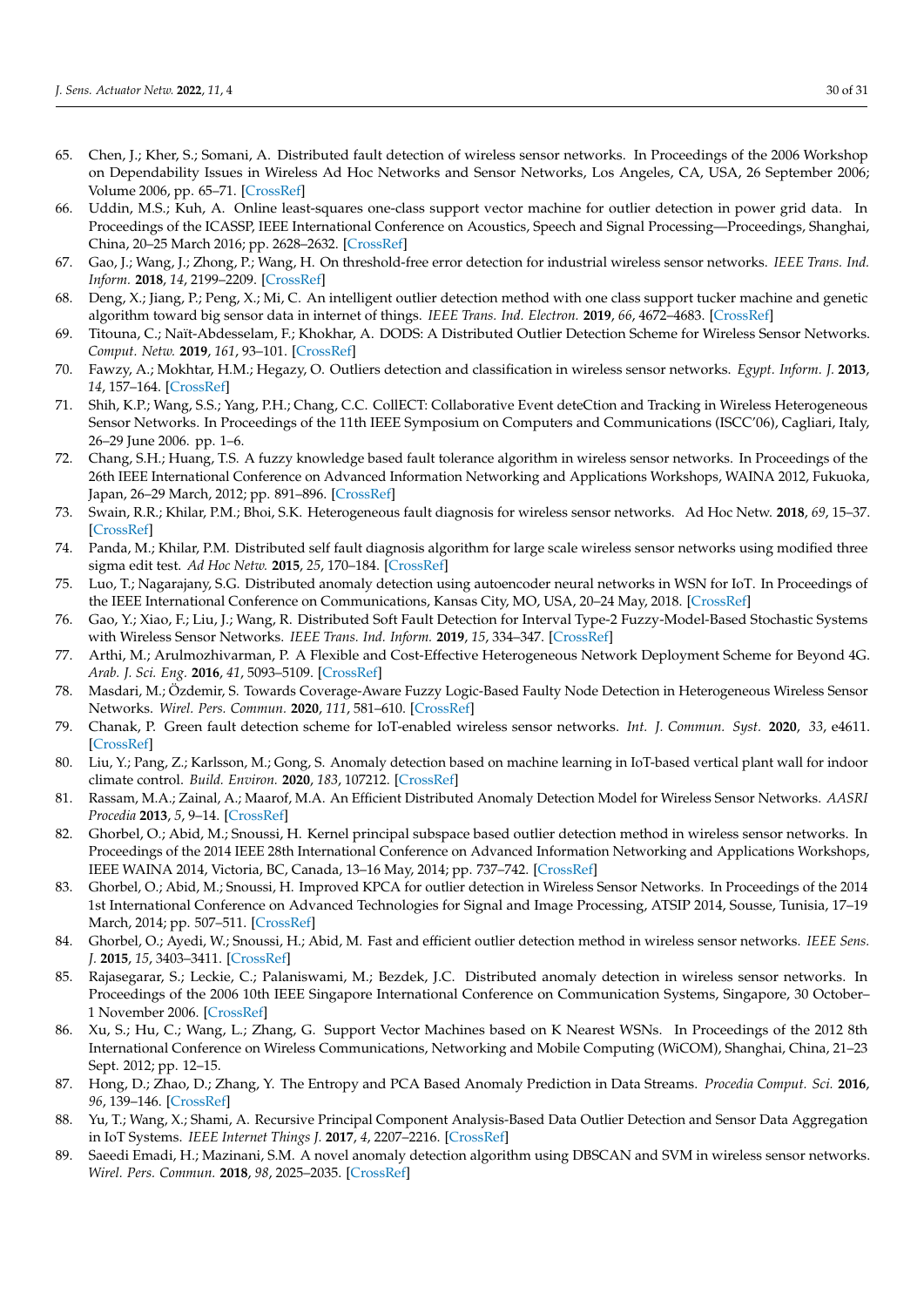- <span id="page-29-0"></span>65. Chen, J.; Kher, S.; Somani, A. Distributed fault detection of wireless sensor networks. In Proceedings of the 2006 Workshop on Dependability Issues in Wireless Ad Hoc Networks and Sensor Networks, Los Angeles, CA, USA, 26 September 2006; Volume 2006, pp. 65–71. [\[CrossRef\]](http://dx.doi.org/10.1145/1160972.1160985)
- <span id="page-29-1"></span>66. Uddin, M.S.; Kuh, A. Online least-squares one-class support vector machine for outlier detection in power grid data. In Proceedings of the ICASSP, IEEE International Conference on Acoustics, Speech and Signal Processing—Proceedings, Shanghai, China, 20–25 March 2016; pp. 2628–2632. [\[CrossRef\]](http://dx.doi.org/10.1109/ICASSP.2016.7472153)
- <span id="page-29-2"></span>67. Gao, J.; Wang, J.; Zhong, P.; Wang, H. On threshold-free error detection for industrial wireless sensor networks. *IEEE Trans. Ind. Inform.* **2018**, *14*, 2199–2209. [\[CrossRef\]](http://dx.doi.org/10.1109/TII.2017.2785395)
- <span id="page-29-3"></span>68. Deng, X.; Jiang, P.; Peng, X.; Mi, C. An intelligent outlier detection method with one class support tucker machine and genetic algorithm toward big sensor data in internet of things. *IEEE Trans. Ind. Electron.* **2019**, *66*, 4672–4683. [\[CrossRef\]](http://dx.doi.org/10.1109/TIE.2018.2860568)
- <span id="page-29-4"></span>69. Titouna, C.; Naït-Abdesselam, F.; Khokhar, A. DODS: A Distributed Outlier Detection Scheme for Wireless Sensor Networks. *Comput. Netw.* **2019**, *161*, 93–101. [\[CrossRef\]](http://dx.doi.org/10.1016/j.comnet.2019.06.014)
- <span id="page-29-5"></span>70. Fawzy, A.; Mokhtar, H.M.; Hegazy, O. Outliers detection and classification in wireless sensor networks. *Egypt. Inform. J.* **2013**, *14*, 157–164. [\[CrossRef\]](http://dx.doi.org/10.1016/j.eij.2013.06.001)
- <span id="page-29-6"></span>71. Shih, K.P.; Wang, S.S.; Yang, P.H.; Chang, C.C. CollECT: Collaborative Event deteCtion and Tracking in Wireless Heterogeneous Sensor Networks. In Proceedings of the 11th IEEE Symposium on Computers and Communications (ISCC'06), Cagliari, Italy, 26–29 June 2006. pp. 1–6.
- <span id="page-29-7"></span>72. Chang, S.H.; Huang, T.S. A fuzzy knowledge based fault tolerance algorithm in wireless sensor networks. In Proceedings of the 26th IEEE International Conference on Advanced Information Networking and Applications Workshops, WAINA 2012, Fukuoka, Japan, 26–29 March, 2012; pp. 891–896. [\[CrossRef\]](http://dx.doi.org/10.1109/WAINA.2012.48)
- <span id="page-29-8"></span>73. Swain, R.R.; Khilar, P.M.; Bhoi, S.K. Heterogeneous fault diagnosis for wireless sensor networks. Ad Hoc Netw. **2018**, *69*, 15–37. [\[CrossRef\]](http://dx.doi.org/10.1016/j.adhoc.2017.10.012)
- <span id="page-29-9"></span>74. Panda, M.; Khilar, P.M. Distributed self fault diagnosis algorithm for large scale wireless sensor networks using modified three sigma edit test. *Ad Hoc Netw.* **2015**, *25*, 170–184. [\[CrossRef\]](http://dx.doi.org/10.1016/j.adhoc.2014.10.006)
- <span id="page-29-10"></span>75. Luo, T.; Nagarajany, S.G. Distributed anomaly detection using autoencoder neural networks in WSN for IoT. In Proceedings of the IEEE International Conference on Communications, Kansas City, MO, USA, 20-24 May, 2018. [\[CrossRef\]](http://dx.doi.org/10.1109/ICC.2018.8422402)
- <span id="page-29-11"></span>76. Gao, Y.; Xiao, F.; Liu, J.; Wang, R. Distributed Soft Fault Detection for Interval Type-2 Fuzzy-Model-Based Stochastic Systems with Wireless Sensor Networks. *IEEE Trans. Ind. Inform.* **2019**, *15*, 334–347. [\[CrossRef\]](http://dx.doi.org/10.1109/TII.2018.2812771)
- <span id="page-29-12"></span>77. Arthi, M.; Arulmozhivarman, P. A Flexible and Cost-Effective Heterogeneous Network Deployment Scheme for Beyond 4G. *Arab. J. Sci. Eng.* **2016**, *41*, 5093–5109. [\[CrossRef\]](http://dx.doi.org/10.1007/s13369-016-2211-6)
- <span id="page-29-13"></span>78. Masdari, M.; Özdemir, S. Towards Coverage-Aware Fuzzy Logic-Based Faulty Node Detection in Heterogeneous Wireless Sensor Networks. *Wirel. Pers. Commun.* **2020**, *111*, 581–610. [\[CrossRef\]](http://dx.doi.org/10.1007/s11277-019-06875-0)
- <span id="page-29-14"></span>79. Chanak, P. Green fault detection scheme for IoT-enabled wireless sensor networks. *Int. J. Commun. Syst.* **2020**, *33*, e4611. [\[CrossRef\]](http://dx.doi.org/10.1002/dac.4611)
- <span id="page-29-15"></span>80. Liu, Y.; Pang, Z.; Karlsson, M.; Gong, S. Anomaly detection based on machine learning in IoT-based vertical plant wall for indoor climate control. *Build. Environ.* **2020**, *183*, 107212. [\[CrossRef\]](http://dx.doi.org/10.1016/j.buildenv.2020.107212)
- <span id="page-29-16"></span>81. Rassam, M.A.; Zainal, A.; Maarof, M.A. An Efficient Distributed Anomaly Detection Model for Wireless Sensor Networks. *AASRI Procedia* **2013**, *5*, 9–14. [\[CrossRef\]](http://dx.doi.org/10.1016/j.aasri.2013.10.052)
- <span id="page-29-17"></span>82. Ghorbel, O.; Abid, M.; Snoussi, H. Kernel principal subspace based outlier detection method in wireless sensor networks. In Proceedings of the 2014 IEEE 28th International Conference on Advanced Information Networking and Applications Workshops, IEEE WAINA 2014, Victoria, BC, Canada, 13–16 May, 2014; pp. 737–742. [\[CrossRef\]](http://dx.doi.org/10.1109/WAINA.2014.120)
- 83. Ghorbel, O.; Abid, M.; Snoussi, H. Improved KPCA for outlier detection in Wireless Sensor Networks. In Proceedings of the 2014 1st International Conference on Advanced Technologies for Signal and Image Processing, ATSIP 2014, Sousse, Tunisia, 17–19 March, 2014; pp. 507–511. [\[CrossRef\]](http://dx.doi.org/10.1109/ATSIP.2014.6834666)
- <span id="page-29-18"></span>84. Ghorbel, O.; Ayedi, W.; Snoussi, H.; Abid, M. Fast and efficient outlier detection method in wireless sensor networks. *IEEE Sens. J.* **2015**, *15*, 3403–3411. [\[CrossRef\]](http://dx.doi.org/10.1109/JSEN.2015.2388498)
- <span id="page-29-19"></span>85. Rajasegarar, S.; Leckie, C.; Palaniswami, M.; Bezdek, J.C. Distributed anomaly detection in wireless sensor networks. In Proceedings of the 2006 10th IEEE Singapore International Conference on Communication Systems, Singapore, 30 October– 1 November 2006. [\[CrossRef\]](http://dx.doi.org/10.1109/ICCS.2006.301508)
- <span id="page-29-20"></span>86. Xu, S.; Hu, C.; Wang, L.; Zhang, G. Support Vector Machines based on K Nearest WSNs. In Proceedings of the 2012 8th International Conference on Wireless Communications, Networking and Mobile Computing (WiCOM), Shanghai, China, 21–23 Sept. 2012; pp. 12–15.
- <span id="page-29-21"></span>87. Hong, D.; Zhao, D.; Zhang, Y. The Entropy and PCA Based Anomaly Prediction in Data Streams. *Procedia Comput. Sci.* **2016**, *96*, 139–146. [\[CrossRef\]](http://dx.doi.org/10.1016/j.procs.2016.08.115)
- <span id="page-29-22"></span>88. Yu, T.; Wang, X.; Shami, A. Recursive Principal Component Analysis-Based Data Outlier Detection and Sensor Data Aggregation in IoT Systems. *IEEE Internet Things J.* **2017**, *4*, 2207–2216. [\[CrossRef\]](http://dx.doi.org/10.1109/JIOT.2017.2756025)
- <span id="page-29-23"></span>89. Saeedi Emadi, H.; Mazinani, S.M. A novel anomaly detection algorithm using DBSCAN and SVM in wireless sensor networks. *Wirel. Pers. Commun.* **2018**, *98*, 2025–2035. [\[CrossRef\]](http://dx.doi.org/10.1007/s11277-017-4961-1)